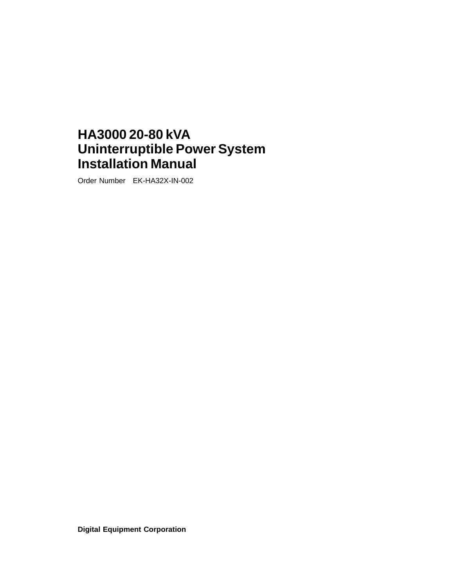## **HA3000 20-80 kVA Uninterruptible Power System Installation Manual**

Order Number EK-HA32X-IN-002

**Digital Equipment Corporation**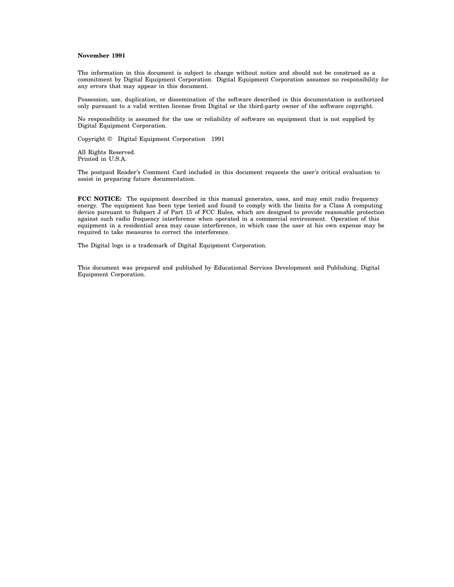#### **November 1991**

The information in this document is subject to change without notice and should not be construed as a commitment by Digital Equipment Corporation. Digital Equipment Corporation assumes no responsibility for any errors that may appear in this document.

Possession, use, duplication, or dissemination of the software described in this documentation is authorized only pursuant to a valid written license from Digital or the third-party owner of the software copyright.

No responsibility is assumed for the use or reliability of software on equipment that is not supplied by Digital Equipment Corporation.

Copyright © Digital Equipment Corporation 1991

All Rights Reserved. Printed in U.S.A.

The postpaid Reader's Comment Card included in this document requests the user's critical evaluation to assist in preparing future documentation.

**FCC NOTICE:** The equipment described in this manual generates, uses, and may emit radio frequency energy. The equipment has been type tested and found to comply with the limits for a Class A computing device pursuant to Subpart J of Part 15 of FCC Rules, which are designed to provide reasonable protection against such radio frequency interference when operated in a commercial environment. Operation of this equipment in a residential area may cause interference, in which case the user at his own expense may be required to take measures to correct the interference.

The Digital logo is a trademark of Digital Equipment Corporation.

This document was prepared and published by Educational Services Development and Publishing, Digital Equipment Corporation.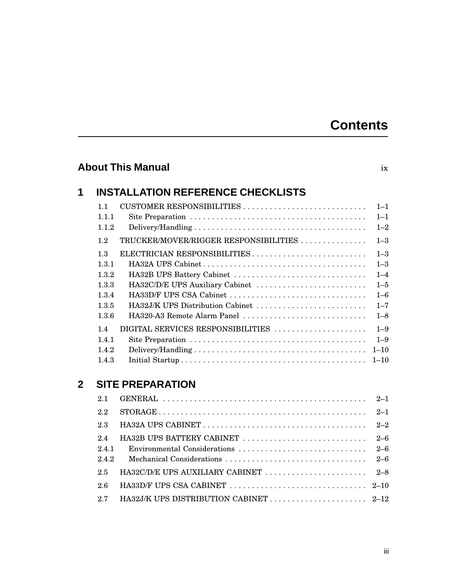### **Contents**

### **About This Manual** ix **1 INSTALLATION REFERENCE CHECKLISTS** 1.1 CUSTOMER RESPONSIBILITIES . . . . . . . . . . . . . . . . . . . . . . . . . . . . 1–1 1.1.1 Site Preparation . . . . . . . . . . . . . . . . . . . . . . . . . . . . . . . . . . . . . . . . 1–1 1.1.2 Delivery/Handling . . . . . . . . . . . . . . . . . . . . . . . . . . . . . . . . . . . . . . . 1–2 1.2 TRUCKER/MOVER/RIGGER RESPONSIBILITIES . . . . . . . . . . . . . . 1-3 1.3 ELECTRICIAN RESPONSIBILITIES . . . . . . . . . . . . . . . . . . . . . . . . . . 1–3 1.3.1 HA32A UPS Cabinet . . . . . . . . . . . . . . . . . . . . . . . . . . . . . . . . . . . . . 1–3 1.3.2 HA32B UPS Battery Cabinet . . . . . . . . . . . . . . . . . . . . . . . . . . . . . . 1–4 1.3.3 HA32C/D/E UPS Auxiliary Cabinet . . . . . . . . . . . . . . . . . . . . . . . . . 1–5 1.3.4 HA33D/F UPS CSA Cabinet . . . . . . . . . . . . . . . . . . . . . . . . . . . . . . . 1–6 1.3.5 HA32J/K UPS Distribution Cabinet . . . . . . . . . . . . . . . . . . . . . . . . . 1–7 1.3.6 HA320-A3 Remote Alarm Panel . . . . . . . . . . . . . . . . . . . . . . . . . . . . 1–8 1.4 DIGITAL SERVICES RESPONSIBILITIES . . . . . . . . . . . . . . . . . . . . . 1–9 1.4.1 Site Preparation . . . . . . . . . . . . . . . . . . . . . . . . . . . . . . . . . . . . . . . . 1–9 1.4.2 Delivery/Handling . . . . . . . . . . . . . . . . . . . . . . . . . . . . . . . . . . . . . . . 1–10 1.4.3 Initial Startup . . . . . . . . . . . . . . . . . . . . . . . . . . . . . . . . . . . . . . . . . . 1–10

### **2 SITE PREPARATION**

| 2.1          |  |
|--------------|--|
| 2.2          |  |
| 2.3          |  |
| 2.4<br>2.4.1 |  |
| 2.4.2        |  |
| 2.5          |  |
| -26          |  |
| 2.7          |  |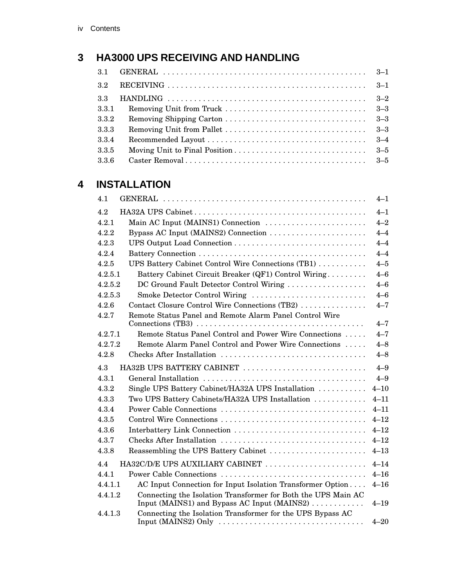### **3 HA3000 UPS RECEIVING AND HANDLING**

| $3.1\,$ |         |
|---------|---------|
| $3.2\,$ |         |
| 3.3     |         |
| 3.3.1   |         |
| 3.3.2   |         |
| 3.3.3   |         |
| 3.3.4   |         |
| 3.3.5   | $3 - 5$ |
| 3.3.6   |         |

### **4 INSTALLATION**

| 4.1                                               |                                                                                                              | $4 - 1$  |  |  |
|---------------------------------------------------|--------------------------------------------------------------------------------------------------------------|----------|--|--|
| $4 - 1$<br>4.2                                    |                                                                                                              |          |  |  |
| 4.2.1                                             | Main AC Input (MAINS1) Connection<br>$4 - 2$                                                                 |          |  |  |
| 4.2.2                                             | Bypass AC Input (MAINS2) Connection                                                                          | $4 - 4$  |  |  |
| 4.2.3                                             |                                                                                                              | $4 - 4$  |  |  |
| 4.2.4                                             |                                                                                                              | $4 - 4$  |  |  |
| 4.2.5                                             | UPS Battery Cabinet Control Wire Connections (TB1)                                                           | $4 - 5$  |  |  |
| 4.2.5.1                                           | Battery Cabinet Circuit Breaker (QF1) Control Wiring                                                         | $4 - 6$  |  |  |
| 4.2.5.2                                           | DC Ground Fault Detector Control Wiring                                                                      | $4 - 6$  |  |  |
| 4.2.5.3                                           | Smoke Detector Control Wiring                                                                                | $4 - 6$  |  |  |
| 4.2.6                                             | Contact Closure Control Wire Connections (TB2)                                                               | $4 - 7$  |  |  |
| 4.2.7                                             | Remote Status Panel and Remote Alarm Panel Control Wire                                                      |          |  |  |
|                                                   |                                                                                                              | $4 - 7$  |  |  |
| 4.2.7.1                                           | Remote Status Panel Control and Power Wire Connections                                                       | $4 - 7$  |  |  |
| 4.2.7.2                                           | Remote Alarm Panel Control and Power Wire Connections                                                        | $4 - 8$  |  |  |
| 4.2.8                                             |                                                                                                              | $4 - 8$  |  |  |
| 4.3                                               | HA32B UPS BATTERY CABINET                                                                                    | $4 - 9$  |  |  |
| 4.3.1                                             |                                                                                                              | $4 - 9$  |  |  |
| 4.3.2                                             | Single UPS Battery Cabinet/HA32A UPS Installation<br>$4 - 10$                                                |          |  |  |
| 4.3.3                                             | Two UPS Battery Cabinets/HA32A UPS Installation                                                              | $4 - 11$ |  |  |
| Power Cable Connections<br>4.3.4<br>$4 - 11$      |                                                                                                              |          |  |  |
| 4.3.5<br>$4 - 12$                                 |                                                                                                              |          |  |  |
| $4 - 12$<br>4.3.6<br>Interbattery Link Connection |                                                                                                              |          |  |  |
| 4.3.7                                             |                                                                                                              | $4 - 12$ |  |  |
| 4.3.8                                             | Reassembling the UPS Battery Cabinet                                                                         | $4 - 13$ |  |  |
| 4.4                                               | HA32C/D/E UPS AUXILIARY CABINET                                                                              | $4 - 14$ |  |  |
| 4.4.1                                             |                                                                                                              | $4 - 16$ |  |  |
| 4.4.1.1                                           | AC Input Connection for Input Isolation Transformer Option                                                   | $4 - 16$ |  |  |
| 4.4.1.2                                           | Connecting the Isolation Transformer for Both the UPS Main AC<br>Input (MAINS1) and Bypass AC Input (MAINS2) | $4 - 19$ |  |  |
| 4.4.1.3                                           | Connecting the Isolation Transformer for the UPS Bypass AC                                                   | $4 - 20$ |  |  |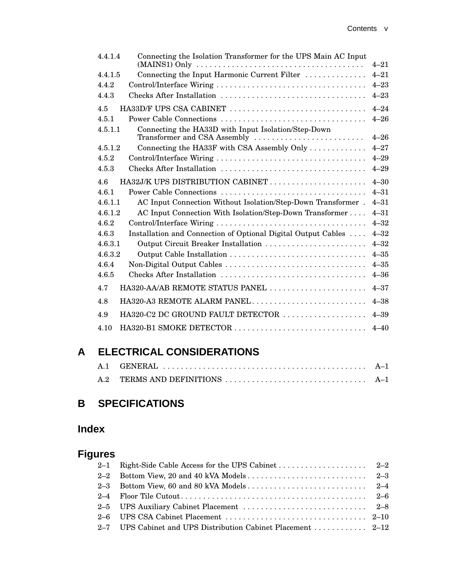| 4.4.1.4 | Connecting the Isolation Transformer for the UPS Main AC Input                                 |          |
|---------|------------------------------------------------------------------------------------------------|----------|
|         | $(MAINS1)$ Only $\ldots \ldots \ldots \ldots \ldots \ldots \ldots \ldots \ldots \ldots \ldots$ | $4 - 21$ |
| 4.4.1.5 | Connecting the Input Harmonic Current Filter                                                   | $4 - 21$ |
| 4.4.2   |                                                                                                | $4 - 23$ |
| 4.4.3   | Checks After Installation                                                                      | $4 - 23$ |
| 4.5     | HA33D/F UPS CSA CABINET                                                                        | $4 - 24$ |
| 4.5.1   | Power Cable Connections                                                                        | $4 - 26$ |
| 4.5.1.1 | Connecting the HA33D with Input Isolation/Step-Down                                            | $4 - 26$ |
| 4.5.1.2 | Transformer and CSA Assembly                                                                   | $4 - 27$ |
|         | Connecting the HA33F with CSA Assembly Only                                                    |          |
| 4.5.2   |                                                                                                | $4 - 29$ |
| 4.5.3   | Checks After Installation                                                                      | $4 - 29$ |
| 4.6     | HA32J/K UPS DISTRIBUTION CABINET                                                               | $4 - 30$ |
| 4.6.1   | Power Cable Connections                                                                        | $4 - 31$ |
| 4.6.1.1 | AC Input Connection Without Isolation/Step-Down Transformer.                                   | $4 - 31$ |
| 4.6.1.2 | AC Input Connection With Isolation/Step-Down Transformer                                       | $4 - 31$ |
| 4.6.2   |                                                                                                | $4 - 32$ |
| 4.6.3   | Installation and Connection of Optional Digital Output Cables                                  | $4 - 32$ |
| 4.6.3.1 | Output Circuit Breaker Installation                                                            | $4 - 32$ |
| 4.6.3.2 |                                                                                                | $4 - 35$ |
| 4.6.4   | Non-Digital Output Cables                                                                      | $4 - 35$ |
| 4.6.5   |                                                                                                | $4 - 36$ |
| 4.7     | HA320-AA/AB REMOTE STATUS PANEL                                                                | $4 - 37$ |
| 4.8     | HA320-A3 REMOTE ALARM PANEL                                                                    | $4 - 38$ |
| 4.9     | HA320-C2 DC GROUND FAULT DETECTOR                                                              | $4 - 39$ |
| 4.10    |                                                                                                | $4 - 40$ |
|         |                                                                                                |          |

### **A ELECTRICAL CONSIDERATIONS**

### **B SPECIFICATIONS**

### **Index**

### **Figures**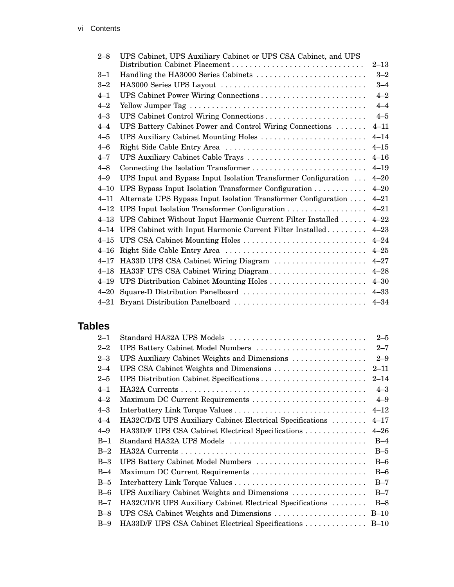| $2 - 8$  | UPS Cabinet, UPS Auxiliary Cabinet or UPS CSA Cabinet, and UPS | $2 - 13$ |
|----------|----------------------------------------------------------------|----------|
| $3 - 1$  | Handling the HA3000 Series Cabinets                            | $3 - 2$  |
| $3 - 2$  |                                                                | $3 - 4$  |
| $4 - 1$  |                                                                | $4 - 2$  |
| $4 - 2$  |                                                                | $4 - 4$  |
| $4 - 3$  |                                                                | $4 - 5$  |
| $4 - 4$  | UPS Battery Cabinet Power and Control Wiring Connections       | $4 - 11$ |
| $4 - 5$  | UPS Auxiliary Cabinet Mounting Holes                           | $4 - 14$ |
| $4 - 6$  |                                                                | $4 - 15$ |
| $4 - 7$  | UPS Auxiliary Cabinet Cable Trays                              | $4 - 16$ |
| $4 - 8$  | Connecting the Isolation Transformer                           | $4 - 19$ |
| $4 - 9$  | UPS Input and Bypass Input Isolation Transformer Configuration | $4 - 20$ |
| $4 - 10$ | UPS Bypass Input Isolation Transformer Configuration           | $4 - 20$ |
| $4 - 11$ | Alternate UPS Bypass Input Isolation Transformer Configuration | $4 - 21$ |
| $4 - 12$ | UPS Input Isolation Transformer Configuration                  | $4 - 21$ |
| $4 - 13$ | UPS Cabinet Without Input Harmonic Current Filter Installed    | $4 - 22$ |
| $4 - 14$ | UPS Cabinet with Input Harmonic Current Filter Installed       | $4 - 23$ |
| $4 - 15$ |                                                                | $4 - 24$ |
| $4 - 16$ |                                                                | $4 - 25$ |
| $4 - 17$ | HA33D UPS CSA Cabinet Wiring Diagram                           | $4 - 27$ |
| $4 - 18$ | HA33F UPS CSA Cabinet Wiring Diagram                           | $4 - 28$ |
| $4 - 19$ |                                                                | $4 - 30$ |
| $4 - 20$ | Square-D Distribution Panelboard                               | $4 - 33$ |
| $4 - 21$ |                                                                | $4 - 34$ |

### **Tables**

| $2 - 1$ | Standard HA32A UPS Models                                 | $2 - 5$  |  |  |  |
|---------|-----------------------------------------------------------|----------|--|--|--|
| $2 - 2$ | UPS Battery Cabinet Model Numbers<br>$2 - 7$              |          |  |  |  |
| $2 - 3$ | UPS Auxiliary Cabinet Weights and Dimensions              | $2 - 9$  |  |  |  |
| $2 - 4$ | UPS CSA Cabinet Weights and Dimensions                    | $2 - 11$ |  |  |  |
| $2 - 5$ | UPS Distribution Cabinet Specifications                   | $2 - 14$ |  |  |  |
| $4 - 1$ |                                                           | $4 - 3$  |  |  |  |
| $4 - 2$ | Maximum DC Current Requirements                           | $4 - 9$  |  |  |  |
| $4 - 3$ |                                                           | $4 - 12$ |  |  |  |
| $4 - 4$ | HA32C/D/E UPS Auxiliary Cabinet Electrical Specifications | $4 - 17$ |  |  |  |
| $4 - 9$ | HA33D/F UPS CSA Cabinet Electrical Specifications         | $4 - 26$ |  |  |  |
| $B-1$   | Standard HA32A UPS Models                                 | $B-4$    |  |  |  |
| $B-2$   |                                                           | $B-5$    |  |  |  |
| $B-3$   | UPS Battery Cabinet Model Numbers                         | $B-6$    |  |  |  |
| $B-4$   |                                                           | $B-6$    |  |  |  |
| $B-5$   |                                                           | $B-7$    |  |  |  |
| $B-6$   | UPS Auxiliary Cabinet Weights and Dimensions              | $B-7$    |  |  |  |
| $B-7$   | HA32C/D/E UPS Auxiliary Cabinet Electrical Specifications | $B-8$    |  |  |  |
| $B-8$   | UPS CSA Cabinet Weights and Dimensions                    | $B-10$   |  |  |  |
| $B-9$   | HA33D/F UPS CSA Cabinet Electrical Specifications         | $B-10$   |  |  |  |
|         |                                                           |          |  |  |  |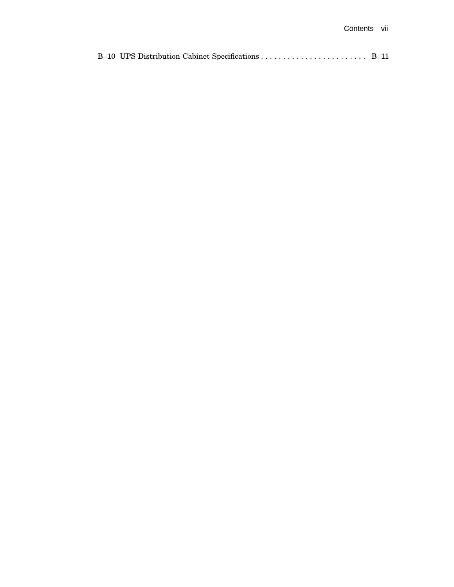|--|--|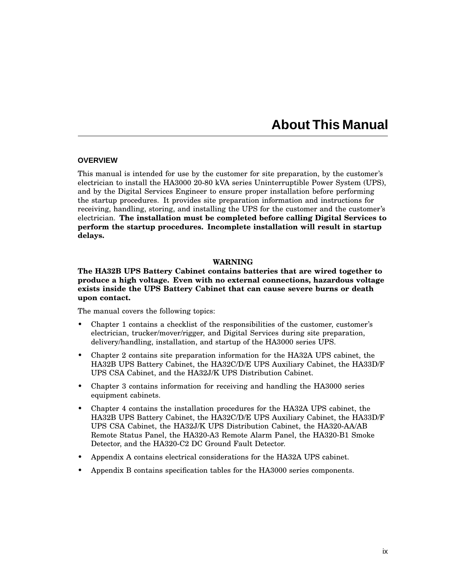### **About This Manual**

#### **OVERVIEW**

This manual is intended for use by the customer for site preparation, by the customer's electrician to install the HA3000 20-80 kVA series Uninterruptible Power System (UPS), and by the Digital Services Engineer to ensure proper installation before performing the startup procedures. It provides site preparation information and instructions for receiving, handling, storing, and installing the UPS for the customer and the customer's electrician. **The installation must be completed before calling Digital Services to perform the startup procedures. Incomplete installation will result in startup delays.**

#### **WARNING**

#### **The HA32B UPS Battery Cabinet contains batteries that are wired together to produce a high voltage. Even with no external connections, hazardous voltage exists inside the UPS Battery Cabinet that can cause severe burns or death upon contact.**

The manual covers the following topics:

- Chapter 1 contains a checklist of the responsibilities of the customer, customer's electrician, trucker/mover/rigger, and Digital Services during site preparation, delivery/handling, installation, and startup of the HA3000 series UPS.
- Chapter 2 contains site preparation information for the HA32A UPS cabinet, the HA32B UPS Battery Cabinet, the HA32C/D/E UPS Auxiliary Cabinet, the HA33D/F UPS CSA Cabinet, and the HA32J/K UPS Distribution Cabinet.
- Chapter 3 contains information for receiving and handling the HA3000 series equipment cabinets.
- Chapter 4 contains the installation procedures for the HA32A UPS cabinet, the HA32B UPS Battery Cabinet, the HA32C/D/E UPS Auxiliary Cabinet, the HA33D/F UPS CSA Cabinet, the HA32J/K UPS Distribution Cabinet, the HA320-AA/AB Remote Status Panel, the HA320-A3 Remote Alarm Panel, the HA320-B1 Smoke Detector, and the HA320-C2 DC Ground Fault Detector.
- Appendix A contains electrical considerations for the HA32A UPS cabinet.
- Appendix B contains specification tables for the HA3000 series components.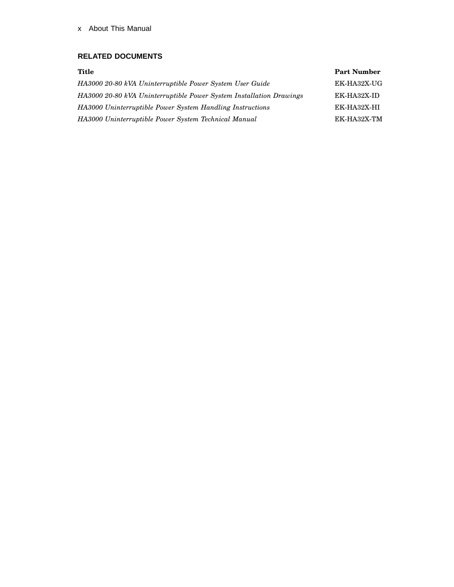#### x About This Manual

#### **RELATED DOCUMENTS**

#### **Title Part Number**

| HA3000 20-80 kVA Uninterruptible Power System User Guide            | EK-HA32X-UG |
|---------------------------------------------------------------------|-------------|
| HA3000 20-80 kVA Uninterruptible Power System Installation Drawings | EK-HA32X-ID |
| HA3000 Uninterruptible Power System Handling Instructions           | EK-HA32X-HI |
| HA3000 Uninterruptible Power System Technical Manual                | EK-HA32X-TM |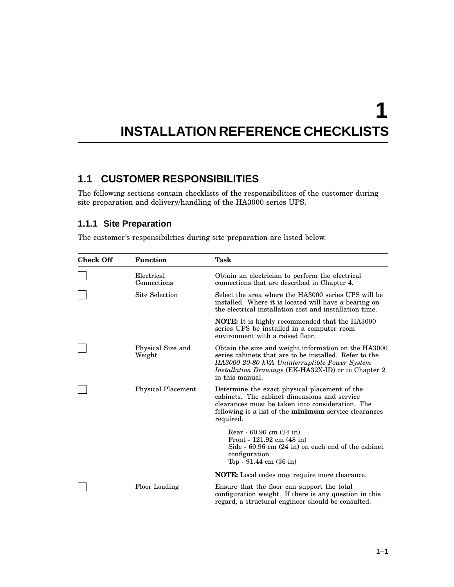# **1 INSTALLATION REFERENCE CHECKLISTS**

### **1.1 CUSTOMER RESPONSIBILITIES**

The following sections contain checklists of the responsibilities of the customer during site preparation and delivery/handling of the HA3000 series UPS.

#### **1.1.1 Site Preparation**

The customer's responsibilities during site preparation are listed below.

| <b>Check Off</b> | <b>Function</b>             | Task                                                                                                                                                                                                                                             |
|------------------|-----------------------------|--------------------------------------------------------------------------------------------------------------------------------------------------------------------------------------------------------------------------------------------------|
|                  | Electrical<br>Connections   | Obtain an electrician to perform the electrical<br>connections that are described in Chapter 4.                                                                                                                                                  |
|                  | Site Selection              | Select the area where the HA3000 series UPS will be<br>installed. Where it is located will have a bearing on<br>the electrical installation cost and installation time.                                                                          |
|                  |                             | <b>NOTE:</b> It is highly recommended that the HA3000<br>series UPS be installed in a computer room<br>environment with a raised floor.                                                                                                          |
|                  | Physical Size and<br>Weight | Obtain the size and weight information on the HA3000<br>series cabinets that are to be installed. Refer to the<br>HA3000 20-80 kVA Uninterruptible Power System<br><i>Installation Drawings</i> (EK-HA32X-ID) or to Chapter 2<br>in this manual. |
|                  | <b>Physical Placement</b>   | Determine the exact physical placement of the<br>cabinets. The cabinet dimensions and service<br>clearances must be taken into consideration. The<br>following is a list of the <b>minimum</b> service clearances<br>required.                   |
|                  |                             | Rear - $60.96$ cm $(24$ in)<br>Front - $121.92$ cm $(48 \text{ in})$<br>Side $-60.96$ cm $(24 \text{ in})$ on each end of the cabinet<br>configuration<br>Top - $91.44 \text{ cm } (36 \text{ in})$                                              |
|                  |                             | <b>NOTE:</b> Local codes may require more clearance.                                                                                                                                                                                             |
|                  | Floor Loading               | Ensure that the floor can support the total<br>configuration weight. If there is any question in this<br>regard, a structural engineer should be consulted.                                                                                      |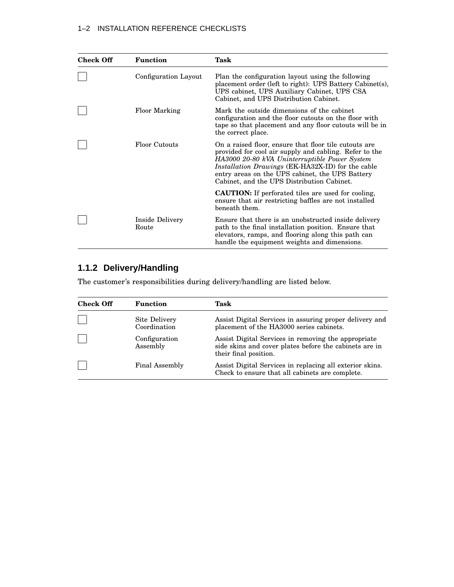| <b>Check Off</b> | <b>Function</b>          | Task                                                                                                                                                                                                                                                                                                                          |
|------------------|--------------------------|-------------------------------------------------------------------------------------------------------------------------------------------------------------------------------------------------------------------------------------------------------------------------------------------------------------------------------|
|                  | Configuration Layout     | Plan the configuration layout using the following<br>placement order (left to right): UPS Battery Cabinet(s),<br>UPS cabinet, UPS Auxiliary Cabinet, UPS CSA<br>Cabinet, and UPS Distribution Cabinet.                                                                                                                        |
|                  | <b>Floor Marking</b>     | Mark the outside dimensions of the cabinet<br>configuration and the floor cutouts on the floor with<br>tape so that placement and any floor cutouts will be in<br>the correct place.                                                                                                                                          |
|                  | <b>Floor Cutouts</b>     | On a raised floor, ensure that floor tile cutouts are<br>provided for cool air supply and cabling. Refer to the<br>HA3000 20-80 kVA Uninterruptible Power System<br><i>Installation Drawings</i> (EK-HA32X-ID) for the cable<br>entry areas on the UPS cabinet, the UPS Battery<br>Cabinet, and the UPS Distribution Cabinet. |
|                  |                          | <b>CAUTION:</b> If perforated tiles are used for cooling,<br>ensure that air restricting baffles are not installed<br>beneath them.                                                                                                                                                                                           |
|                  | Inside Delivery<br>Route | Ensure that there is an unobstructed inside delivery<br>path to the final installation position. Ensure that<br>elevators, ramps, and flooring along this path can<br>handle the equipment weights and dimensions.                                                                                                            |

#### **1.1.2 Delivery/Handling**

The customer's responsibilities during delivery/handling are listed below.

| <b>Check Off</b> | <b>Function</b>               | Task                                                                                                                                   |
|------------------|-------------------------------|----------------------------------------------------------------------------------------------------------------------------------------|
|                  | Site Delivery<br>Coordination | Assist Digital Services in assuring proper delivery and<br>placement of the HA3000 series cabinets.                                    |
|                  | Configuration<br>Assembly     | Assist Digital Services in removing the appropriate<br>side skins and cover plates before the cabinets are in<br>their final position. |
|                  | Final Assembly                | Assist Digital Services in replacing all exterior skins.<br>Check to ensure that all cabinets are complete.                            |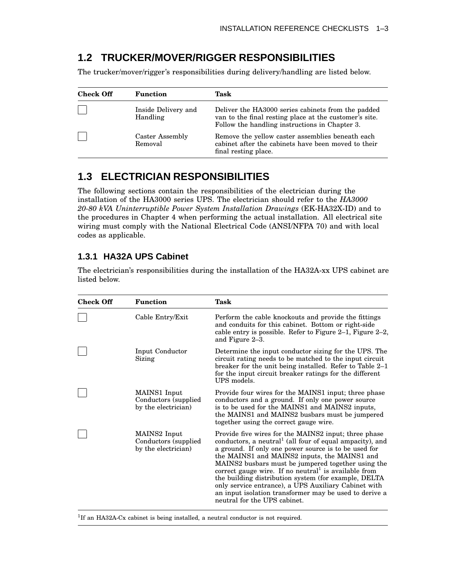### **1.2 TRUCKER/MOVER/RIGGER RESPONSIBILITIES**

The trucker/mover/rigger's responsibilities during delivery/handling are listed below.

| <b>Check Off</b>           | <b>Function</b>                 | Task                                                                                                                                                           |  |  |
|----------------------------|---------------------------------|----------------------------------------------------------------------------------------------------------------------------------------------------------------|--|--|
|                            | Inside Delivery and<br>Handling | Deliver the HA3000 series cabinets from the padded<br>van to the final resting place at the customer's site.<br>Follow the handling instructions in Chapter 3. |  |  |
| Caster Assembly<br>Removal |                                 | Remove the yellow caster assemblies beneath each<br>cabinet after the cabinets have been moved to their<br>final resting place.                                |  |  |

### **1.3 ELECTRICIAN RESPONSIBILITIES**

The following sections contain the responsibilities of the electrician during the installation of the HA3000 series UPS. The electrician should refer to the *HA3000 20-80 kVA Uninterruptible Power System Installation Drawings* (EK-HA32X-ID) and to the procedures in Chapter 4 when performing the actual installation. All electrical site wiring must comply with the National Electrical Code (ANSI/NFPA 70) and with local codes as applicable.

#### **1.3.1 HA32A UPS Cabinet**

The electrician's responsibilities during the installation of the HA32A-xx UPS cabinet are listed below.

| <b>Check Off</b> | <b>Function</b>                                              | Task                                                                                                                                                                                                                                                                                                                                                                                                                                                                                                                                                        |
|------------------|--------------------------------------------------------------|-------------------------------------------------------------------------------------------------------------------------------------------------------------------------------------------------------------------------------------------------------------------------------------------------------------------------------------------------------------------------------------------------------------------------------------------------------------------------------------------------------------------------------------------------------------|
|                  | Cable Entry/Exit                                             | Perform the cable knockouts and provide the fittings<br>and conduits for this cabinet. Bottom or right-side<br>cable entry is possible. Refer to Figure 2-1, Figure 2-2,<br>and Figure 2-3.                                                                                                                                                                                                                                                                                                                                                                 |
|                  | Input Conductor<br>Sizing                                    | Determine the input conductor sizing for the UPS. The<br>circuit rating needs to be matched to the input circuit<br>breaker for the unit being installed. Refer to Table 2–1<br>for the input circuit breaker ratings for the different<br>UPS models.                                                                                                                                                                                                                                                                                                      |
|                  | MAINS1 Input<br>Conductors (supplied)<br>by the electrician) | Provide four wires for the MAINS1 input; three phase<br>conductors and a ground. If only one power source<br>is to be used for the MAINS1 and MAINS2 inputs,<br>the MAINS1 and MAINS2 busbars must be jumpered<br>together using the correct gauge wire.                                                                                                                                                                                                                                                                                                    |
|                  | MAINS2 Input<br>Conductors (supplied)<br>by the electrician) | Provide five wires for the MAINS2 input; three phase<br>conductors, a neutral <sup>1</sup> (all four of equal ampacity), and<br>a ground. If only one power source is to be used for<br>the MAINS1 and MAINS2 inputs, the MAINS1 and<br>MAINS2 busbars must be jumpered together using the<br>correct gauge wire. If no neutral is available from<br>the building distribution system (for example, DELTA<br>only service entrance), a UPS Auxiliary Cabinet with<br>an input isolation transformer may be used to derive a<br>neutral for the UPS cabinet. |

<sup>1</sup>If an HA32A-Cx cabinet is being installed, a neutral conductor is not required.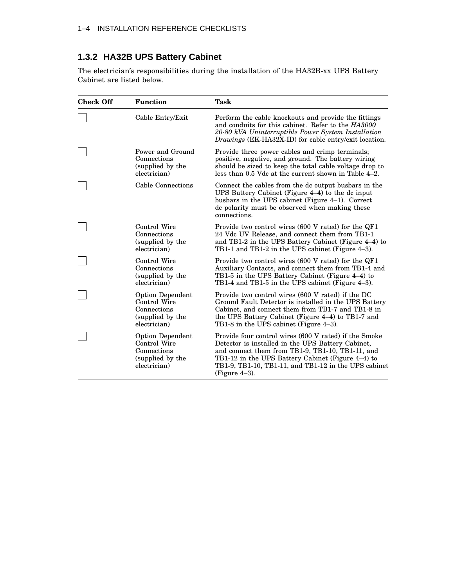#### **1.3.2 HA32B UPS Battery Cabinet**

The electrician's responsibilities during the installation of the HA32B-xx UPS Battery Cabinet are listed below.

| <b>Check Off</b> | <b>Function</b>                                                                            | <b>Task</b>                                                                                                                                                                                                                                                                                     |
|------------------|--------------------------------------------------------------------------------------------|-------------------------------------------------------------------------------------------------------------------------------------------------------------------------------------------------------------------------------------------------------------------------------------------------|
|                  | Cable Entry/Exit                                                                           | Perform the cable knockouts and provide the fittings<br>and conduits for this cabinet. Refer to the HA3000<br>20-80 kVA Uninterruptible Power System Installation<br>Drawings (EK-HA32X-ID) for cable entry/exit location.                                                                      |
|                  | Power and Ground<br>Connections<br>(supplied by the<br>electrician)                        | Provide three power cables and crimp terminals;<br>positive, negative, and ground. The battery wiring<br>should be sized to keep the total cable voltage drop to<br>less than 0.5 Vdc at the current shown in Table 4–2.                                                                        |
|                  | Cable Connections                                                                          | Connect the cables from the dc output busbars in the<br>UPS Battery Cabinet (Figure 4–4) to the dc input<br>busbars in the UPS cabinet (Figure 4-1). Correct<br>dc polarity must be observed when making these<br>connections.                                                                  |
|                  | Control Wire<br>Connections<br>(supplied by the<br>electrician)                            | Provide two control wires (600 V rated) for the QF1<br>24 Vdc UV Release, and connect them from TB1-1<br>and TB1-2 in the UPS Battery Cabinet (Figure 4-4) to<br>TB1-1 and TB1-2 in the UPS cabinet (Figure 4–3).                                                                               |
|                  | Control Wire<br>Connections<br>(supplied by the<br>electrician)                            | Provide two control wires (600 V rated) for the QF1<br>Auxiliary Contacts, and connect them from TB1-4 and<br>TB1-5 in the UPS Battery Cabinet (Figure 4–4) to<br>TB1-4 and TB1-5 in the UPS cabinet (Figure 4–3).                                                                              |
|                  | <b>Option Dependent</b><br>Control Wire<br>Connections<br>(supplied by the<br>electrician) | Provide two control wires (600 V rated) if the DC<br>Ground Fault Detector is installed in the UPS Battery<br>Cabinet, and connect them from TB1-7 and TB1-8 in<br>the UPS Battery Cabinet (Figure 4–4) to TB1-7 and<br>TB1-8 in the UPS cabinet (Figure 4–3).                                  |
|                  | <b>Option Dependent</b><br>Control Wire<br>Connections<br>(supplied by the<br>electrician) | Provide four control wires (600 V rated) if the Smoke<br>Detector is installed in the UPS Battery Cabinet,<br>and connect them from TB1-9, TB1-10, TB1-11, and<br>TB1-12 in the UPS Battery Cabinet (Figure 4–4) to<br>TB1-9, TB1-10, TB1-11, and TB1-12 in the UPS cabinet<br>(Figure $4-3$ ). |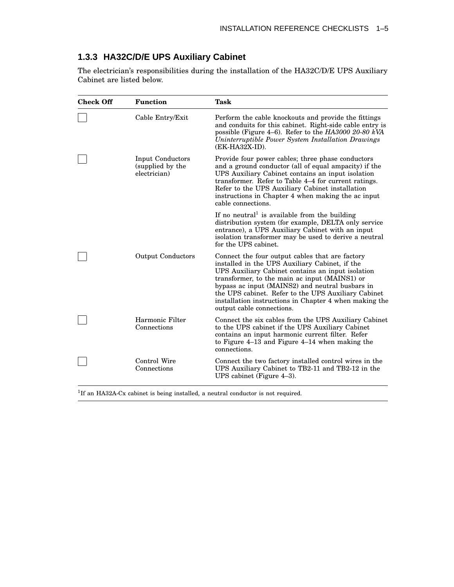#### **1.3.3 HA32C/D/E UPS Auxiliary Cabinet**

The electrician's responsibilities during the installation of the HA32C/D/E UPS Auxiliary Cabinet are listed below.

| <b>Check Off</b> | <b>Function</b>                                             | <b>Task</b>                                                                                                                                                                                                                                                                                                                                                                                              |
|------------------|-------------------------------------------------------------|----------------------------------------------------------------------------------------------------------------------------------------------------------------------------------------------------------------------------------------------------------------------------------------------------------------------------------------------------------------------------------------------------------|
|                  | Cable Entry/Exit                                            | Perform the cable knockouts and provide the fittings<br>and conduits for this cabinet. Right-side cable entry is<br>possible (Figure 4–6). Refer to the $HA3000 20-80 kVA$<br>Uninterruptible Power System Installation Drawings<br>(EK-HA32X-ID).                                                                                                                                                       |
|                  | <b>Input Conductors</b><br>(supplied by the<br>electrician) | Provide four power cables; three phase conductors<br>and a ground conductor (all of equal ampacity) if the<br>UPS Auxiliary Cabinet contains an input isolation<br>transformer. Refer to Table 4–4 for current ratings.<br>Refer to the UPS Auxiliary Cabinet installation<br>instructions in Chapter 4 when making the ac input<br>cable connections.                                                   |
|                  |                                                             | If no neutral <sup>1</sup> is available from the building<br>distribution system (for example, DELTA only service<br>entrance), a UPS Auxiliary Cabinet with an input<br>isolation transformer may be used to derive a neutral<br>for the UPS cabinet.                                                                                                                                                   |
|                  | <b>Output Conductors</b>                                    | Connect the four output cables that are factory<br>installed in the UPS Auxiliary Cabinet, if the<br>UPS Auxiliary Cabinet contains an input isolation<br>transformer, to the main ac input (MAINS1) or<br>bypass ac input (MAINS2) and neutral busbars in<br>the UPS cabinet. Refer to the UPS Auxiliary Cabinet<br>installation instructions in Chapter 4 when making the<br>output cable connections. |
|                  | Harmonic Filter<br>Connections                              | Connect the six cables from the UPS Auxiliary Cabinet<br>to the UPS cabinet if the UPS Auxiliary Cabinet<br>contains an input harmonic current filter. Refer<br>to Figure 4–13 and Figure 4–14 when making the<br>connections.                                                                                                                                                                           |
|                  | Control Wire<br>Connections                                 | Connect the two factory installed control wires in the<br>UPS Auxiliary Cabinet to TB2-11 and TB2-12 in the<br>UPS cabinet (Figure 4-3).                                                                                                                                                                                                                                                                 |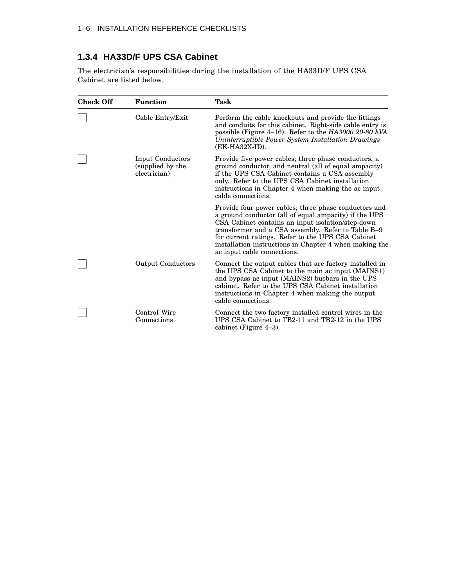#### **1.3.4 HA33D/F UPS CSA Cabinet**

The electrician's responsibilities during the installation of the HA33D/F UPS CSA Cabinet are listed below.

| <b>Check Off</b> | <b>Function</b>                                      | <b>Task</b>                                                                                                                                                                                                                                                                                                                                                             |
|------------------|------------------------------------------------------|-------------------------------------------------------------------------------------------------------------------------------------------------------------------------------------------------------------------------------------------------------------------------------------------------------------------------------------------------------------------------|
|                  | Cable Entry/Exit                                     | Perform the cable knockouts and provide the fittings<br>and conduits for this cabinet. Right-side cable entry is<br>possible (Figure 4-16). Refer to the $HA3000$ 20-80 kVA<br>Uninterruptible Power System Installation Drawings<br>$(EK-HA32X-ID)$ .                                                                                                                  |
|                  | Input Conductors<br>(supplied by the<br>electrician) | Provide five power cables; three phase conductors, a<br>ground conductor, and neutral (all of equal ampacity)<br>if the UPS CSA Cabinet contains a CSA assembly<br>only. Refer to the UPS CSA Cabinet installation<br>instructions in Chapter 4 when making the ac input<br>cable connections.                                                                          |
|                  |                                                      | Provide four power cables; three phase conductors and<br>a ground conductor (all of equal ampacity) if the UPS<br>CSA Cabinet contains an input isolation/step-down<br>transformer and a CSA assembly. Refer to Table B-9<br>for current ratings. Refer to the UPS CSA Cabinet<br>installation instructions in Chapter 4 when making the<br>ac input cable connections. |
|                  | <b>Output Conductors</b>                             | Connect the output cables that are factory installed in<br>the UPS CSA Cabinet to the main ac input (MAINS1)<br>and bypass ac input (MAINS2) busbars in the UPS<br>cabinet. Refer to the UPS CSA Cabinet installation<br>instructions in Chapter 4 when making the output<br>cable connections.                                                                         |
|                  | Control Wire<br>Connections                          | Connect the two factory installed control wires in the<br>UPS CSA Cabinet to TB2-11 and TB2-12 in the UPS<br>cabinet (Figure 4-3).                                                                                                                                                                                                                                      |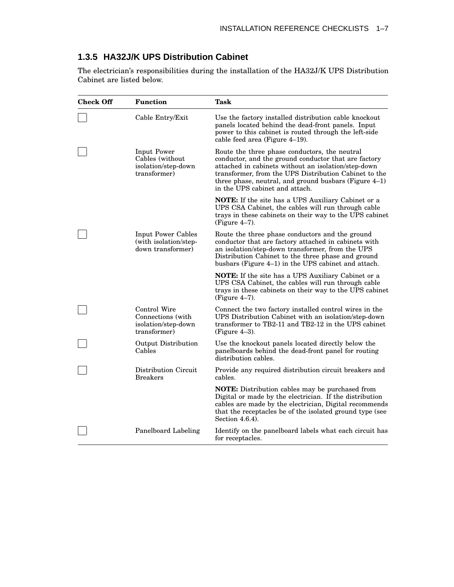#### **1.3.5 HA32J/K UPS Distribution Cabinet**

The electrician's responsibilities during the installation of the HA32J/K UPS Distribution Cabinet are listed below.

| <b>Check Off</b> | <b>Function</b>                                                          | Task                                                                                                                                                                                                                                                                                                             |  |  |  |
|------------------|--------------------------------------------------------------------------|------------------------------------------------------------------------------------------------------------------------------------------------------------------------------------------------------------------------------------------------------------------------------------------------------------------|--|--|--|
|                  | Cable Entry/Exit                                                         | Use the factory installed distribution cable knockout<br>panels located behind the dead-front panels. Input<br>power to this cabinet is routed through the left-side<br>cable feed area (Figure 4-19).                                                                                                           |  |  |  |
|                  | Input Power<br>Cables (without)<br>isolation/step-down<br>transformer)   | Route the three phase conductors, the neutral<br>conductor, and the ground conductor that are factory<br>attached in cabinets without an isolation/step-down<br>transformer, from the UPS Distribution Cabinet to the<br>three phase, neutral, and ground busbars (Figure 4-1)<br>in the UPS cabinet and attach. |  |  |  |
|                  |                                                                          | <b>NOTE:</b> If the site has a UPS Auxiliary Cabinet or a<br>UPS CSA Cabinet, the cables will run through cable<br>trays in these cabinets on their way to the UPS cabinet<br>$(Figure 4-7)$ .                                                                                                                   |  |  |  |
|                  | <b>Input Power Cables</b><br>(with isolation/step-<br>down transformer)  | Route the three phase conductors and the ground<br>conductor that are factory attached in cabinets with<br>an isolation/step-down transformer, from the UPS<br>Distribution Cabinet to the three phase and ground<br>busbars (Figure 4–1) in the UPS cabinet and attach.                                         |  |  |  |
|                  |                                                                          | <b>NOTE:</b> If the site has a UPS Auxiliary Cabinet or a<br>UPS CSA Cabinet, the cables will run through cable<br>trays in these cabinets on their way to the UPS cabinet<br>$(Figure 4-7)$ .                                                                                                                   |  |  |  |
|                  | Control Wire<br>Connections (with<br>isolation/step-down<br>transformer) | Connect the two factory installed control wires in the<br>UPS Distribution Cabinet with an isolation/step-down<br>transformer to TB2-11 and TB2-12 in the UPS cabinet<br>(Figure $4-3$ ).                                                                                                                        |  |  |  |
|                  | Output Distribution<br>Cables                                            | Use the knockout panels located directly below the<br>panelboards behind the dead-front panel for routing<br>distribution cables.                                                                                                                                                                                |  |  |  |
|                  | Distribution Circuit<br><b>Breakers</b>                                  | Provide any required distribution circuit breakers and<br>cables.                                                                                                                                                                                                                                                |  |  |  |
|                  |                                                                          | <b>NOTE:</b> Distribution cables may be purchased from<br>Digital or made by the electrician. If the distribution<br>cables are made by the electrician, Digital recommends<br>that the receptacles be of the isolated ground type (see<br>Section 4.6.4).                                                       |  |  |  |
|                  | Panelboard Labeling                                                      | Identify on the panelboard labels what each circuit has<br>for receptacles.                                                                                                                                                                                                                                      |  |  |  |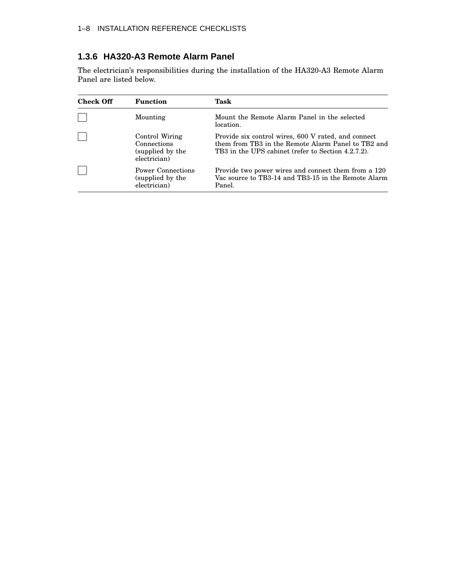#### **1.3.6 HA320-A3 Remote Alarm Panel**

The electrician's responsibilities during the installation of the HA320-A3 Remote Alarm Panel are listed below.

| Check Off | <b>Function</b>                                                   | Task                                                                                                                                                            |  |  |  |
|-----------|-------------------------------------------------------------------|-----------------------------------------------------------------------------------------------------------------------------------------------------------------|--|--|--|
|           | Mounting                                                          | Mount the Remote Alarm Panel in the selected<br>location.                                                                                                       |  |  |  |
|           | Control Wiring<br>Connections<br>(supplied by the<br>electrician) | Provide six control wires, 600 V rated, and connect<br>them from TB3 in the Remote Alarm Panel to TB2 and<br>TB3 in the UPS cabinet (refer to Section 4.2.7.2). |  |  |  |
|           | Power Connections<br>(supplied by the<br>electrician)             | Provide two power wires and connect them from a 120<br>Vac source to TB3-14 and TB3-15 in the Remote Alarm<br>Panel.                                            |  |  |  |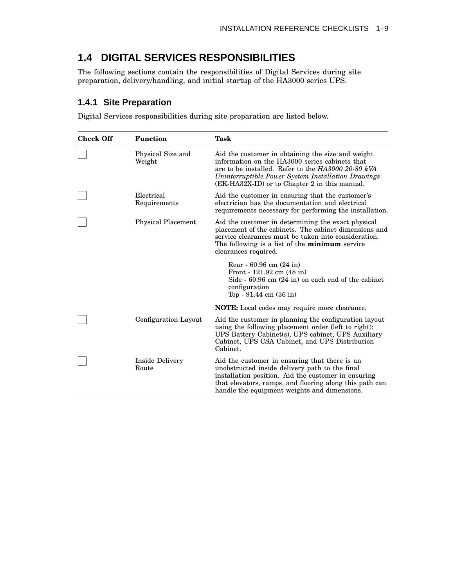### **1.4 DIGITAL SERVICES RESPONSIBILITIES**

The following sections contain the responsibilities of Digital Services during site preparation, delivery/handling, and initial startup of the HA3000 series UPS.

#### **1.4.1 Site Preparation**

Digital Services responsibilities during site preparation are listed below.

| <b>Check Off</b> | <b>Function</b>             | <b>Task</b>                                                                                                                                                                                                                                                       |  |  |  |  |
|------------------|-----------------------------|-------------------------------------------------------------------------------------------------------------------------------------------------------------------------------------------------------------------------------------------------------------------|--|--|--|--|
|                  | Physical Size and<br>Weight | Aid the customer in obtaining the size and weight<br>information on the HA3000 series cabinets that<br>are to be installed. Refer to the HA3000 20-80 kVA<br>Uninterruptible Power System Installation Drawings<br>(EK-HA32X-ID) or to Chapter 2 in this manual.  |  |  |  |  |
|                  | Electrical<br>Requirements  | Aid the customer in ensuring that the customer's<br>electrician has the documentation and electrical<br>requirements necessary for performing the installation.                                                                                                   |  |  |  |  |
|                  | <b>Physical Placement</b>   | Aid the customer in determining the exact physical<br>placement of the cabinets. The cabinet dimensions and<br>service clearances must be taken into consideration.<br>The following is a list of the <b>minimum</b> service<br>clearances required.              |  |  |  |  |
|                  |                             | Rear - 60.96 cm (24 in)<br>Front - $121.92$ cm $(48 \text{ in})$<br>Side $-60.96$ cm $(24 \text{ in})$ on each end of the cabinet<br>configuration<br>Top - $91.44 \text{ cm } (36 \text{ in})$                                                                   |  |  |  |  |
|                  |                             | <b>NOTE:</b> Local codes may require more clearance.                                                                                                                                                                                                              |  |  |  |  |
|                  | Configuration Layout        | Aid the customer in planning the configuration layout<br>using the following placement order (left to right):<br>UPS Battery Cabinet(s), UPS cabinet, UPS Auxiliary<br>Cabinet, UPS CSA Cabinet, and UPS Distribution<br>Cabinet.                                 |  |  |  |  |
|                  | Inside Delivery<br>Route    | Aid the customer in ensuring that there is an<br>unobstructed inside delivery path to the final<br>installation position. Aid the customer in ensuring<br>that elevators, ramps, and flooring along this path can<br>handle the equipment weights and dimensions. |  |  |  |  |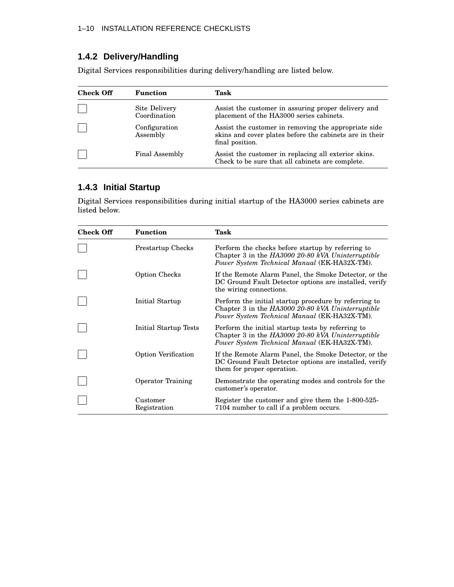#### **1.4.2 Delivery/Handling**

Digital Services responsibilities during delivery/handling are listed below.

| <b>Check Off</b> | <b>Function</b>               | Task                                                                                                                               |  |  |
|------------------|-------------------------------|------------------------------------------------------------------------------------------------------------------------------------|--|--|
|                  | Site Delivery<br>Coordination | Assist the customer in assuring proper delivery and<br>placement of the HA3000 series cabinets.                                    |  |  |
|                  | Configuration<br>Assembly     | Assist the customer in removing the appropriate side<br>skins and cover plates before the cabinets are in their<br>final position. |  |  |
|                  | Final Assembly                | Assist the customer in replacing all exterior skins.<br>Check to be sure that all cabinets are complete.                           |  |  |

#### **1.4.3 Initial Startup**

Digital Services responsibilities during initial startup of the HA3000 series cabinets are listed below.

| <b>Check Off</b> | <b>Function</b>            | <b>Task</b>                                                                                                                                                |  |  |  |
|------------------|----------------------------|------------------------------------------------------------------------------------------------------------------------------------------------------------|--|--|--|
|                  | Prestartup Checks          | Perform the checks before startup by referring to<br>Chapter 3 in the HA3000 20-80 kVA Uninterruptible<br>Power System Technical Manual (EK-HA32X-TM).     |  |  |  |
|                  | Option Checks              | If the Remote Alarm Panel, the Smoke Detector, or the<br>DC Ground Fault Detector options are installed, verify<br>the wiring connections.                 |  |  |  |
|                  | Initial Startup            | Perform the initial startup procedure by referring to<br>Chapter 3 in the HA3000 20-80 kVA Uninterruptible<br>Power System Technical Manual (EK-HA32X-TM). |  |  |  |
|                  | Initial Startup Tests      | Perform the initial startup tests by referring to<br>Chapter 3 in the HA3000 20-80 kVA Uninterruptible<br>Power System Technical Manual (EK-HA32X-TM).     |  |  |  |
|                  | <b>Option Verification</b> | If the Remote Alarm Panel, the Smoke Detector, or the<br>DC Ground Fault Detector options are installed, verify<br>them for proper operation.              |  |  |  |
|                  | <b>Operator Training</b>   | Demonstrate the operating modes and controls for the<br>customer's operator.                                                                               |  |  |  |
|                  | Customer<br>Registration   | Register the customer and give them the 1-800-525-<br>7104 number to call if a problem occurs.                                                             |  |  |  |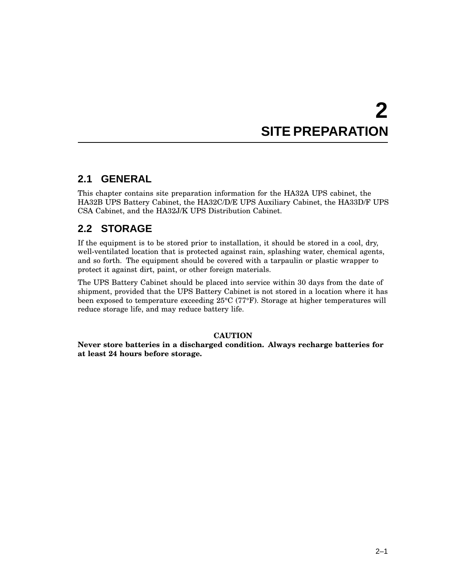# **2 SITE PREPARATION**

### **2.1 GENERAL**

This chapter contains site preparation information for the HA32A UPS cabinet, the HA32B UPS Battery Cabinet, the HA32C/D/E UPS Auxiliary Cabinet, the HA33D/F UPS CSA Cabinet, and the HA32J/K UPS Distribution Cabinet.

### **2.2 STORAGE**

If the equipment is to be stored prior to installation, it should be stored in a cool, dry, well-ventilated location that is protected against rain, splashing water, chemical agents, and so forth. The equipment should be covered with a tarpaulin or plastic wrapper to protect it against dirt, paint, or other foreign materials.

The UPS Battery Cabinet should be placed into service within 30 days from the date of shipment, provided that the UPS Battery Cabinet is not stored in a location where it has been exposed to temperature exceeding 25°C (77°F). Storage at higher temperatures will reduce storage life, and may reduce battery life.

#### **CAUTION**

**Never store batteries in a discharged condition. Always recharge batteries for at least 24 hours before storage.**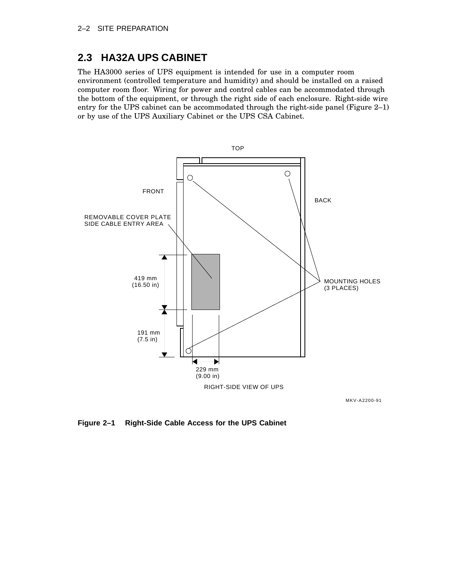### **2.3 HA32A UPS CABINET**

The HA3000 series of UPS equipment is intended for use in a computer room environment (controlled temperature and humidity) and should be installed on a raised computer room floor. Wiring for power and control cables can be accommodated through the bottom of the equipment, or through the right side of each enclosure. Right-side wire entry for the UPS cabinet can be accommodated through the right-side panel (Figure 2–1) or by use of the UPS Auxiliary Cabinet or the UPS CSA Cabinet.



MKV-A2200-91

**Figure 2–1 Right-Side Cable Access for the UPS Cabinet**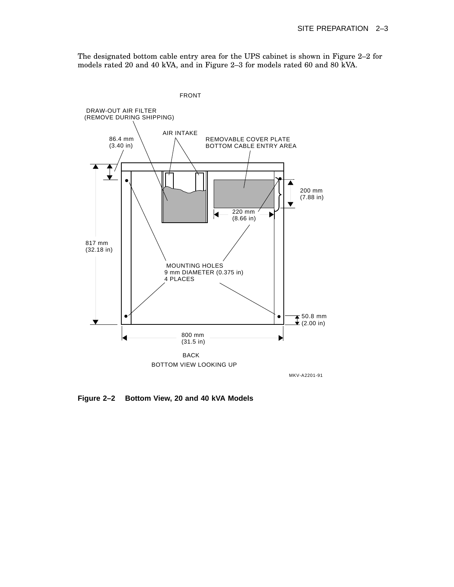The designated bottom cable entry area for the UPS cabinet is shown in Figure 2–2 for models rated 20 and 40 kVA, and in Figure 2–3 for models rated 60 and 80 kVA.



**Figure 2–2 Bottom View, 20 and 40 kVA Models**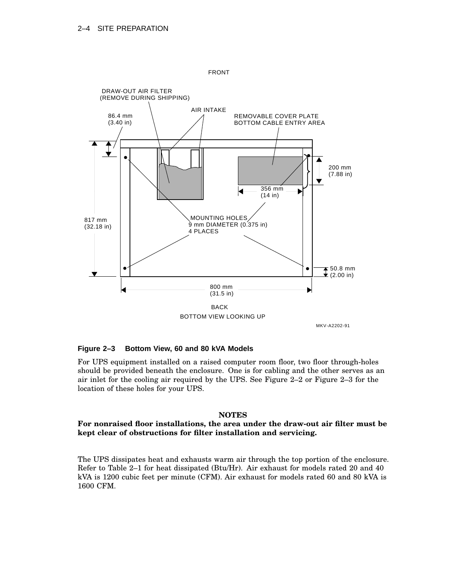

FRONT

MKV-A2202-91

#### **Figure 2–3 Bottom View, 60 and 80 kVA Models**

For UPS equipment installed on a raised computer room floor, two floor through-holes should be provided beneath the enclosure. One is for cabling and the other serves as an air inlet for the cooling air required by the UPS. See Figure 2–2 or Figure 2–3 for the location of these holes for your UPS.

#### **NOTES**

#### **For nonraised floor installations, the area under the draw-out air filter must be kept clear of obstructions for filter installation and servicing.**

The UPS dissipates heat and exhausts warm air through the top portion of the enclosure. Refer to Table 2–1 for heat dissipated (Btu/Hr). Air exhaust for models rated 20 and 40 kVA is 1200 cubic feet per minute (CFM). Air exhaust for models rated 60 and 80 kVA is 1600 CFM.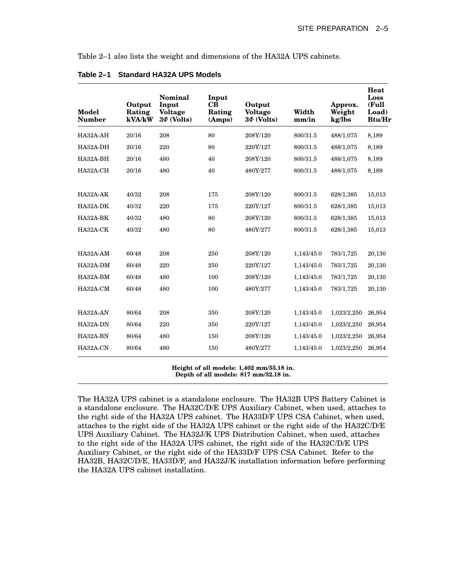Table 2–1 also lists the weight and dimensions of the HA32A UPS cabinets.

| Model<br><b>Number</b> | Output<br>Rating<br>kVA/kW | Nominal<br>Input<br><b>Voltage</b><br>$3\Phi$ (Volts) | Input<br>CB<br>Rating<br>(Amps) | Output<br><b>Voltage</b><br>$3\Phi$ (Volts) | Width<br>mm/in | Approx.<br>Weight<br>kg/lbs | Heat<br>Loss<br>(Full<br>Load)<br><b>Btu/Hr</b> |
|------------------------|----------------------------|-------------------------------------------------------|---------------------------------|---------------------------------------------|----------------|-----------------------------|-------------------------------------------------|
| HA32A-AH               | 20/16                      | 208                                                   | 80                              | 208Y/120                                    | 800/31.5       | 488/1,075                   | 8,189                                           |
| HA32A-DH               | 20/16                      | 220                                                   | 80                              | 220Y/127                                    | 800/31.5       | 488/1,075                   | 8,189                                           |
| HA32A-BH               | 20/16                      | 480                                                   | 40                              | 208Y/120                                    | 800/31.5       | 488/1,075                   | 8,189                                           |
| HA32A-CH               | 20/16                      | 480                                                   | 40                              | 480Y/277                                    | 800/31.5       | 488/1,075                   | 8,189                                           |
|                        |                            |                                                       |                                 |                                             |                |                             |                                                 |
| $HA32A-AK$             | 40/32                      | 208                                                   | 175                             | 208Y/120                                    | 800/31.5       | 628/1,385                   | 15,013                                          |
| HA32A-DK               | 40/32                      | 220                                                   | 175                             | 220Y/127                                    | 800/31.5       | 628/1,385                   | 15,013                                          |
| HA32A-BK               | 40/32                      | 480                                                   | 80                              | 208Y/120                                    | 800/31.5       | 628/1,385                   | 15,013                                          |
| HA32A-CK               | 40/32                      | 480                                                   | 80                              | 480Y/277                                    | 800/31.5       | 628/1,385                   | 15,013                                          |
|                        |                            |                                                       |                                 |                                             |                |                             |                                                 |
| $HA32A-AM$             | 60/48                      | 208                                                   | 250                             | 208Y/120                                    | 1,143/45.0     | 783/1,725                   | 20,130                                          |
| HA32A-DM               | 60/48                      | 220                                                   | 250                             | 220Y/127                                    | 1,143/45.0     | 783/1,725                   | 20,130                                          |
| HA32A-BM               | 60/48                      | 480                                                   | 100                             | 208Y/120                                    | 1,143/45.0     | 783/1,725                   | 20,130                                          |
| HA32A-CM               | 60/48                      | 480                                                   | 100                             | 480Y/277                                    | 1,143/45.0     | 783/1,725                   | 20,130                                          |
|                        |                            |                                                       |                                 |                                             |                |                             |                                                 |
| HA32A-AN               | 80/64                      | 208                                                   | 350                             | 208Y/120                                    | 1,143/45.0     | 1,023/2,250                 | 26,954                                          |
| HA32A-DN               | 80/64                      | 220                                                   | 350                             | 220Y/127                                    | 1,143/45.0     | 1,023/2,250                 | 26,954                                          |
| HA32A-BN               | 80/64                      | 480                                                   | 150                             | 208Y/120                                    | 1,143/45.0     | 1,023/2,250                 | 26,954                                          |
| HA32A-CN               | 80/64                      | 480                                                   | 150                             | 480Y/277                                    | 1,143/45.0     | 1,023/2,250                 | 26,954                                          |

**Table 2–1 Standard HA32A UPS Models**

**Height of all models: 1,402 mm/55.18 in. Depth of all models: 817 mm/32.18 in.**

The HA32A UPS cabinet is a standalone enclosure. The HA32B UPS Battery Cabinet is a standalone enclosure. The HA32C/D/E UPS Auxiliary Cabinet, when used, attaches to the right side of the HA32A UPS cabinet. The HA33D/F UPS CSA Cabinet, when used, attaches to the right side of the HA32A UPS cabinet or the right side of the HA32C/D/E UPS Auxiliary Cabinet. The HA32J/K UPS Distribution Cabinet, when used, attaches to the right side of the HA32A UPS cabinet, the right side of the HA32C/D/E UPS Auxiliary Cabinet, or the right side of the HA33D/F UPS CSA Cabinet. Refer to the HA32B, HA32C/D/E, HA33D/F, and HA32J/K installation information before performing the HA32A UPS cabinet installation.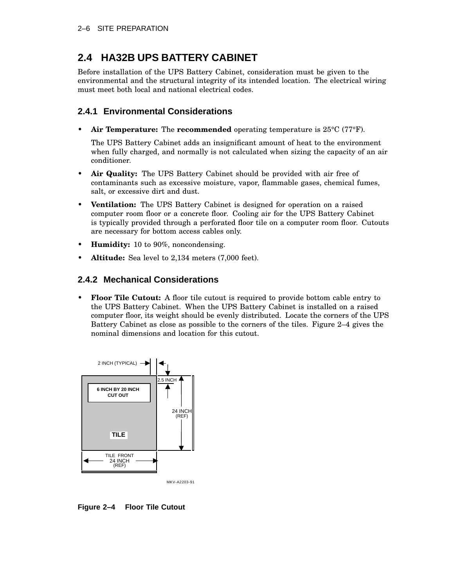### **2.4 HA32B UPS BATTERY CABINET**

Before installation of the UPS Battery Cabinet, consideration must be given to the environmental and the structural integrity of its intended location. The electrical wiring must meet both local and national electrical codes.

#### **2.4.1 Environmental Considerations**

• **Air Temperature:** The **recommended** operating temperature is 25°C (77°F).

The UPS Battery Cabinet adds an insignificant amount of heat to the environment when fully charged, and normally is not calculated when sizing the capacity of an air conditioner.

- **Air Quality:** The UPS Battery Cabinet should be provided with air free of contaminants such as excessive moisture, vapor, flammable gases, chemical fumes, salt, or excessive dirt and dust.
- **Ventilation:** The UPS Battery Cabinet is designed for operation on a raised computer room floor or a concrete floor. Cooling air for the UPS Battery Cabinet is typically provided through a perforated floor tile on a computer room floor. Cutouts are necessary for bottom access cables only.
- **Humidity:** 10 to 90%, noncondensing.
- **Altitude:** Sea level to 2,134 meters (7,000 feet).

#### **2.4.2 Mechanical Considerations**

• **Floor Tile Cutout:** A floor tile cutout is required to provide bottom cable entry to the UPS Battery Cabinet. When the UPS Battery Cabinet is installed on a raised computer floor, its weight should be evenly distributed. Locate the corners of the UPS Battery Cabinet as close as possible to the corners of the tiles. Figure 2–4 gives the nominal dimensions and location for this cutout.



**Figure 2–4 Floor Tile Cutout**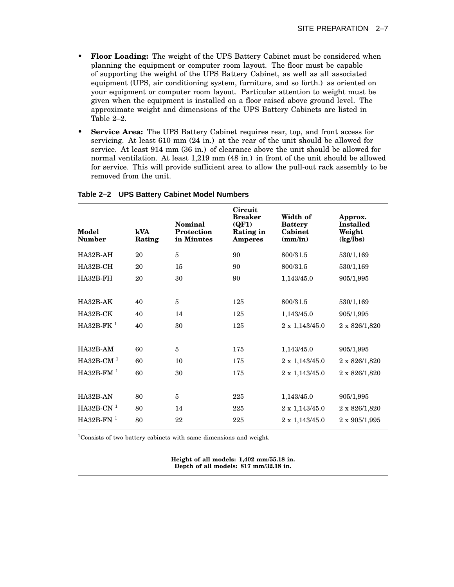- **Floor Loading:** The weight of the UPS Battery Cabinet must be considered when planning the equipment or computer room layout. The floor must be capable of supporting the weight of the UPS Battery Cabinet, as well as all associated equipment (UPS, air conditioning system, furniture, and so forth.) as oriented on your equipment or computer room layout. Particular attention to weight must be given when the equipment is installed on a floor raised above ground level. The approximate weight and dimensions of the UPS Battery Cabinets are listed in Table 2–2.
- **Service Area:** The UPS Battery Cabinet requires rear, top, and front access for servicing. At least 610 mm (24 in.) at the rear of the unit should be allowed for service. At least 914 mm (36 in.) of clearance above the unit should be allowed for normal ventilation. At least 1,219 mm (48 in.) in front of the unit should be allowed for service. This will provide sufficient area to allow the pull-out rack assembly to be removed from the unit.

| Model<br><b>Number</b> | kVA<br>Rating | Nominal<br>Protection<br>in Minutes | Circuit<br><b>Breaker</b><br>(QF1)<br>Rating in<br><b>Amperes</b> | Width of<br><b>Battery</b><br>Cabinet<br>$\textbf{(mm/in)}$ | Approx.<br><b>Installed</b><br>Weight<br>(kg/lbs) |
|------------------------|---------------|-------------------------------------|-------------------------------------------------------------------|-------------------------------------------------------------|---------------------------------------------------|
| HA32B-AH               | 20            | 5                                   | 90                                                                | 800/31.5                                                    | 530/1,169                                         |
| HA32B-CH               | 20            | 15                                  | 90                                                                | 800/31.5                                                    | 530/1,169                                         |
| HA32B-FH               | 20            | 30                                  | 90                                                                | 1,143/45.0                                                  | 905/1,995                                         |
|                        |               |                                     |                                                                   |                                                             |                                                   |
| $HA32B-AK$             | 40            | 5                                   | 125                                                               | 800/31.5                                                    | 530/1,169                                         |
| HA32B-CK               | 40            | 14                                  | 125                                                               | 1,143/45.0                                                  | 905/1,995                                         |
| $HA32B-FK1$            | 40            | 30                                  | 125                                                               | 2 x 1,143/45.0                                              | 2 x 826/1,820                                     |
|                        |               |                                     |                                                                   |                                                             |                                                   |
| $HA32B-AM$             | 60            | 5                                   | 175                                                               | 1,143/45.0                                                  | 905/1,995                                         |
| HA32B-CM $1$           | 60            | 10                                  | 175                                                               | 2 x 1,143/45.0                                              | 2 x 826/1,820                                     |
| $HA32B-FM1$            | 60            | 30                                  | 175                                                               | $2 \times 1,143/45.0$                                       | 2 x 826/1,820                                     |
|                        |               |                                     |                                                                   |                                                             |                                                   |
| HA32B-AN               | 80            | $\overline{5}$                      | 225                                                               | 1,143/45.0                                                  | 905/1,995                                         |
| $HA32B-CN1$            | 80            | 14                                  | 225                                                               | $2 \times 1,143/45.0$                                       | 2 x 826/1,820                                     |
| $HA32B-FN1$            | 80            | 22                                  | 225                                                               | $2 \times 1,143/45.0$                                       | $2 \times 905/1,995$                              |
|                        |               |                                     |                                                                   |                                                             |                                                   |

#### **Table 2–2 UPS Battery Cabinet Model Numbers**

 $^1\!{\rm Consists}$  of two battery cabinets with same dimensions and weight.

**Height of all models: 1,402 mm/55.18 in. Depth of all models: 817 mm/32.18 in.**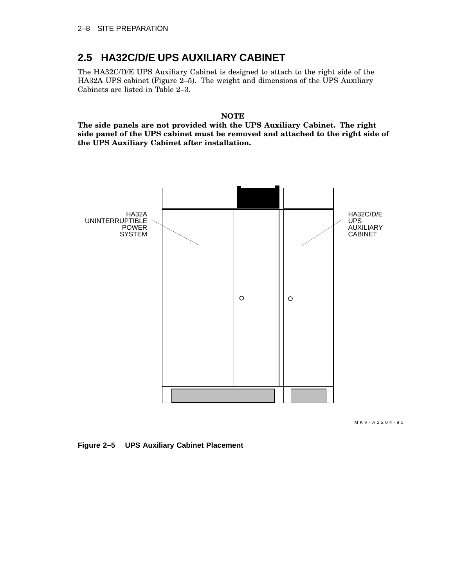#### **2.5 HA32C/D/E UPS AUXILIARY CABINET**

The HA32C/D/E UPS Auxiliary Cabinet is designed to attach to the right side of the HA32A UPS cabinet (Figure 2–5). The weight and dimensions of the UPS Auxiliary Cabinets are listed in Table 2–3.

**NOTE**

**The side panels are not provided with the UPS Auxiliary Cabinet. The right side panel of the UPS cabinet must be removed and attached to the right side of the UPS Auxiliary Cabinet after installation.**



MKV-A2204-91

**Figure 2–5 UPS Auxiliary Cabinet Placement**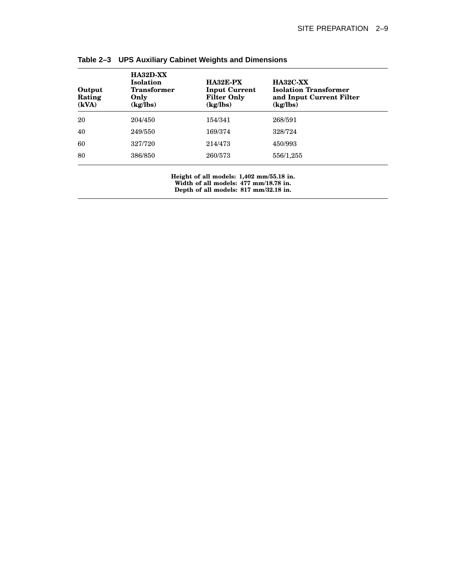| Output<br>Rating<br>(kVA) | $HA32D-XX$<br><b>Isolation</b><br><b>Transformer</b><br>Only<br>(kg/lbs) | HA32E-PX<br><b>Input Current</b><br><b>Filter Only</b><br>(kg/lbs) | <b>HA32C-XX</b><br><b>Isolation Transformer</b><br>and Input Current Filter<br>(kg/lbs) |  |
|---------------------------|--------------------------------------------------------------------------|--------------------------------------------------------------------|-----------------------------------------------------------------------------------------|--|
| 20                        | 204/450                                                                  | 154/341                                                            | 268/591                                                                                 |  |
| 40                        | 249/550                                                                  | 169/374                                                            | 328/724                                                                                 |  |
| 60                        | 327/720                                                                  | 214/473                                                            | 450/993                                                                                 |  |
| 80                        | 386/850                                                                  | 260/573                                                            | 556/1,255                                                                               |  |

**Table 2–3 UPS Auxiliary Cabinet Weights and Dimensions**

**Height of all models: 1,402 mm/55.18 in. Width of all models: 477 mm/18.78 in. Depth of all models: 817 mm/32.18 in.**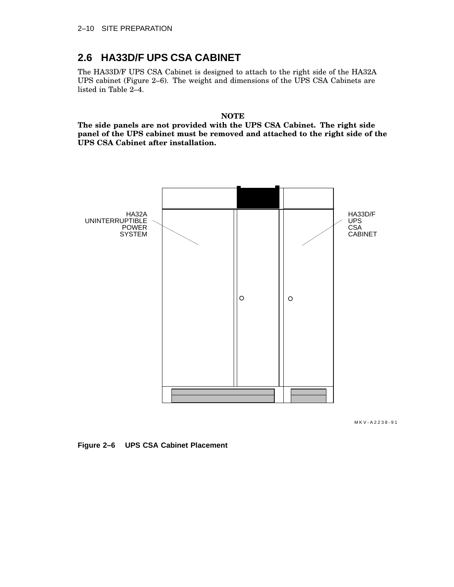### **2.6 HA33D/F UPS CSA CABINET**

The HA33D/F UPS CSA Cabinet is designed to attach to the right side of the HA32A UPS cabinet (Figure 2–6). The weight and dimensions of the UPS CSA Cabinets are listed in Table 2–4.

**NOTE**

**The side panels are not provided with the UPS CSA Cabinet. The right side panel of the UPS cabinet must be removed and attached to the right side of the UPS CSA Cabinet after installation.**



MKV-A2238-91

**Figure 2–6 UPS CSA Cabinet Placement**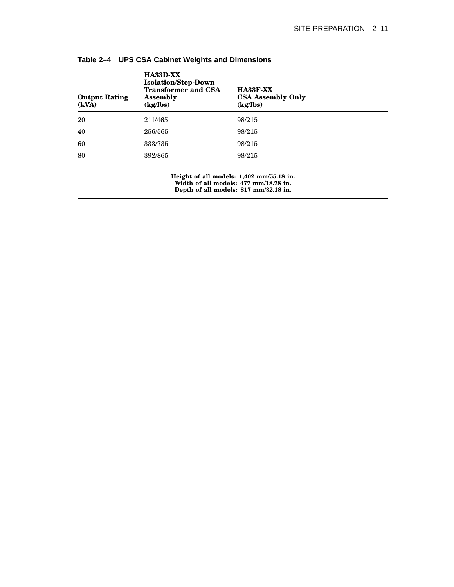| <b>Output Rating</b><br>(kVA) | HA33D-XX<br><b>Isolation/Step-Down</b><br><b>Transformer and CSA</b><br><b>Assembly</b><br>(kg/lbs) | <b>HA33F-XX</b><br><b>CSA Assembly Only</b><br>(kg/lbs) |  |
|-------------------------------|-----------------------------------------------------------------------------------------------------|---------------------------------------------------------|--|
| 20                            | 211/465                                                                                             | 98/215                                                  |  |
| 40                            | 256/565                                                                                             | 98/215                                                  |  |
| 60                            | 333/735                                                                                             | 98/215                                                  |  |
| 80                            | 392/865                                                                                             | 98/215                                                  |  |

**Table 2–4 UPS CSA Cabinet Weights and Dimensions**

**Height of all models: 1,402 mm/55.18 in. Width of all models: 477 mm/18.78 in. Depth of all models: 817 mm/32.18 in.**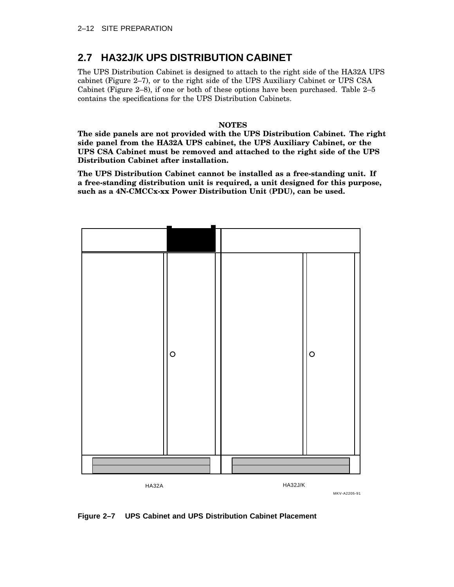### **2.7 HA32J/K UPS DISTRIBUTION CABINET**

The UPS Distribution Cabinet is designed to attach to the right side of the HA32A UPS cabinet (Figure 2–7), or to the right side of the UPS Auxiliary Cabinet or UPS CSA Cabinet (Figure 2–8), if one or both of these options have been purchased. Table 2–5 contains the specifications for the UPS Distribution Cabinets.

#### **NOTES**

**The side panels are not provided with the UPS Distribution Cabinet. The right side panel from the HA32A UPS cabinet, the UPS Auxiliary Cabinet, or the UPS CSA Cabinet must be removed and attached to the right side of the UPS Distribution Cabinet after installation.**

**The UPS Distribution Cabinet cannot be installed as a free-standing unit. If a free-standing distribution unit is required, a unit designed for this purpose, such as a 4N-CMCCx-xx Power Distribution Unit (PDU), can be used.**



**Figure 2–7 UPS Cabinet and UPS Distribution Cabinet Placement**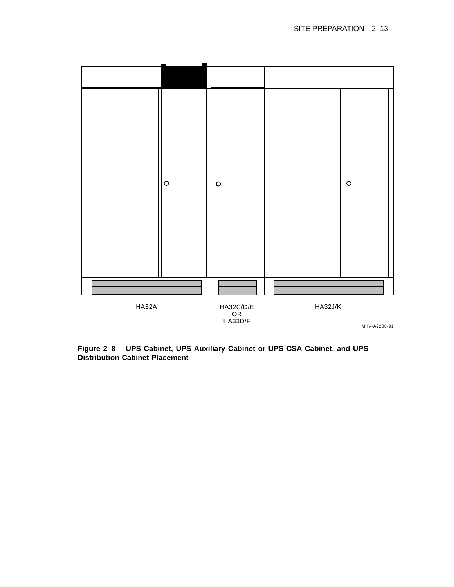

**Figure 2–8 UPS Cabinet, UPS Auxiliary Cabinet or UPS CSA Cabinet, and UPS Distribution Cabinet Placement**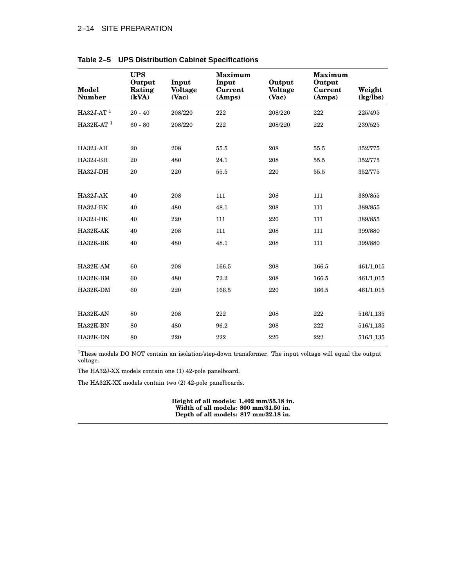#### 2–14 SITE PREPARATION

| Model<br><b>Number</b>  | <b>UPS</b><br>Output<br>Rating<br>(kVA) | Input<br><b>Voltage</b><br>(Vac) | <b>Maximum</b><br>Input<br>Current<br>(Amps) | Output<br><b>Voltage</b><br>(Vac) | <b>Maximum</b><br>Output<br>Current<br>(Amps) | Weight<br>(kg/lbs) |
|-------------------------|-----------------------------------------|----------------------------------|----------------------------------------------|-----------------------------------|-----------------------------------------------|--------------------|
| $HA32J-AT$ <sup>1</sup> | $20 - 40$                               | 208/220                          | 222                                          | 208/220                           | 222                                           | 225/495            |
| $HA32K-AT$ <sup>1</sup> | $60 - 80$                               | 208/220                          | 222                                          | 208/220                           | 222                                           | 239/525            |
| HA32J-AH                | 20                                      | 208                              | 55.5                                         | 208                               | 55.5                                          | 352/775            |
| HA32J-BH                | 20                                      | 480                              | 24.1                                         | 208                               | 55.5                                          | 352/775            |
| HA32J-DH                | 20                                      | 220                              | 55.5                                         | 220                               | 55.5                                          | 352/775            |
| <b>HA32J-AK</b>         | 40                                      | 208                              | 111                                          | 208                               | 111                                           | 389/855            |
| HA32J-BK                | 40                                      | 480                              | 48.1                                         | 208                               | 111                                           | 389/855            |
| HA32J-DK                | 40                                      | 220                              | 111                                          | 220                               | 111                                           | 389/855            |
| HA32K-AK                | 40                                      | 208                              | 111                                          | 208                               | 111                                           | 399/880            |
| HA32K-BK                | 40                                      | 480                              | 48.1                                         | 208                               | 111                                           | 399/880            |
|                         |                                         |                                  |                                              |                                   |                                               |                    |
| HA32K-AM                | 60                                      | 208                              | 166.5                                        | 208                               | 166.5                                         | 461/1,015          |
| HA32K-BM                | 60                                      | 480                              | 72.2                                         | 208                               | 166.5                                         | 461/1,015          |
| HA32K-DM                | 60                                      | 220                              | 166.5                                        | 220                               | 166.5                                         | 461/1,015          |
| HA32K-AN                | 80                                      | 208                              | 222                                          | 208                               | 222                                           | 516/1,135          |
| HA32K-BN                | 80                                      | 480                              | 96.2                                         | 208                               | 222                                           | 516/1,135          |
| HA32K-DN                | 80                                      | 220                              | 222                                          | 220                               | 222                                           | 516/1,135          |

#### **Table 2–5 UPS Distribution Cabinet Specifications**

<sup>1</sup>These models DO NOT contain an isolation/step-down transformer. The input voltage will equal the output voltage.

The HA32J-XX models contain one (1) 42-pole panelboard.

The HA32K-XX models contain two (2) 42-pole panelboards.

**Height of all models: 1,402 mm/55.18 in. Width of all models: 800 mm/31.50 in. Depth of all models: 817 mm/32.18 in.**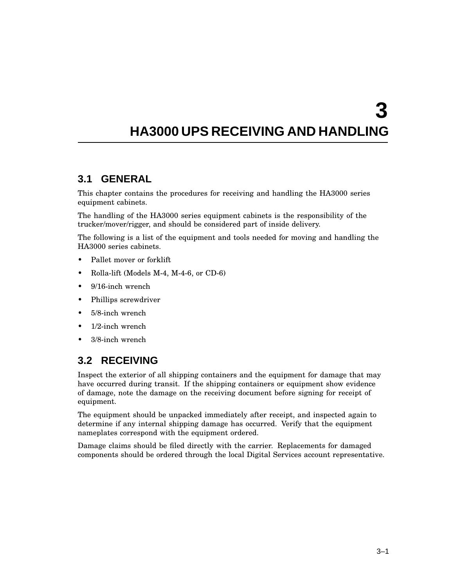# **HA3000 UPS RECEIVING AND HANDLING**

#### **3.1 GENERAL**

This chapter contains the procedures for receiving and handling the HA3000 series equipment cabinets.

The handling of the HA3000 series equipment cabinets is the responsibility of the trucker/mover/rigger, and should be considered part of inside delivery.

The following is a list of the equipment and tools needed for moving and handling the HA3000 series cabinets.

- Pallet mover or forklift
- Rolla-lift (Models M-4, M-4-6, or CD-6)
- 9/16-inch wrench
- Phillips screwdriver
- 5/8-inch wrench
- 1/2-inch wrench
- 3/8-inch wrench

### **3.2 RECEIVING**

Inspect the exterior of all shipping containers and the equipment for damage that may have occurred during transit. If the shipping containers or equipment show evidence of damage, note the damage on the receiving document before signing for receipt of equipment.

The equipment should be unpacked immediately after receipt, and inspected again to determine if any internal shipping damage has occurred. Verify that the equipment nameplates correspond with the equipment ordered.

Damage claims should be filed directly with the carrier. Replacements for damaged components should be ordered through the local Digital Services account representative.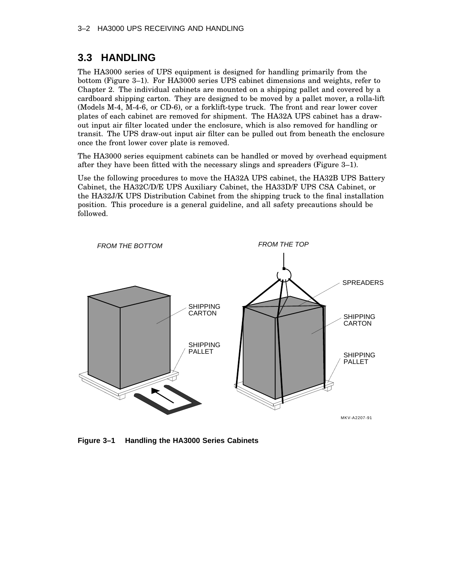#### **3.3 HANDLING**

The HA3000 series of UPS equipment is designed for handling primarily from the bottom (Figure 3–1). For HA3000 series UPS cabinet dimensions and weights, refer to Chapter 2. The individual cabinets are mounted on a shipping pallet and covered by a cardboard shipping carton. They are designed to be moved by a pallet mover, a rolla-lift (Models M-4, M-4-6, or CD-6), or a forklift-type truck. The front and rear lower cover plates of each cabinet are removed for shipment. The HA32A UPS cabinet has a drawout input air filter located under the enclosure, which is also removed for handling or transit. The UPS draw-out input air filter can be pulled out from beneath the enclosure once the front lower cover plate is removed.

The HA3000 series equipment cabinets can be handled or moved by overhead equipment after they have been fitted with the necessary slings and spreaders (Figure 3–1).

Use the following procedures to move the HA32A UPS cabinet, the HA32B UPS Battery Cabinet, the HA32C/D/E UPS Auxiliary Cabinet, the HA33D/F UPS CSA Cabinet, or the HA32J/K UPS Distribution Cabinet from the shipping truck to the final installation position. This procedure is a general guideline, and all safety precautions should be followed.



**Figure 3–1 Handling the HA3000 Series Cabinets**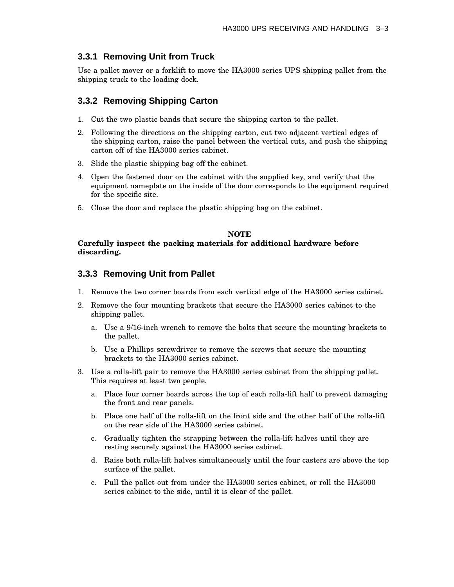### **3.3.1 Removing Unit from Truck**

Use a pallet mover or a forklift to move the HA3000 series UPS shipping pallet from the shipping truck to the loading dock.

### **3.3.2 Removing Shipping Carton**

- 1. Cut the two plastic bands that secure the shipping carton to the pallet.
- 2. Following the directions on the shipping carton, cut two adjacent vertical edges of the shipping carton, raise the panel between the vertical cuts, and push the shipping carton off of the HA3000 series cabinet.
- 3. Slide the plastic shipping bag off the cabinet.
- 4. Open the fastened door on the cabinet with the supplied key, and verify that the equipment nameplate on the inside of the door corresponds to the equipment required for the specific site.
- 5. Close the door and replace the plastic shipping bag on the cabinet.

#### **NOTE Carefully inspect the packing materials for additional hardware before discarding.**

### **3.3.3 Removing Unit from Pallet**

- 1. Remove the two corner boards from each vertical edge of the HA3000 series cabinet.
- 2. Remove the four mounting brackets that secure the HA3000 series cabinet to the shipping pallet.
	- a. Use a 9/16-inch wrench to remove the bolts that secure the mounting brackets to the pallet.
	- b. Use a Phillips screwdriver to remove the screws that secure the mounting brackets to the HA3000 series cabinet.
- 3. Use a rolla-lift pair to remove the HA3000 series cabinet from the shipping pallet. This requires at least two people.
	- a. Place four corner boards across the top of each rolla-lift half to prevent damaging the front and rear panels.
	- b. Place one half of the rolla-lift on the front side and the other half of the rolla-lift on the rear side of the HA3000 series cabinet.
	- c. Gradually tighten the strapping between the rolla-lift halves until they are resting securely against the HA3000 series cabinet.
	- d. Raise both rolla-lift halves simultaneously until the four casters are above the top surface of the pallet.
	- e. Pull the pallet out from under the HA3000 series cabinet, or roll the HA3000 series cabinet to the side, until it is clear of the pallet.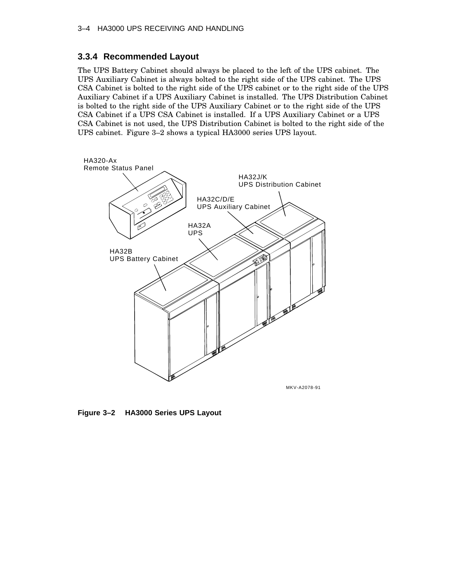### **3.3.4 Recommended Layout**

The UPS Battery Cabinet should always be placed to the left of the UPS cabinet. The UPS Auxiliary Cabinet is always bolted to the right side of the UPS cabinet. The UPS CSA Cabinet is bolted to the right side of the UPS cabinet or to the right side of the UPS Auxiliary Cabinet if a UPS Auxiliary Cabinet is installed. The UPS Distribution Cabinet is bolted to the right side of the UPS Auxiliary Cabinet or to the right side of the UPS CSA Cabinet if a UPS CSA Cabinet is installed. If a UPS Auxiliary Cabinet or a UPS CSA Cabinet is not used, the UPS Distribution Cabinet is bolted to the right side of the UPS cabinet. Figure 3–2 shows a typical HA3000 series UPS layout.



**Figure 3–2 HA3000 Series UPS Layout**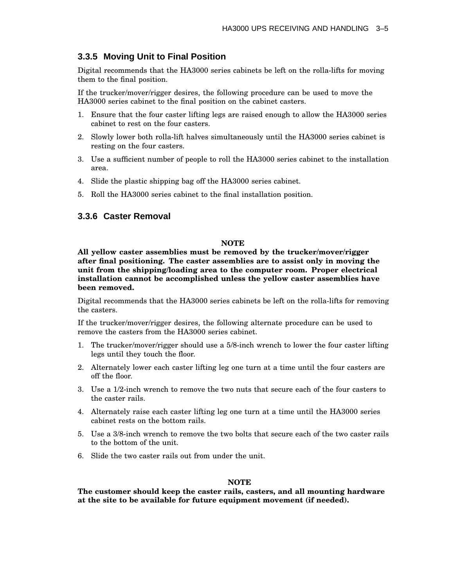### **3.3.5 Moving Unit to Final Position**

Digital recommends that the HA3000 series cabinets be left on the rolla-lifts for moving them to the final position.

If the trucker/mover/rigger desires, the following procedure can be used to move the HA3000 series cabinet to the final position on the cabinet casters.

- 1. Ensure that the four caster lifting legs are raised enough to allow the HA3000 series cabinet to rest on the four casters.
- 2. Slowly lower both rolla-lift halves simultaneously until the HA3000 series cabinet is resting on the four casters.
- 3. Use a sufficient number of people to roll the HA3000 series cabinet to the installation area.
- 4. Slide the plastic shipping bag off the HA3000 series cabinet.
- 5. Roll the HA3000 series cabinet to the final installation position.

### **3.3.6 Caster Removal**

#### **NOTE**

**All yellow caster assemblies must be removed by the trucker/mover/rigger after final positioning. The caster assemblies are to assist only in moving the unit from the shipping/loading area to the computer room. Proper electrical installation cannot be accomplished unless the yellow caster assemblies have been removed.**

Digital recommends that the HA3000 series cabinets be left on the rolla-lifts for removing the casters.

If the trucker/mover/rigger desires, the following alternate procedure can be used to remove the casters from the HA3000 series cabinet.

- 1. The trucker/mover/rigger should use a 5/8-inch wrench to lower the four caster lifting legs until they touch the floor.
- 2. Alternately lower each caster lifting leg one turn at a time until the four casters are off the floor.
- 3. Use a 1/2-inch wrench to remove the two nuts that secure each of the four casters to the caster rails.
- 4. Alternately raise each caster lifting leg one turn at a time until the HA3000 series cabinet rests on the bottom rails.
- 5. Use a 3/8-inch wrench to remove the two bolts that secure each of the two caster rails to the bottom of the unit.
- 6. Slide the two caster rails out from under the unit.

#### **NOTE**

**The customer should keep the caster rails, casters, and all mounting hardware at the site to be available for future equipment movement (if needed).**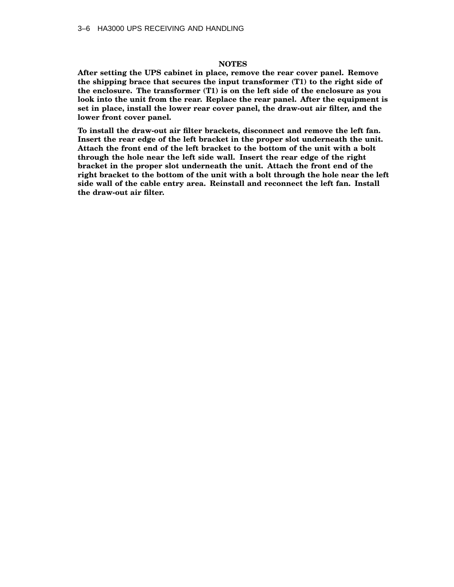#### **NOTES**

**After setting the UPS cabinet in place, remove the rear cover panel. Remove the shipping brace that secures the input transformer (T1) to the right side of the enclosure. The transformer (T1) is on the left side of the enclosure as you look into the unit from the rear. Replace the rear panel. After the equipment is set in place, install the lower rear cover panel, the draw-out air filter, and the lower front cover panel.**

**To install the draw-out air filter brackets, disconnect and remove the left fan. Insert the rear edge of the left bracket in the proper slot underneath the unit. Attach the front end of the left bracket to the bottom of the unit with a bolt through the hole near the left side wall. Insert the rear edge of the right bracket in the proper slot underneath the unit. Attach the front end of the right bracket to the bottom of the unit with a bolt through the hole near the left side wall of the cable entry area. Reinstall and reconnect the left fan. Install the draw-out air filter.**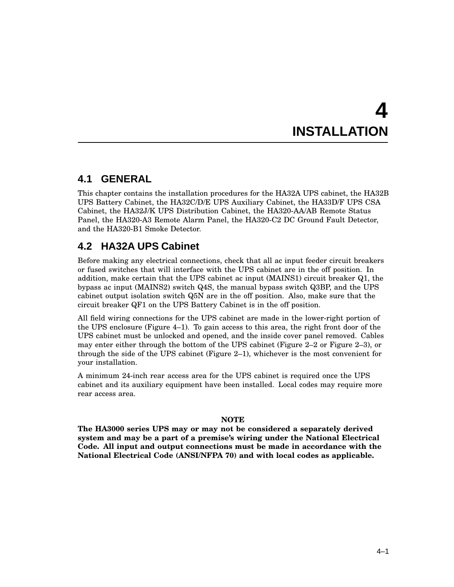# **4 INSTALLATION**

# **4.1 GENERAL**

This chapter contains the installation procedures for the HA32A UPS cabinet, the HA32B UPS Battery Cabinet, the HA32C/D/E UPS Auxiliary Cabinet, the HA33D/F UPS CSA Cabinet, the HA32J/K UPS Distribution Cabinet, the HA320-AA/AB Remote Status Panel, the HA320-A3 Remote Alarm Panel, the HA320-C2 DC Ground Fault Detector, and the HA320-B1 Smoke Detector.

# **4.2 HA32A UPS Cabinet**

Before making any electrical connections, check that all ac input feeder circuit breakers or fused switches that will interface with the UPS cabinet are in the off position. In addition, make certain that the UPS cabinet ac input (MAINS1) circuit breaker Q1, the bypass ac input (MAINS2) switch Q4S, the manual bypass switch Q3BP, and the UPS cabinet output isolation switch Q5N are in the off position. Also, make sure that the circuit breaker QF1 on the UPS Battery Cabinet is in the off position.

All field wiring connections for the UPS cabinet are made in the lower-right portion of the UPS enclosure (Figure 4–1). To gain access to this area, the right front door of the UPS cabinet must be unlocked and opened, and the inside cover panel removed. Cables may enter either through the bottom of the UPS cabinet (Figure 2–2 or Figure 2–3), or through the side of the UPS cabinet (Figure 2–1), whichever is the most convenient for your installation.

A minimum 24-inch rear access area for the UPS cabinet is required once the UPS cabinet and its auxiliary equipment have been installed. Local codes may require more rear access area.

### **NOTE**

**The HA3000 series UPS may or may not be considered a separately derived system and may be a part of a premise's wiring under the National Electrical Code. All input and output connections must be made in accordance with the National Electrical Code (ANSI/NFPA 70) and with local codes as applicable.**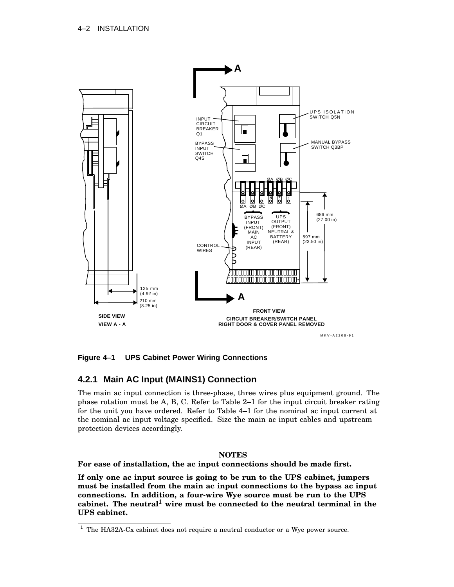

**Figure 4–1 UPS Cabinet Power Wiring Connections**

### **4.2.1 Main AC Input (MAINS1) Connection**

The main ac input connection is three-phase, three wires plus equipment ground. The phase rotation must be A, B, C. Refer to Table 2–1 for the input circuit breaker rating for the unit you have ordered. Refer to Table 4–1 for the nominal ac input current at the nominal ac input voltage specified. Size the main ac input cables and upstream protection devices accordingly.

### **NOTES**

**For ease of installation, the ac input connections should be made first.**

**If only one ac input source is going to be run to the UPS cabinet, jumpers must be installed from the main ac input connections to the bypass ac input connections. In addition, a four-wire Wye source must be run to the UPS cabinet. The neutral<sup>1</sup> wire must be connected to the neutral terminal in the UPS cabinet.**

 $1$  The HA32A-Cx cabinet does not require a neutral conductor or a Wye power source.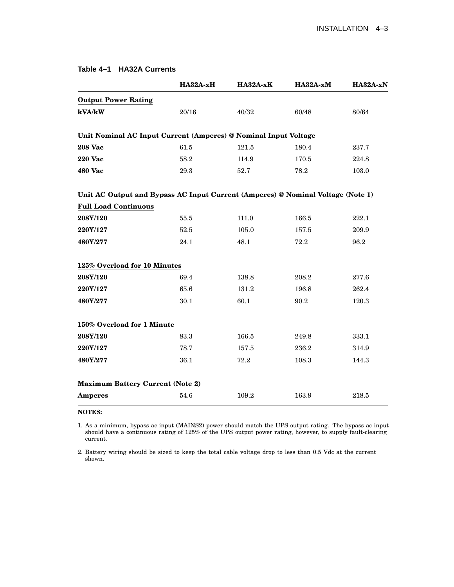|                                                                                 | HA32A-xH | HA32A-xK | HA32A-xM | HA32A-xN |
|---------------------------------------------------------------------------------|----------|----------|----------|----------|
| <b>Output Power Rating</b>                                                      |          |          |          |          |
| kVA/kW                                                                          | 20/16    | 40/32    | 60/48    | 80/64    |
| Unit Nominal AC Input Current (Amperes) @ Nominal Input Voltage                 |          |          |          |          |
| <b>208 Vac</b>                                                                  | 61.5     | 121.5    | 180.4    | 237.7    |
| <b>220 Vac</b>                                                                  | 58.2     | 114.9    | 170.5    | 224.8    |
| <b>480 Vac</b>                                                                  | 29.3     | 52.7     | 78.2     | 103.0    |
| Unit AC Output and Bypass AC Input Current (Amperes) @ Nominal Voltage (Note 1) |          |          |          |          |
| <b>Full Load Continuous</b>                                                     |          |          |          |          |
| 208Y/120                                                                        | 55.5     | 111.0    | 166.5    | 222.1    |
| 220Y/127                                                                        | 52.5     | 105.0    | 157.5    | 209.9    |
| 480Y/277                                                                        | 24.1     | 48.1     | 72.2     | 96.2     |
| 125% Overload for 10 Minutes                                                    |          |          |          |          |
| 208Y/120                                                                        | 69.4     | 138.8    | 208.2    | 277.6    |
| 220Y/127                                                                        | 65.6     | 131.2    | 196.8    | 262.4    |
| 480Y/277                                                                        | 30.1     | 60.1     | 90.2     | 120.3    |
| 150% Overload for 1 Minute                                                      |          |          |          |          |
| 208Y/120                                                                        | 83.3     | 166.5    | 249.8    | 333.1    |
| 220Y/127                                                                        | 78.7     | 157.5    | 236.2    | 314.9    |
| 480Y/277                                                                        | 36.1     | 72.2     | 108.3    | 144.3    |
| <b>Maximum Battery Current (Note 2)</b>                                         |          |          |          |          |
| <b>Amperes</b>                                                                  | 54.6     | 109.2    | 163.9    | 218.5    |
| <b>NOTES:</b>                                                                   |          |          |          |          |

### **Table 4–1 HA32A Currents**

1. As a minimum, bypass ac input (MAINS2) power should match the UPS output rating. The bypass ac input should have a continuous rating of 125% of the UPS output power rating, however, to supply fault-clearing current.

2. Battery wiring should be sized to keep the total cable voltage drop to less than 0.5 Vdc at the current shown.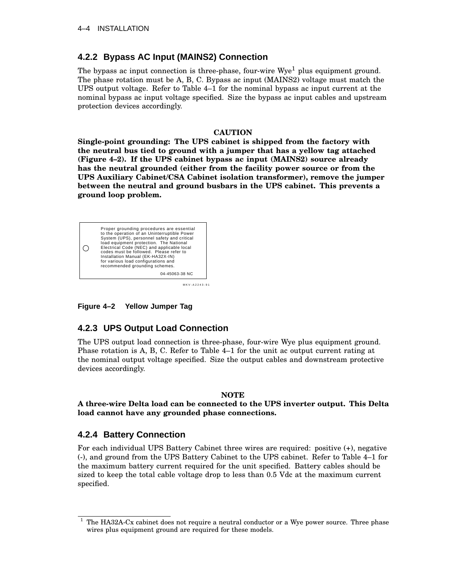### **4.2.2 Bypass AC Input (MAINS2) Connection**

The bypass ac input connection is three-phase, four-wire  $Wye<sup>1</sup>$  plus equipment ground. The phase rotation must be A, B, C. Bypass ac input (MAINS2) voltage must match the UPS output voltage. Refer to Table 4–1 for the nominal bypass ac input current at the nominal bypass ac input voltage specified. Size the bypass ac input cables and upstream protection devices accordingly.

### **CAUTION**

**Single-point grounding: The UPS cabinet is shipped from the factory with the neutral bus tied to ground with a jumper that has a yellow tag attached (Figure 4–2). If the UPS cabinet bypass ac input (MAINS2) source already has the neutral grounded (either from the facility power source or from the UPS Auxiliary Cabinet/CSA Cabinet isolation transformer), remove the jumper between the neutral and ground busbars in the UPS cabinet. This prevents a ground loop problem.**



MKV-A2243-91

**Figure 4–2 Yellow Jumper Tag**

### **4.2.3 UPS Output Load Connection**

The UPS output load connection is three-phase, four-wire Wye plus equipment ground. Phase rotation is A, B, C. Refer to Table 4–1 for the unit ac output current rating at the nominal output voltage specified. Size the output cables and downstream protective devices accordingly.

### **NOTE**

### **A three-wire Delta load can be connected to the UPS inverter output. This Delta load cannot have any grounded phase connections.**

### **4.2.4 Battery Connection**

For each individual UPS Battery Cabinet three wires are required: positive (+), negative (-), and ground from the UPS Battery Cabinet to the UPS cabinet. Refer to Table 4–1 for the maximum battery current required for the unit specified. Battery cables should be sized to keep the total cable voltage drop to less than 0.5 Vdc at the maximum current specified.

 $1$  The HA32A-Cx cabinet does not require a neutral conductor or a Wye power source. Three phase wires plus equipment ground are required for these models.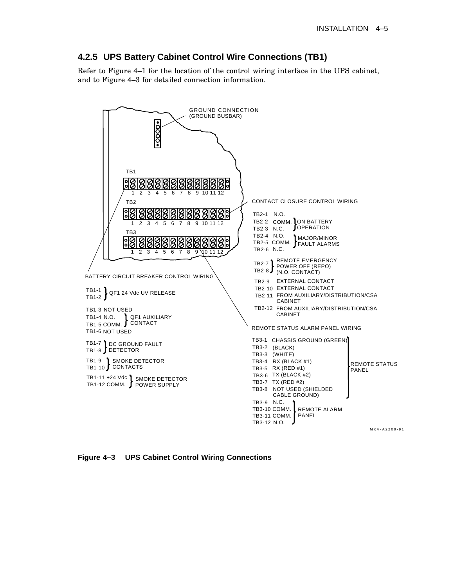### **4.2.5 UPS Battery Cabinet Control Wire Connections (TB1)**

Refer to Figure 4–1 for the location of the control wiring interface in the UPS cabinet, and to Figure 4–3 for detailed connection information.



**Figure 4–3 UPS Cabinet Control Wiring Connections**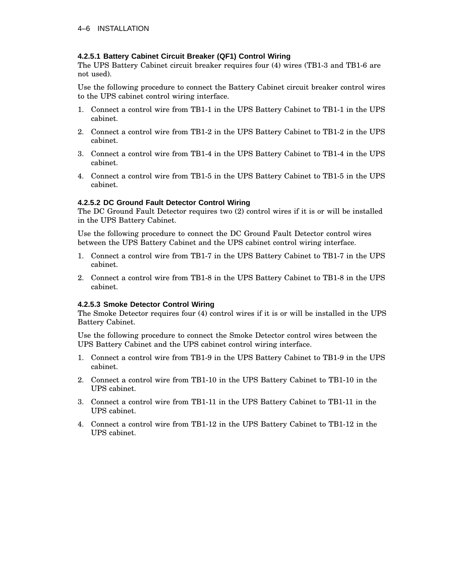### **4.2.5.1 Battery Cabinet Circuit Breaker (QF1) Control Wiring**

The UPS Battery Cabinet circuit breaker requires four (4) wires (TB1-3 and TB1-6 are not used).

Use the following procedure to connect the Battery Cabinet circuit breaker control wires to the UPS cabinet control wiring interface.

- 1. Connect a control wire from TB1-1 in the UPS Battery Cabinet to TB1-1 in the UPS cabinet.
- 2. Connect a control wire from TB1-2 in the UPS Battery Cabinet to TB1-2 in the UPS cabinet.
- 3. Connect a control wire from TB1-4 in the UPS Battery Cabinet to TB1-4 in the UPS cabinet.
- 4. Connect a control wire from TB1-5 in the UPS Battery Cabinet to TB1-5 in the UPS cabinet.

### **4.2.5.2 DC Ground Fault Detector Control Wiring**

The DC Ground Fault Detector requires two (2) control wires if it is or will be installed in the UPS Battery Cabinet.

Use the following procedure to connect the DC Ground Fault Detector control wires between the UPS Battery Cabinet and the UPS cabinet control wiring interface.

- 1. Connect a control wire from TB1-7 in the UPS Battery Cabinet to TB1-7 in the UPS cabinet.
- 2. Connect a control wire from TB1-8 in the UPS Battery Cabinet to TB1-8 in the UPS cabinet.

### **4.2.5.3 Smoke Detector Control Wiring**

The Smoke Detector requires four (4) control wires if it is or will be installed in the UPS Battery Cabinet.

Use the following procedure to connect the Smoke Detector control wires between the UPS Battery Cabinet and the UPS cabinet control wiring interface.

- 1. Connect a control wire from TB1-9 in the UPS Battery Cabinet to TB1-9 in the UPS cabinet.
- 2. Connect a control wire from TB1-10 in the UPS Battery Cabinet to TB1-10 in the UPS cabinet.
- 3. Connect a control wire from TB1-11 in the UPS Battery Cabinet to TB1-11 in the UPS cabinet.
- 4. Connect a control wire from TB1-12 in the UPS Battery Cabinet to TB1-12 in the UPS cabinet.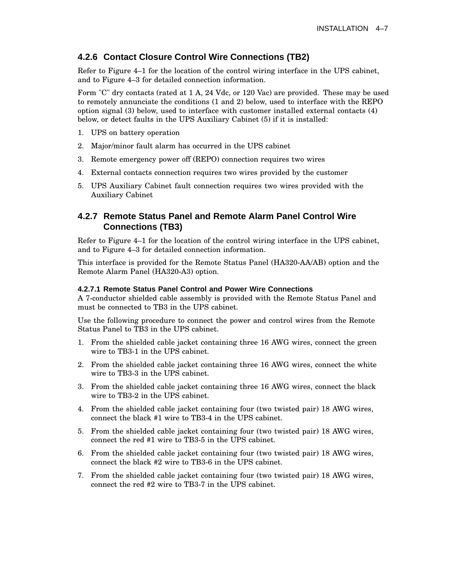### **4.2.6 Contact Closure Control Wire Connections (TB2)**

Refer to Figure 4–1 for the location of the control wiring interface in the UPS cabinet, and to Figure 4–3 for detailed connection information.

Form "C" dry contacts (rated at 1 A, 24 Vdc, or 120 Vac) are provided. These may be used to remotely annunciate the conditions (1 and 2) below, used to interface with the REPO option signal (3) below, used to interface with customer installed external contacts (4) below, or detect faults in the UPS Auxiliary Cabinet (5) if it is installed:

- 1. UPS on battery operation
- 2. Major/minor fault alarm has occurred in the UPS cabinet
- 3. Remote emergency power off (REPO) connection requires two wires
- 4. External contacts connection requires two wires provided by the customer
- 5. UPS Auxiliary Cabinet fault connection requires two wires provided with the Auxiliary Cabinet

### **4.2.7 Remote Status Panel and Remote Alarm Panel Control Wire Connections (TB3)**

Refer to Figure 4–1 for the location of the control wiring interface in the UPS cabinet, and to Figure 4–3 for detailed connection information.

This interface is provided for the Remote Status Panel (HA320-AA/AB) option and the Remote Alarm Panel (HA320-A3) option.

#### **4.2.7.1 Remote Status Panel Control and Power Wire Connections**

A 7-conductor shielded cable assembly is provided with the Remote Status Panel and must be connected to TB3 in the UPS cabinet.

Use the following procedure to connect the power and control wires from the Remote Status Panel to TB3 in the UPS cabinet.

- 1. From the shielded cable jacket containing three 16 AWG wires, connect the green wire to TB3-1 in the UPS cabinet.
- 2. From the shielded cable jacket containing three 16 AWG wires, connect the white wire to TB3-3 in the UPS cabinet.
- 3. From the shielded cable jacket containing three 16 AWG wires, connect the black wire to TB3-2 in the UPS cabinet.
- 4. From the shielded cable jacket containing four (two twisted pair) 18 AWG wires, connect the black #1 wire to TB3-4 in the UPS cabinet.
- 5. From the shielded cable jacket containing four (two twisted pair) 18 AWG wires, connect the red #1 wire to TB3-5 in the UPS cabinet.
- 6. From the shielded cable jacket containing four (two twisted pair) 18 AWG wires, connect the black #2 wire to TB3-6 in the UPS cabinet.
- 7. From the shielded cable jacket containing four (two twisted pair) 18 AWG wires, connect the red #2 wire to TB3-7 in the UPS cabinet.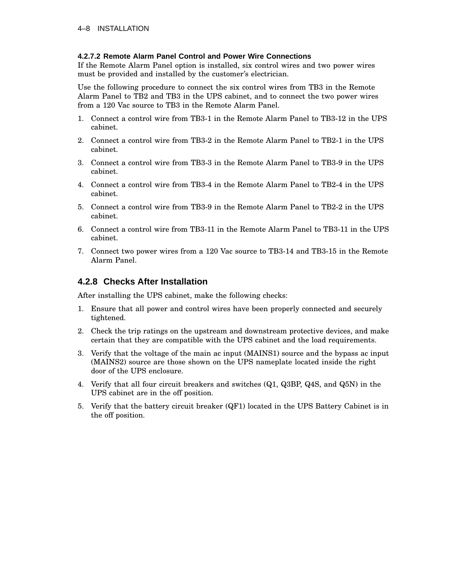### **4.2.7.2 Remote Alarm Panel Control and Power Wire Connections**

If the Remote Alarm Panel option is installed, six control wires and two power wires must be provided and installed by the customer's electrician.

Use the following procedure to connect the six control wires from TB3 in the Remote Alarm Panel to TB2 and TB3 in the UPS cabinet, and to connect the two power wires from a 120 Vac source to TB3 in the Remote Alarm Panel.

- 1. Connect a control wire from TB3-1 in the Remote Alarm Panel to TB3-12 in the UPS cabinet.
- 2. Connect a control wire from TB3-2 in the Remote Alarm Panel to TB2-1 in the UPS cabinet.
- 3. Connect a control wire from TB3-3 in the Remote Alarm Panel to TB3-9 in the UPS cabinet.
- 4. Connect a control wire from TB3-4 in the Remote Alarm Panel to TB2-4 in the UPS cabinet.
- 5. Connect a control wire from TB3-9 in the Remote Alarm Panel to TB2-2 in the UPS cabinet.
- 6. Connect a control wire from TB3-11 in the Remote Alarm Panel to TB3-11 in the UPS cabinet.
- 7. Connect two power wires from a 120 Vac source to TB3-14 and TB3-15 in the Remote Alarm Panel.

### **4.2.8 Checks After Installation**

After installing the UPS cabinet, make the following checks:

- 1. Ensure that all power and control wires have been properly connected and securely tightened.
- 2. Check the trip ratings on the upstream and downstream protective devices, and make certain that they are compatible with the UPS cabinet and the load requirements.
- 3. Verify that the voltage of the main ac input (MAINS1) source and the bypass ac input (MAINS2) source are those shown on the UPS nameplate located inside the right door of the UPS enclosure.
- 4. Verify that all four circuit breakers and switches (Q1, Q3BP, Q4S, and Q5N) in the UPS cabinet are in the off position.
- 5. Verify that the battery circuit breaker (QF1) located in the UPS Battery Cabinet is in the off position.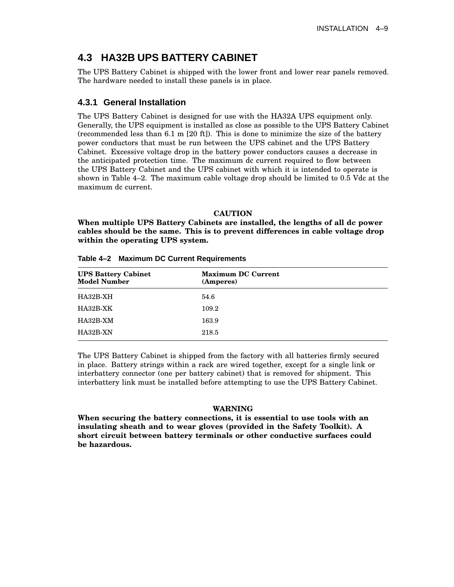# **4.3 HA32B UPS BATTERY CABINET**

The UPS Battery Cabinet is shipped with the lower front and lower rear panels removed. The hardware needed to install these panels is in place.

### **4.3.1 General Installation**

The UPS Battery Cabinet is designed for use with the HA32A UPS equipment only. Generally, the UPS equipment is installed as close as possible to the UPS Battery Cabinet (recommended less than 6.1 m [20 ft]). This is done to minimize the size of the battery power conductors that must be run between the UPS cabinet and the UPS Battery Cabinet. Excessive voltage drop in the battery power conductors causes a decrease in the anticipated protection time. The maximum dc current required to flow between the UPS Battery Cabinet and the UPS cabinet with which it is intended to operate is shown in Table 4–2. The maximum cable voltage drop should be limited to 0.5 Vdc at the maximum dc current.

### **CAUTION**

**When multiple UPS Battery Cabinets are installed, the lengths of all dc power cables should be the same. This is to prevent differences in cable voltage drop within the operating UPS system.**

| <b>UPS Battery Cabinet</b><br><b>Model Number</b> | <b>Maximum DC Current</b><br>(Amperes) |  |
|---------------------------------------------------|----------------------------------------|--|
| HA32B-XH                                          | 54.6                                   |  |
| HA32B-XK                                          | 109.2                                  |  |
| HA32B-XM                                          | 163.9                                  |  |
| HA32B-XN                                          | 218.5                                  |  |

**Table 4–2 Maximum DC Current Requirements**

The UPS Battery Cabinet is shipped from the factory with all batteries firmly secured in place. Battery strings within a rack are wired together, except for a single link or interbattery connector (one per battery cabinet) that is removed for shipment. This interbattery link must be installed before attempting to use the UPS Battery Cabinet.

### **WARNING**

**When securing the battery connections, it is essential to use tools with an insulating sheath and to wear gloves (provided in the Safety Toolkit). A short circuit between battery terminals or other conductive surfaces could be hazardous.**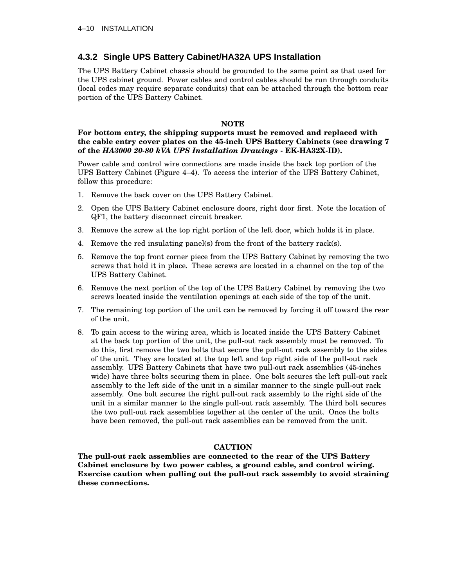### **4.3.2 Single UPS Battery Cabinet/HA32A UPS Installation**

The UPS Battery Cabinet chassis should be grounded to the same point as that used for the UPS cabinet ground. Power cables and control cables should be run through conduits (local codes may require separate conduits) that can be attached through the bottom rear portion of the UPS Battery Cabinet.

### **NOTE**

### **For bottom entry, the shipping supports must be removed and replaced with the cable entry cover plates on the 45-inch UPS Battery Cabinets (see drawing 7 of the** *HA3000 20-80 kVA UPS Installation Drawings* **- EK-HA32X-ID).**

Power cable and control wire connections are made inside the back top portion of the UPS Battery Cabinet (Figure 4–4). To access the interior of the UPS Battery Cabinet, follow this procedure:

- 1. Remove the back cover on the UPS Battery Cabinet.
- 2. Open the UPS Battery Cabinet enclosure doors, right door first. Note the location of QF1, the battery disconnect circuit breaker.
- 3. Remove the screw at the top right portion of the left door, which holds it in place.
- 4. Remove the red insulating panel(s) from the front of the battery rack(s).
- 5. Remove the top front corner piece from the UPS Battery Cabinet by removing the two screws that hold it in place. These screws are located in a channel on the top of the UPS Battery Cabinet.
- 6. Remove the next portion of the top of the UPS Battery Cabinet by removing the two screws located inside the ventilation openings at each side of the top of the unit.
- 7. The remaining top portion of the unit can be removed by forcing it off toward the rear of the unit.
- 8. To gain access to the wiring area, which is located inside the UPS Battery Cabinet at the back top portion of the unit, the pull-out rack assembly must be removed. To do this, first remove the two bolts that secure the pull-out rack assembly to the sides of the unit. They are located at the top left and top right side of the pull-out rack assembly. UPS Battery Cabinets that have two pull-out rack assemblies (45-inches wide) have three bolts securing them in place. One bolt secures the left pull-out rack assembly to the left side of the unit in a similar manner to the single pull-out rack assembly. One bolt secures the right pull-out rack assembly to the right side of the unit in a similar manner to the single pull-out rack assembly. The third bolt secures the two pull-out rack assemblies together at the center of the unit. Once the bolts have been removed, the pull-out rack assemblies can be removed from the unit.

### **CAUTION**

**The pull-out rack assemblies are connected to the rear of the UPS Battery Cabinet enclosure by two power cables, a ground cable, and control wiring. Exercise caution when pulling out the pull-out rack assembly to avoid straining these connections.**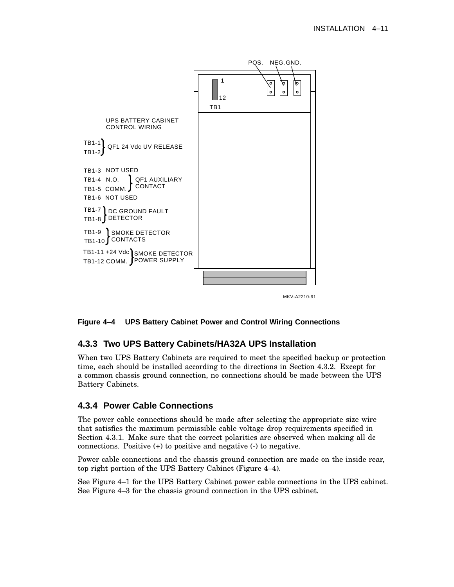

### **Figure 4–4 UPS Battery Cabinet Power and Control Wiring Connections**

### **4.3.3 Two UPS Battery Cabinets/HA32A UPS Installation**

When two UPS Battery Cabinets are required to meet the specified backup or protection time, each should be installed according to the directions in Section 4.3.2. Except for a common chassis ground connection, no connections should be made between the UPS Battery Cabinets.

### **4.3.4 Power Cable Connections**

The power cable connections should be made after selecting the appropriate size wire that satisfies the maximum permissible cable voltage drop requirements specified in Section 4.3.1. Make sure that the correct polarities are observed when making all dc connections. Positive (+) to positive and negative (-) to negative.

Power cable connections and the chassis ground connection are made on the inside rear, top right portion of the UPS Battery Cabinet (Figure 4–4).

See Figure 4–1 for the UPS Battery Cabinet power cable connections in the UPS cabinet. See Figure 4–3 for the chassis ground connection in the UPS cabinet.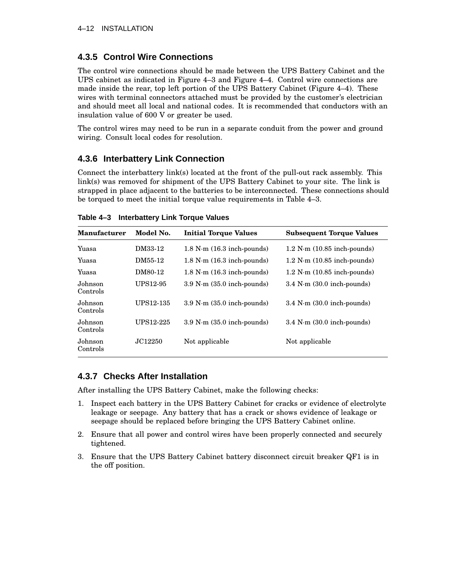### **4.3.5 Control Wire Connections**

The control wire connections should be made between the UPS Battery Cabinet and the UPS cabinet as indicated in Figure 4–3 and Figure 4–4. Control wire connections are made inside the rear, top left portion of the UPS Battery Cabinet (Figure 4–4). These wires with terminal connectors attached must be provided by the customer's electrician and should meet all local and national codes. It is recommended that conductors with an insulation value of 600 V or greater be used.

The control wires may need to be run in a separate conduit from the power and ground wiring. Consult local codes for resolution.

### **4.3.6 Interbattery Link Connection**

Connect the interbattery link(s) located at the front of the pull-out rack assembly. This link(s) was removed for shipment of the UPS Battery Cabinet to your site. The link is strapped in place adjacent to the batteries to be interconnected. These connections should be torqued to meet the initial torque value requirements in Table 4–3.

| <b>Manufacturer</b> | Model No. | <b>Initial Torque Values</b>           | <b>Subsequent Torque Values</b>         |
|---------------------|-----------|----------------------------------------|-----------------------------------------|
| Yuasa               | DM33-12   | $1.8$ N $\cdot$ m $(16.3$ inch-pounds) | $1.2$ N $\cdot$ m $(10.85$ inch-pounds) |
| Yuasa               | DM55-12   | $1.8$ N $\cdot$ m $(16.3$ inch-pounds) | $1.2$ N $\cdot$ m $(10.85$ inch-pounds) |
| Yuasa               | DM80-12   | $1.8$ N $\cdot$ m $(16.3$ inch-pounds) | $1.2$ N $\cdot$ m $(10.85$ inch-pounds) |
| Johnson<br>Controls | UPS12-95  | $3.9$ N $\cdot$ m $(35.0$ inch-pounds) | $3.4$ N $\cdot$ m $(30.0$ inch-pounds)  |
| Johnson<br>Controls | UPS12-135 | $3.9$ N $\cdot$ m $(35.0$ inch-pounds) | $3.4$ N $\cdot$ m $(30.0$ inch-pounds)  |
| Johnson<br>Controls | UPS12-225 | $3.9$ N $\cdot$ m $(35.0$ inch-pounds) | $3.4$ N $\cdot$ m $(30.0$ inch-pounds)  |
| Johnson<br>Controls | JC12250   | Not applicable                         | Not applicable                          |

**Table 4–3 Interbattery Link Torque Values**

### **4.3.7 Checks After Installation**

After installing the UPS Battery Cabinet, make the following checks:

- 1. Inspect each battery in the UPS Battery Cabinet for cracks or evidence of electrolyte leakage or seepage. Any battery that has a crack or shows evidence of leakage or seepage should be replaced before bringing the UPS Battery Cabinet online.
- 2. Ensure that all power and control wires have been properly connected and securely tightened.
- 3. Ensure that the UPS Battery Cabinet battery disconnect circuit breaker QF1 is in the off position.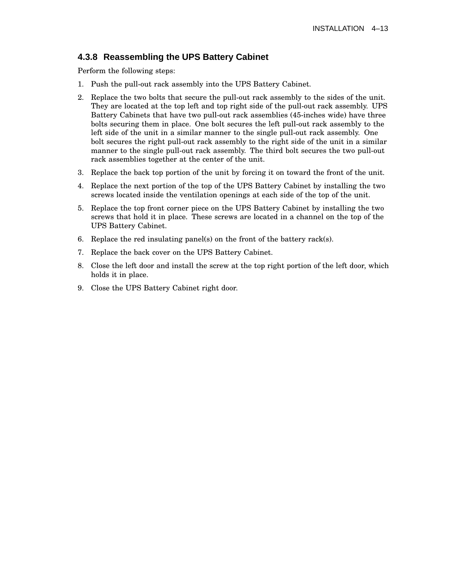### **4.3.8 Reassembling the UPS Battery Cabinet**

Perform the following steps:

- 1. Push the pull-out rack assembly into the UPS Battery Cabinet.
- 2. Replace the two bolts that secure the pull-out rack assembly to the sides of the unit. They are located at the top left and top right side of the pull-out rack assembly. UPS Battery Cabinets that have two pull-out rack assemblies (45-inches wide) have three bolts securing them in place. One bolt secures the left pull-out rack assembly to the left side of the unit in a similar manner to the single pull-out rack assembly. One bolt secures the right pull-out rack assembly to the right side of the unit in a similar manner to the single pull-out rack assembly. The third bolt secures the two pull-out rack assemblies together at the center of the unit.
- 3. Replace the back top portion of the unit by forcing it on toward the front of the unit.
- 4. Replace the next portion of the top of the UPS Battery Cabinet by installing the two screws located inside the ventilation openings at each side of the top of the unit.
- 5. Replace the top front corner piece on the UPS Battery Cabinet by installing the two screws that hold it in place. These screws are located in a channel on the top of the UPS Battery Cabinet.
- 6. Replace the red insulating panel(s) on the front of the battery rack(s).
- 7. Replace the back cover on the UPS Battery Cabinet.
- 8. Close the left door and install the screw at the top right portion of the left door, which holds it in place.
- 9. Close the UPS Battery Cabinet right door.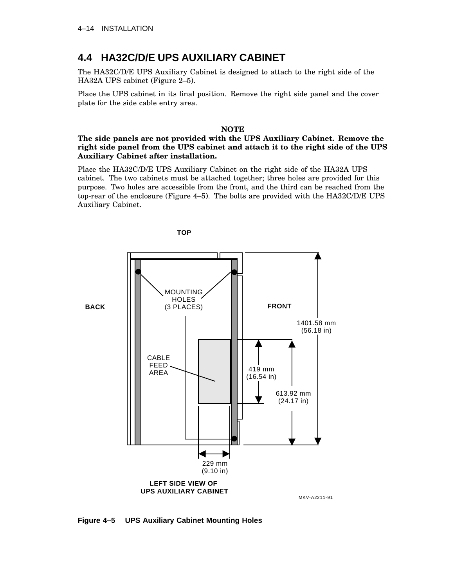# **4.4 HA32C/D/E UPS AUXILIARY CABINET**

The HA32C/D/E UPS Auxiliary Cabinet is designed to attach to the right side of the HA32A UPS cabinet (Figure 2–5).

Place the UPS cabinet in its final position. Remove the right side panel and the cover plate for the side cable entry area.

#### **NOTE**

### **The side panels are not provided with the UPS Auxiliary Cabinet. Remove the right side panel from the UPS cabinet and attach it to the right side of the UPS Auxiliary Cabinet after installation.**

Place the HA32C/D/E UPS Auxiliary Cabinet on the right side of the HA32A UPS cabinet. The two cabinets must be attached together; three holes are provided for this purpose. Two holes are accessible from the front, and the third can be reached from the top-rear of the enclosure (Figure 4–5). The bolts are provided with the HA32C/D/E UPS Auxiliary Cabinet.



**Figure 4–5 UPS Auxiliary Cabinet Mounting Holes**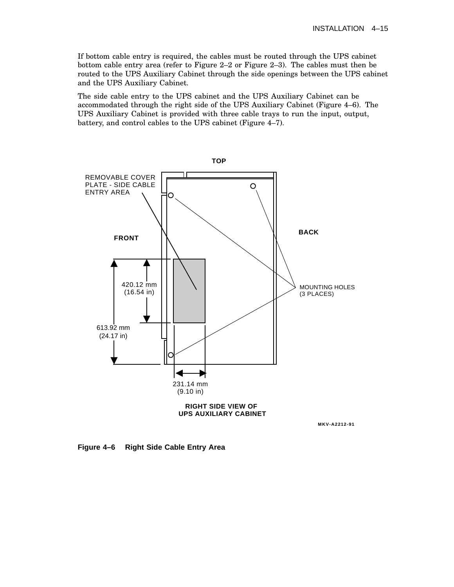If bottom cable entry is required, the cables must be routed through the UPS cabinet bottom cable entry area (refer to Figure 2–2 or Figure 2–3). The cables must then be routed to the UPS Auxiliary Cabinet through the side openings between the UPS cabinet and the UPS Auxiliary Cabinet.

The side cable entry to the UPS cabinet and the UPS Auxiliary Cabinet can be accommodated through the right side of the UPS Auxiliary Cabinet (Figure 4–6). The UPS Auxiliary Cabinet is provided with three cable trays to run the input, output, battery, and control cables to the UPS cabinet (Figure 4–7).



**Figure 4–6 Right Side Cable Entry Area**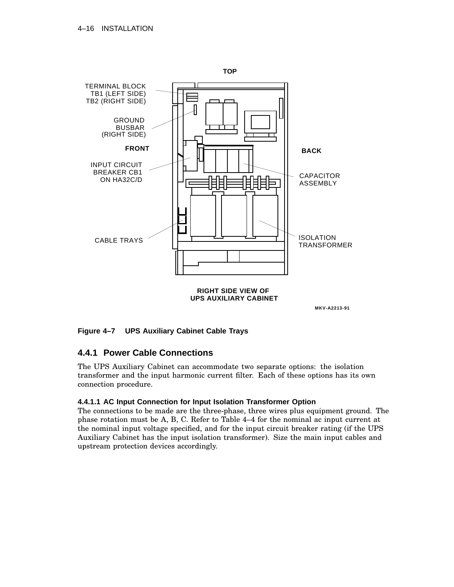

**MKV-A2213-91**

### **Figure 4–7 UPS Auxiliary Cabinet Cable Trays**

### **4.4.1 Power Cable Connections**

The UPS Auxiliary Cabinet can accommodate two separate options: the isolation transformer and the input harmonic current filter. Each of these options has its own connection procedure.

### **4.4.1.1 AC Input Connection for Input Isolation Transformer Option**

The connections to be made are the three-phase, three wires plus equipment ground. The phase rotation must be A, B, C. Refer to Table 4–4 for the nominal ac input current at the nominal input voltage specified, and for the input circuit breaker rating (if the UPS Auxiliary Cabinet has the input isolation transformer). Size the main input cables and upstream protection devices accordingly.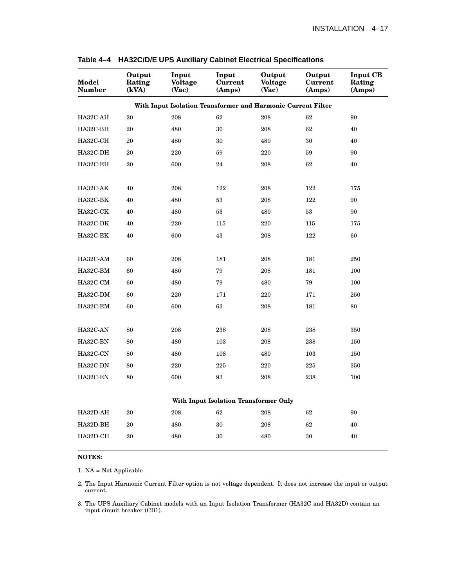| Model<br><b>Number</b> | Output<br>Rating<br>(kVA)             | Input<br><b>Voltage</b><br>(Vac)                             | Input<br><b>Current</b><br>(Amps) | Output<br><b>Voltage</b><br>(Vac) | Output<br>Current<br>(Amps) | <b>Input CB</b><br>Rating<br>(Amps) |  |
|------------------------|---------------------------------------|--------------------------------------------------------------|-----------------------------------|-----------------------------------|-----------------------------|-------------------------------------|--|
|                        |                                       | With Input Isolation Transformer and Harmonic Current Filter |                                   |                                   |                             |                                     |  |
| HA32C-AH               | $\rm 20$                              | 208                                                          | 62                                | 208                               | 62                          | 90                                  |  |
| HA32C-BH               | 20                                    | 480                                                          | 30                                | 208                               | 62                          | 40                                  |  |
| HA32C-CH               | 20                                    | 480                                                          | 30                                | 480                               | 30                          | 40                                  |  |
| HA32C-DH               | 20                                    | 220                                                          | 59                                | 220                               | 59                          | 90                                  |  |
| HA32C-EH               | 20                                    | 600                                                          | 24                                | 208                               | 62                          | 40                                  |  |
| HA32C-AK               | 40                                    | 208                                                          | 122                               | 208                               | 122                         | 175                                 |  |
| HA32C-BK               | 40                                    | 480                                                          | 53                                | 208                               | 122                         | 90                                  |  |
| HA32C-CK               | 40                                    | 480                                                          | 53                                | 480                               | 53                          | 90                                  |  |
| HA32C-DK               | 40                                    | 220                                                          | 115                               | 220                               | 115                         | 175                                 |  |
| HA32C-EK               | 40                                    | 600                                                          | 43                                | 208                               | 122                         | 60                                  |  |
|                        |                                       |                                                              |                                   |                                   |                             |                                     |  |
| HA32C-AM               | 60                                    | 208                                                          | 181                               | 208                               | 181                         | 250                                 |  |
| HA32C-BM               | 60                                    | 480                                                          | 79                                | 208                               | 181                         | 100                                 |  |
| HA32C-CM               | 60                                    | 480                                                          | 79                                | 480                               | 79                          | 100                                 |  |
| HA32C-DM               | 60                                    | 220                                                          | 171                               | 220                               | 171                         | 250                                 |  |
| HA32C-EM               | 60                                    | 600                                                          | 63                                | 208                               | 181                         | 80                                  |  |
| HA32C-AN               | 80                                    | 208                                                          | 238                               | 208                               | 238                         | 350                                 |  |
| HA32C-BN               | 80                                    | 480                                                          | 103                               | 208                               | 238                         | 150                                 |  |
| HA32C-CN               | 80                                    | 480                                                          | 108                               | 480                               | 103                         | 150                                 |  |
| HA32C-DN               | 80                                    | 220                                                          | 225                               | 220                               | 225                         | 350                                 |  |
| HA32C-EN               | 80                                    | 600                                                          | 93                                | 208                               | 238                         | 100                                 |  |
|                        | With Input Isolation Transformer Only |                                                              |                                   |                                   |                             |                                     |  |
| HA32D-AH               | 20                                    | 208                                                          | 62                                | 208                               | 62                          | 90                                  |  |
| HA32D-BH               | 20                                    | 480                                                          | 30                                | 208                               | 62                          | 40                                  |  |
| HA32D-CH               | 20                                    | 480                                                          | 30                                | 480                               | 30                          | 40                                  |  |

**Table 4–4 HA32C/D/E UPS Auxiliary Cabinet Electrical Specifications**

### **NOTES:**

1. NA = Not Applicable

2. The Input Harmonic Current Filter option is not voltage dependent. It does not increase the input or output current.

3. The UPS Auxiliary Cabinet models with an Input Isolation Transformer (HA32C and HA32D) contain an input circuit breaker (CB1).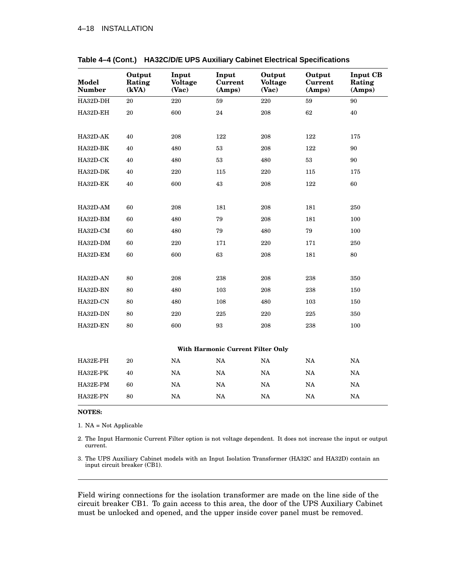| Model<br><b>Number</b> | Output<br>Rating<br>(kVA)         | Input<br><b>Voltage</b><br>(Vac) | Input<br><b>Current</b><br>(Amps) | Output<br><b>Voltage</b><br>(Vac) | Output<br>Current<br>(Amps) | <b>Input CB</b><br>Rating<br>(Amps) |  |
|------------------------|-----------------------------------|----------------------------------|-----------------------------------|-----------------------------------|-----------------------------|-------------------------------------|--|
| HA32D-DH               | 20                                | 220                              | 59                                | 220                               | 59                          | 90                                  |  |
| HA32D-EH               | $20\,$                            | 600                              | 24                                | 208                               | 62                          | 40                                  |  |
|                        |                                   |                                  |                                   |                                   |                             |                                     |  |
| HA32D-AK               | 40                                | 208                              | 122                               | 208                               | 122                         | 175                                 |  |
| HA32D-BK               | 40                                | 480                              | 53                                | 208                               | 122                         | 90                                  |  |
| HA32D-CK               | 40                                | 480                              | 53                                | 480                               | $53\,$                      | 90                                  |  |
| HA32D-DK               | 40                                | 220                              | 115                               | 220                               | 115                         | 175                                 |  |
| HA32D-EK               | 40                                | 600                              | 43                                | 208                               | 122                         | 60                                  |  |
|                        |                                   |                                  |                                   |                                   |                             |                                     |  |
| HA32D-AM               | 60                                | 208                              | 181                               | 208                               | 181                         | 250                                 |  |
| HA32D-BM               | 60                                | 480                              | 79                                | 208                               | 181                         | 100                                 |  |
| HA32D-CM               | 60                                | 480                              | 79                                | 480                               | 79                          | 100                                 |  |
| HA32D-DM               | 60                                | 220                              | 171                               | 220                               | 171                         | 250                                 |  |
| HA32D-EM               | 60                                | 600                              | 63                                | 208                               | 181                         | 80                                  |  |
|                        |                                   |                                  |                                   |                                   |                             |                                     |  |
| HA32D-AN               | 80                                | 208                              | 238                               | 208                               | 238                         | 350                                 |  |
| HA32D-BN               | 80                                | 480                              | 103                               | 208                               | 238                         | 150                                 |  |
| HA32D-CN               | 80                                | 480                              | 108                               | 480                               | 103                         | 150                                 |  |
| HA32D-DN               | 80                                | 220                              | 225                               | $220\,$                           | 225                         | 350                                 |  |
| HA32D-EN               | 80                                | 600                              | 93                                | 208                               | 238                         | 100                                 |  |
|                        |                                   |                                  |                                   |                                   |                             |                                     |  |
|                        | With Harmonic Current Filter Only |                                  |                                   |                                   |                             |                                     |  |
| HA32E-PH               | 20                                | $_{\rm NA}$                      | $\rm NA$                          | $_{\rm NA}$                       | $_{\rm NA}$                 | NA                                  |  |
| HA32E-PK               | 40                                | NA                               | NA                                | NA                                | NA                          | NA                                  |  |
| HA32E-PM               | 60                                | $_{\rm NA}$                      | $_{\rm NA}$                       | $_{\rm NA}$                       | $_{\rm NA}$                 | NA                                  |  |
| HA32E-PN               | 80                                | NA                               | NA                                | NA                                | NA                          | NA                                  |  |

|  | Table 4-4 (Cont.) HA32C/D/E UPS Auxiliary Cabinet Electrical Specifications |  |  |
|--|-----------------------------------------------------------------------------|--|--|
|--|-----------------------------------------------------------------------------|--|--|

#### **NOTES:**

1. NA = Not Applicable

2. The Input Harmonic Current Filter option is not voltage dependent. It does not increase the input or output current.

3. The UPS Auxiliary Cabinet models with an Input Isolation Transformer (HA32C and HA32D) contain an input circuit breaker (CB1).

Field wiring connections for the isolation transformer are made on the line side of the circuit breaker CB1. To gain access to this area, the door of the UPS Auxiliary Cabinet must be unlocked and opened, and the upper inside cover panel must be removed.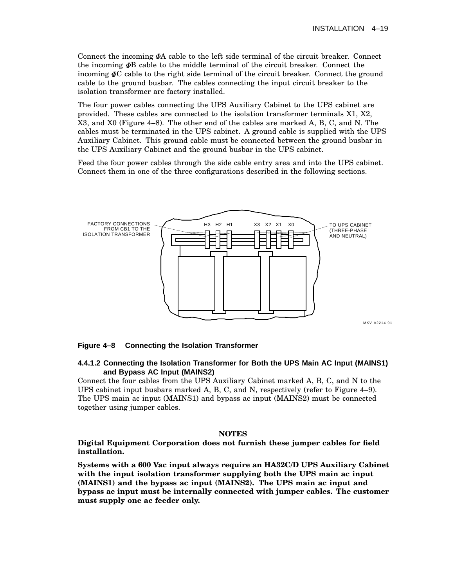Connect the incoming  $\Phi A$  cable to the left side terminal of the circuit breaker. Connect the incoming  $\Phi$  cable to the middle terminal of the circuit breaker. Connect the incoming  $\Phi$ C cable to the right side terminal of the circuit breaker. Connect the ground cable to the ground busbar. The cables connecting the input circuit breaker to the isolation transformer are factory installed.

The four power cables connecting the UPS Auxiliary Cabinet to the UPS cabinet are provided. These cables are connected to the isolation transformer terminals X1, X2, X3, and X0 (Figure 4–8). The other end of the cables are marked A, B, C, and N. The cables must be terminated in the UPS cabinet. A ground cable is supplied with the UPS Auxiliary Cabinet. This ground cable must be connected between the ground busbar in the UPS Auxiliary Cabinet and the ground busbar in the UPS cabinet.

Feed the four power cables through the side cable entry area and into the UPS cabinet. Connect them in one of the three configurations described in the following sections.



#### **Figure 4–8 Connecting the Isolation Transformer**

#### **4.4.1.2 Connecting the Isolation Transformer for Both the UPS Main AC Input (MAINS1) and Bypass AC Input (MAINS2)**

Connect the four cables from the UPS Auxiliary Cabinet marked A, B, C, and N to the UPS cabinet input busbars marked A, B, C, and N, respectively (refer to Figure 4–9). The UPS main ac input (MAINS1) and bypass ac input (MAINS2) must be connected together using jumper cables.

#### **NOTES**

#### **Digital Equipment Corporation does not furnish these jumper cables for field installation.**

**Systems with a 600 Vac input always require an HA32C/D UPS Auxiliary Cabinet with the input isolation transformer supplying both the UPS main ac input (MAINS1) and the bypass ac input (MAINS2). The UPS main ac input and bypass ac input must be internally connected with jumper cables. The customer must supply one ac feeder only.**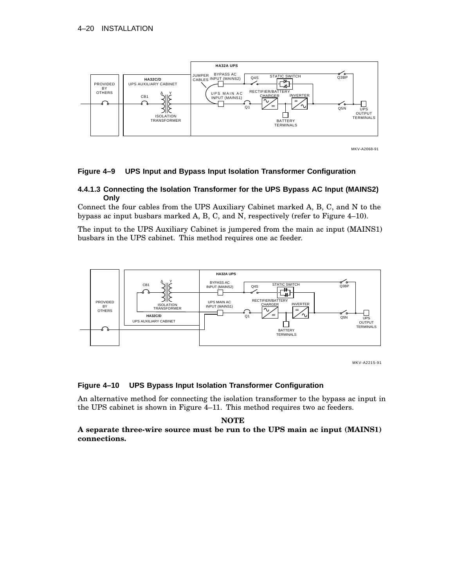

MKV-A2068-91

#### **Figure 4–9 UPS Input and Bypass Input Isolation Transformer Configuration**

#### **4.4.1.3 Connecting the Isolation Transformer for the UPS Bypass AC Input (MAINS2) Only**

Connect the four cables from the UPS Auxiliary Cabinet marked A, B, C, and N to the bypass ac input busbars marked A, B, C, and N, respectively (refer to Figure 4–10).

The input to the UPS Auxiliary Cabinet is jumpered from the main ac input (MAINS1) busbars in the UPS cabinet. This method requires one ac feeder.



MKV-A2215-91

#### **Figure 4–10 UPS Bypass Input Isolation Transformer Configuration**

An alternative method for connecting the isolation transformer to the bypass ac input in the UPS cabinet is shown in Figure 4–11. This method requires two ac feeders.

#### **NOTE**

### **A separate three-wire source must be run to the UPS main ac input (MAINS1) connections.**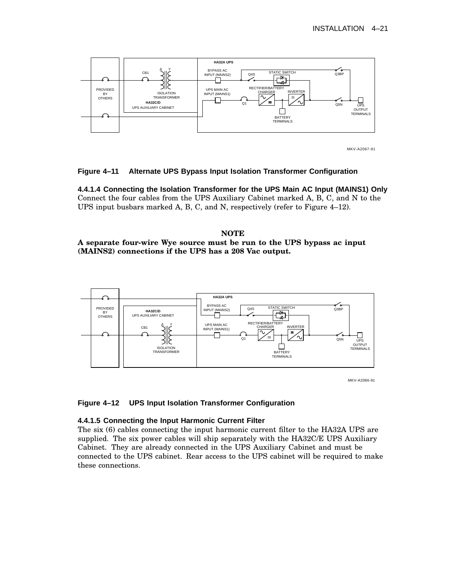

MKV-A2067-91

#### **Figure 4–11 Alternate UPS Bypass Input Isolation Transformer Configuration**

**4.4.1.4 Connecting the Isolation Transformer for the UPS Main AC Input (MAINS1) Only** Connect the four cables from the UPS Auxiliary Cabinet marked A, B, C, and N to the UPS input busbars marked A, B, C, and N, respectively (refer to Figure 4–12).

### **NOTE A separate four-wire Wye source must be run to the UPS bypass ac input (MAINS2) connections if the UPS has a 208 Vac output.**



MKV-A2066-91

### **Figure 4–12 UPS Input Isolation Transformer Configuration**

#### **4.4.1.5 Connecting the Input Harmonic Current Filter**

The six (6) cables connecting the input harmonic current filter to the HA32A UPS are supplied. The six power cables will ship separately with the HA32C/E UPS Auxiliary Cabinet. They are already connected in the UPS Auxiliary Cabinet and must be connected to the UPS cabinet. Rear access to the UPS cabinet will be required to make these connections.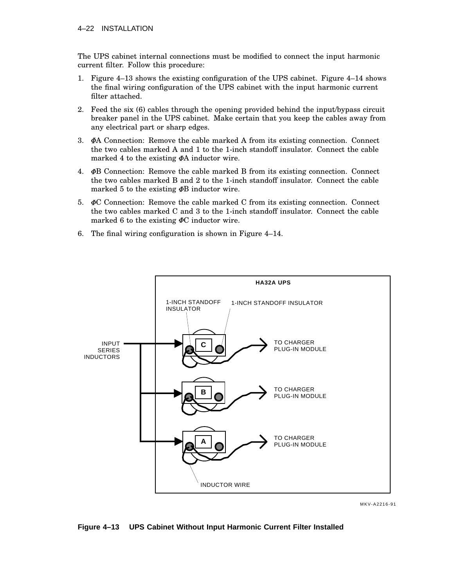The UPS cabinet internal connections must be modified to connect the input harmonic current filter. Follow this procedure:

- 1. Figure 4–13 shows the existing configuration of the UPS cabinet. Figure 4–14 shows the final wiring configuration of the UPS cabinet with the input harmonic current filter attached.
- 2. Feed the six (6) cables through the opening provided behind the input/bypass circuit breaker panel in the UPS cabinet. Make certain that you keep the cables away from any electrical part or sharp edges.
- 3.  $\Phi$ A Connection: Remove the cable marked A from its existing connection. Connect the two cables marked A and 1 to the 1-inch standoff insulator. Connect the cable marked 4 to the existing  $\Phi$ A inductor wire.
- 4.  $\Phi$ B Connection: Remove the cable marked B from its existing connection. Connect the two cables marked B and 2 to the 1-inch standoff insulator. Connect the cable marked 5 to the existing  $\Phi$ B inductor wire.
- 5.  $\Phi$ C Connection: Remove the cable marked C from its existing connection. Connect the two cables marked C and 3 to the 1-inch standoff insulator. Connect the cable marked 6 to the existing  $\Phi$ C inductor wire.
- 6. The final wiring configuration is shown in Figure 4–14.



MKV-A2216-91

**Figure 4–13 UPS Cabinet Without Input Harmonic Current Filter Installed**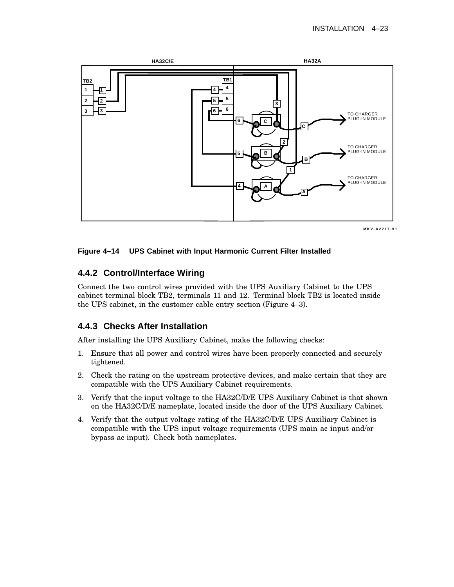

**MKV-A2217-91**

### **Figure 4–14 UPS Cabinet with Input Harmonic Current Filter Installed**

### **4.4.2 Control/Interface Wiring**

Connect the two control wires provided with the UPS Auxiliary Cabinet to the UPS cabinet terminal block TB2, terminals 11 and 12. Terminal block TB2 is located inside the UPS cabinet, in the customer cable entry section (Figure 4–3).

### **4.4.3 Checks After Installation**

After installing the UPS Auxiliary Cabinet, make the following checks:

- 1. Ensure that all power and control wires have been properly connected and securely tightened.
- 2. Check the rating on the upstream protective devices, and make certain that they are compatible with the UPS Auxiliary Cabinet requirements.
- 3. Verify that the input voltage to the HA32C/D/E UPS Auxiliary Cabinet is that shown on the HA32C/D/E nameplate, located inside the door of the UPS Auxiliary Cabinet.
- 4. Verify that the output voltage rating of the HA32C/D/E UPS Auxiliary Cabinet is compatible with the UPS input voltage requirements (UPS main ac input and/or bypass ac input). Check both nameplates.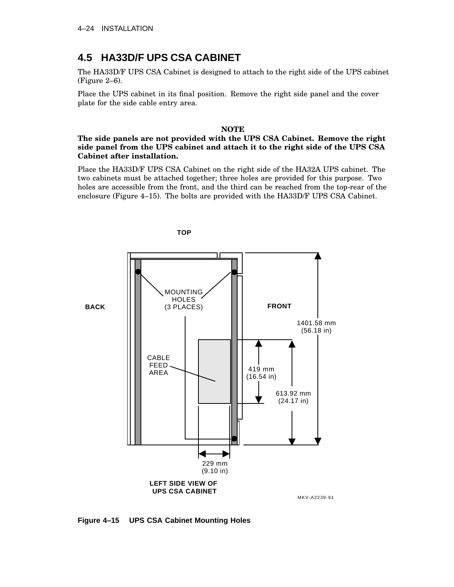# **4.5 HA33D/F UPS CSA CABINET**

The HA33D/F UPS CSA Cabinet is designed to attach to the right side of the UPS cabinet (Figure 2–6).

Place the UPS cabinet in its final position. Remove the right side panel and the cover plate for the side cable entry area.

#### **NOTE**

### **The side panels are not provided with the UPS CSA Cabinet. Remove the right side panel from the UPS cabinet and attach it to the right side of the UPS CSA Cabinet after installation.**

Place the HA33D/F UPS CSA Cabinet on the right side of the HA32A UPS cabinet. The two cabinets must be attached together; three holes are provided for this purpose. Two holes are accessible from the front, and the third can be reached from the top-rear of the enclosure (Figure 4–15). The bolts are provided with the HA33D/F UPS CSA Cabinet.



**Figure 4–15 UPS CSA Cabinet Mounting Holes**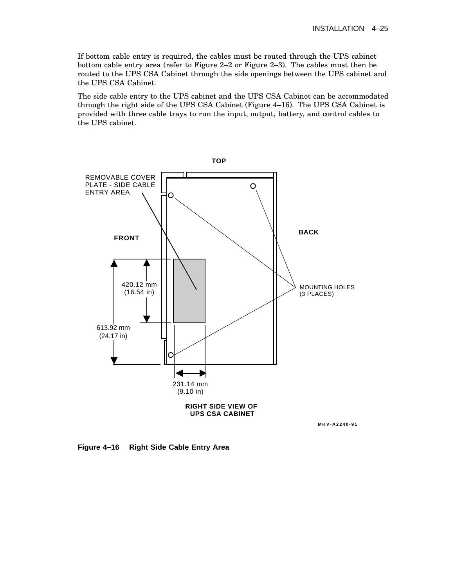If bottom cable entry is required, the cables must be routed through the UPS cabinet bottom cable entry area (refer to Figure 2–2 or Figure 2–3). The cables must then be routed to the UPS CSA Cabinet through the side openings between the UPS cabinet and the UPS CSA Cabinet.

The side cable entry to the UPS cabinet and the UPS CSA Cabinet can be accommodated through the right side of the UPS CSA Cabinet (Figure 4–16). The UPS CSA Cabinet is provided with three cable trays to run the input, output, battery, and control cables to the UPS cabinet.



**Figure 4–16 Right Side Cable Entry Area**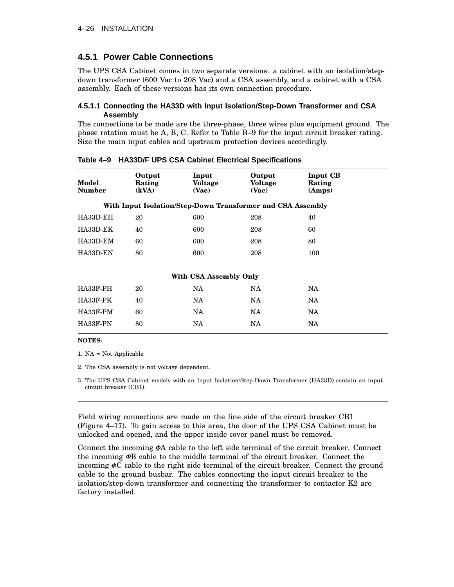### **4.5.1 Power Cable Connections**

The UPS CSA Cabinet comes in two separate versions: a cabinet with an isolation/stepdown transformer (600 Vac to 208 Vac) and a CSA assembly, and a cabinet with a CSA assembly. Each of these versions has its own connection procedure.

#### **4.5.1.1 Connecting the HA33D with Input Isolation/Step-Down Transformer and CSA Assembly**

The connections to be made are the three-phase, three wires plus equipment ground. The phase rotation must be A, B, C. Refer to Table B–9 for the input circuit breaker rating. Size the main input cables and upstream protection devices accordingly.

| Model<br><b>Number</b> | Output<br>Rating<br>(kVA) | Input<br>Voltage<br>(Vac)                                   | Output<br><b>Voltage</b><br>(Vac) | <b>Input CB</b><br>Rating<br>(Amps) |  |
|------------------------|---------------------------|-------------------------------------------------------------|-----------------------------------|-------------------------------------|--|
|                        |                           | With Input Isolation/Step-Down Transformer and CSA Assembly |                                   |                                     |  |
| HA33D-EH               | 20                        | 600                                                         | 208                               | 40                                  |  |
| HA33D-EK               | 40                        | 600                                                         | 208                               | 60                                  |  |
| HA33D-EM               | 60                        | 600                                                         | 208                               | 80                                  |  |
| HA33D-EN               | 80                        | 600                                                         | 208                               | 100                                 |  |
|                        |                           | With CSA Assembly Only                                      |                                   |                                     |  |
| HA33F-PH               | 20                        | NA                                                          | NA.                               | NA.                                 |  |
| HA33F-PK               | 40                        | NA                                                          | NA.                               | <b>NA</b>                           |  |
| HA33F-PM               | 60                        | NA.                                                         | NA.                               | NA.                                 |  |
| HA33F-PN               | 80                        | NA                                                          | <b>NA</b>                         | <b>NA</b>                           |  |

**Table 4–9 HA33D/F UPS CSA Cabinet Electrical Specifications**

#### **NOTES:**

1. NA = Not Applicable

2. The CSA assembly is not voltage dependent.

3. The UPS CSA Cabinet models with an Input Isolation/Step-Down Transformer (HA33D) contain an input circuit breaker (CB1).

Field wiring connections are made on the line side of the circuit breaker CB1 (Figure 4–17). To gain access to this area, the door of the UPS CSA Cabinet must be unlocked and opened, and the upper inside cover panel must be removed.

Connect the incoming  $\Phi A$  cable to the left side terminal of the circuit breaker. Connect the incoming  $\Phi$  cable to the middle terminal of the circuit breaker. Connect the incoming  $\Phi$ C cable to the right side terminal of the circuit breaker. Connect the ground cable to the ground busbar. The cables connecting the input circuit breaker to the isolation/step-down transformer and connecting the transformer to contactor K2 are factory installed.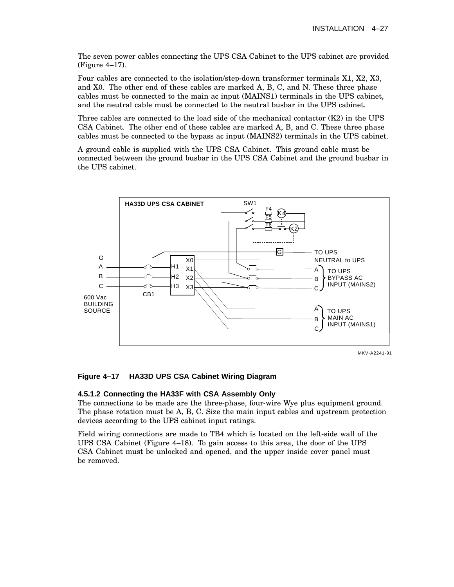The seven power cables connecting the UPS CSA Cabinet to the UPS cabinet are provided (Figure 4–17).

Four cables are connected to the isolation/step-down transformer terminals X1, X2, X3, and X0. The other end of these cables are marked A, B, C, and N. These three phase cables must be connected to the main ac input (MAINS1) terminals in the UPS cabinet, and the neutral cable must be connected to the neutral busbar in the UPS cabinet.

Three cables are connected to the load side of the mechanical contactor  $(K2)$  in the UPS CSA Cabinet. The other end of these cables are marked A, B, and C. These three phase cables must be connected to the bypass ac input (MAINS2) terminals in the UPS cabinet.

A ground cable is supplied with the UPS CSA Cabinet. This ground cable must be connected between the ground busbar in the UPS CSA Cabinet and the ground busbar in the UPS cabinet.



### **Figure 4–17 HA33D UPS CSA Cabinet Wiring Diagram**

### **4.5.1.2 Connecting the HA33F with CSA Assembly Only**

The connections to be made are the three-phase, four-wire Wye plus equipment ground. The phase rotation must be A, B, C. Size the main input cables and upstream protection devices according to the UPS cabinet input ratings.

Field wiring connections are made to TB4 which is located on the left-side wall of the UPS CSA Cabinet (Figure 4–18). To gain access to this area, the door of the UPS CSA Cabinet must be unlocked and opened, and the upper inside cover panel must be removed.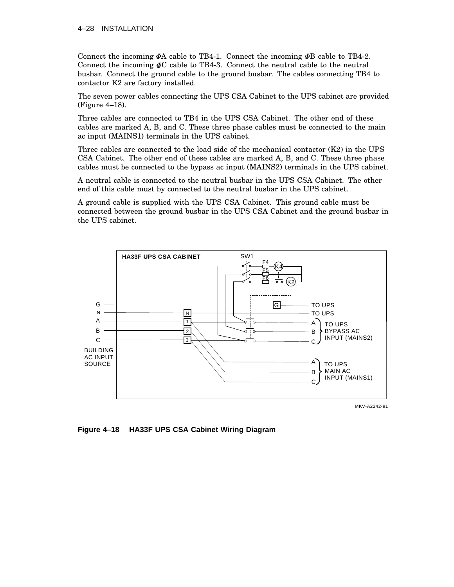### 4–28 INSTALLATION

Connect the incoming  $\Phi A$  cable to TB4-1. Connect the incoming  $\Phi B$  cable to TB4-2. Connect the incoming  $\Phi C$  cable to TB4-3. Connect the neutral cable to the neutral busbar. Connect the ground cable to the ground busbar. The cables connecting TB4 to contactor K2 are factory installed.

The seven power cables connecting the UPS CSA Cabinet to the UPS cabinet are provided (Figure 4–18).

Three cables are connected to TB4 in the UPS CSA Cabinet. The other end of these cables are marked A, B, and C. These three phase cables must be connected to the main ac input (MAINS1) terminals in the UPS cabinet.

Three cables are connected to the load side of the mechanical contactor  $(K2)$  in the UPS CSA Cabinet. The other end of these cables are marked A, B, and C. These three phase cables must be connected to the bypass ac input (MAINS2) terminals in the UPS cabinet.

A neutral cable is connected to the neutral busbar in the UPS CSA Cabinet. The other end of this cable must by connected to the neutral busbar in the UPS cabinet.

A ground cable is supplied with the UPS CSA Cabinet. This ground cable must be connected between the ground busbar in the UPS CSA Cabinet and the ground busbar in the UPS cabinet.



**Figure 4–18 HA33F UPS CSA Cabinet Wiring Diagram**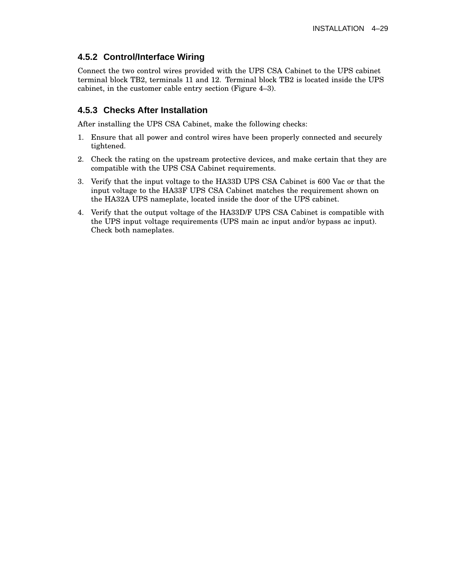### **4.5.2 Control/Interface Wiring**

Connect the two control wires provided with the UPS CSA Cabinet to the UPS cabinet terminal block TB2, terminals 11 and 12. Terminal block TB2 is located inside the UPS cabinet, in the customer cable entry section (Figure 4–3).

### **4.5.3 Checks After Installation**

After installing the UPS CSA Cabinet, make the following checks:

- 1. Ensure that all power and control wires have been properly connected and securely tightened.
- 2. Check the rating on the upstream protective devices, and make certain that they are compatible with the UPS CSA Cabinet requirements.
- 3. Verify that the input voltage to the HA33D UPS CSA Cabinet is 600 Vac or that the input voltage to the HA33F UPS CSA Cabinet matches the requirement shown on the HA32A UPS nameplate, located inside the door of the UPS cabinet.
- 4. Verify that the output voltage of the HA33D/F UPS CSA Cabinet is compatible with the UPS input voltage requirements (UPS main ac input and/or bypass ac input). Check both nameplates.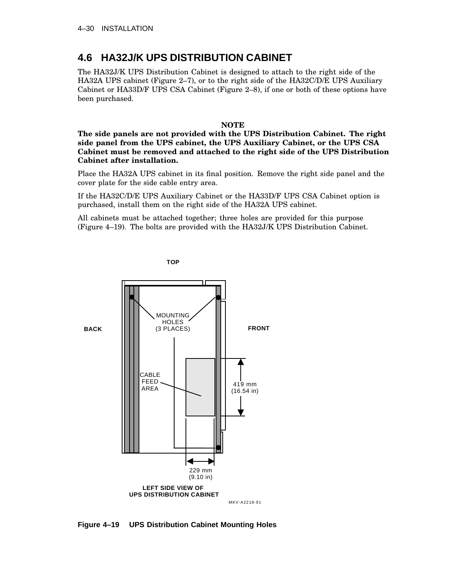# **4.6 HA32J/K UPS DISTRIBUTION CABINET**

The HA32J/K UPS Distribution Cabinet is designed to attach to the right side of the HA32A UPS cabinet (Figure 2–7), or to the right side of the HA32C/D/E UPS Auxiliary Cabinet or HA33D/F UPS CSA Cabinet (Figure 2–8), if one or both of these options have been purchased.

### **NOTE**

**The side panels are not provided with the UPS Distribution Cabinet. The right side panel from the UPS cabinet, the UPS Auxiliary Cabinet, or the UPS CSA Cabinet must be removed and attached to the right side of the UPS Distribution Cabinet after installation.**

Place the HA32A UPS cabinet in its final position. Remove the right side panel and the cover plate for the side cable entry area.

If the HA32C/D/E UPS Auxiliary Cabinet or the HA33D/F UPS CSA Cabinet option is purchased, install them on the right side of the HA32A UPS cabinet.

All cabinets must be attached together; three holes are provided for this purpose (Figure 4–19). The bolts are provided with the HA32J/K UPS Distribution Cabinet.



**TOP**

**Figure 4–19 UPS Distribution Cabinet Mounting Holes**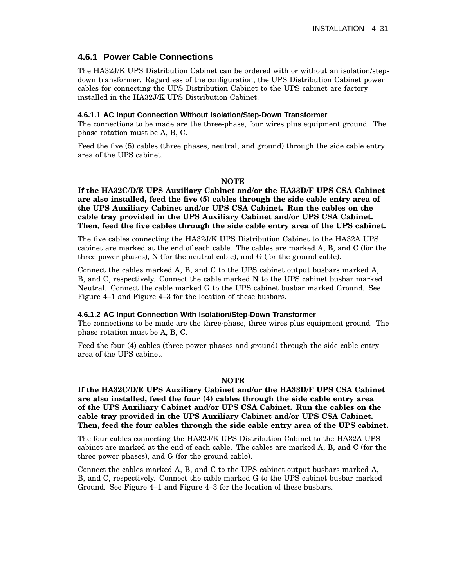### **4.6.1 Power Cable Connections**

The HA32J/K UPS Distribution Cabinet can be ordered with or without an isolation/stepdown transformer. Regardless of the configuration, the UPS Distribution Cabinet power cables for connecting the UPS Distribution Cabinet to the UPS cabinet are factory installed in the HA32J/K UPS Distribution Cabinet.

#### **4.6.1.1 AC Input Connection Without Isolation/Step-Down Transformer**

The connections to be made are the three-phase, four wires plus equipment ground. The phase rotation must be A, B, C.

Feed the five (5) cables (three phases, neutral, and ground) through the side cable entry area of the UPS cabinet.

#### **NOTE**

**If the HA32C/D/E UPS Auxiliary Cabinet and/or the HA33D/F UPS CSA Cabinet are also installed, feed the five (5) cables through the side cable entry area of the UPS Auxiliary Cabinet and/or UPS CSA Cabinet. Run the cables on the cable tray provided in the UPS Auxiliary Cabinet and/or UPS CSA Cabinet. Then, feed the five cables through the side cable entry area of the UPS cabinet.**

The five cables connecting the HA32J/K UPS Distribution Cabinet to the HA32A UPS cabinet are marked at the end of each cable. The cables are marked A, B, and C (for the three power phases), N (for the neutral cable), and G (for the ground cable).

Connect the cables marked A, B, and C to the UPS cabinet output busbars marked A, B, and C, respectively. Connect the cable marked N to the UPS cabinet busbar marked Neutral. Connect the cable marked G to the UPS cabinet busbar marked Ground. See Figure 4–1 and Figure 4–3 for the location of these busbars.

#### **4.6.1.2 AC Input Connection With Isolation/Step-Down Transformer**

The connections to be made are the three-phase, three wires plus equipment ground. The phase rotation must be A, B, C.

Feed the four (4) cables (three power phases and ground) through the side cable entry area of the UPS cabinet.

#### **NOTE**

**If the HA32C/D/E UPS Auxiliary Cabinet and/or the HA33D/F UPS CSA Cabinet are also installed, feed the four (4) cables through the side cable entry area of the UPS Auxiliary Cabinet and/or UPS CSA Cabinet. Run the cables on the cable tray provided in the UPS Auxiliary Cabinet and/or UPS CSA Cabinet. Then, feed the four cables through the side cable entry area of the UPS cabinet.**

The four cables connecting the HA32J/K UPS Distribution Cabinet to the HA32A UPS cabinet are marked at the end of each cable. The cables are marked A, B, and C (for the three power phases), and G (for the ground cable).

Connect the cables marked A, B, and C to the UPS cabinet output busbars marked A, B, and C, respectively. Connect the cable marked G to the UPS cabinet busbar marked Ground. See Figure 4–1 and Figure 4–3 for the location of these busbars.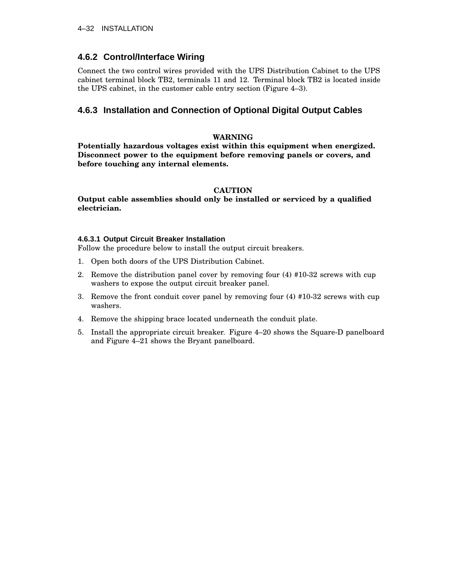### **4.6.2 Control/Interface Wiring**

Connect the two control wires provided with the UPS Distribution Cabinet to the UPS cabinet terminal block TB2, terminals 11 and 12. Terminal block TB2 is located inside the UPS cabinet, in the customer cable entry section (Figure 4–3).

### **4.6.3 Installation and Connection of Optional Digital Output Cables**

### **WARNING**

**Potentially hazardous voltages exist within this equipment when energized. Disconnect power to the equipment before removing panels or covers, and before touching any internal elements.**

### **CAUTION**

**Output cable assemblies should only be installed or serviced by a qualified electrician.**

### **4.6.3.1 Output Circuit Breaker Installation**

Follow the procedure below to install the output circuit breakers.

- 1. Open both doors of the UPS Distribution Cabinet.
- 2. Remove the distribution panel cover by removing four (4) #10-32 screws with cup washers to expose the output circuit breaker panel.
- 3. Remove the front conduit cover panel by removing four (4) #10-32 screws with cup washers.
- 4. Remove the shipping brace located underneath the conduit plate.
- 5. Install the appropriate circuit breaker. Figure 4–20 shows the Square-D panelboard and Figure 4–21 shows the Bryant panelboard.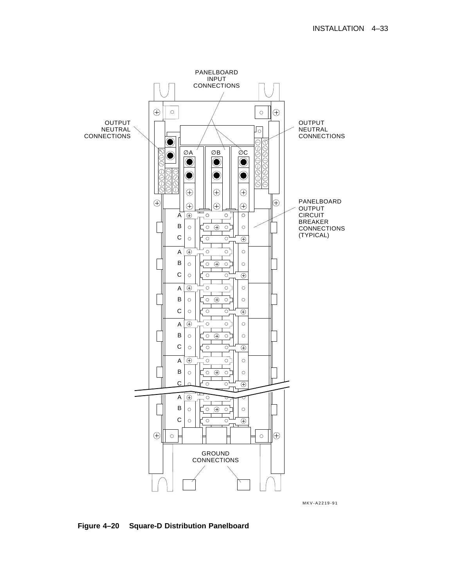

**Figure 4–20 Square-D Distribution Panelboard**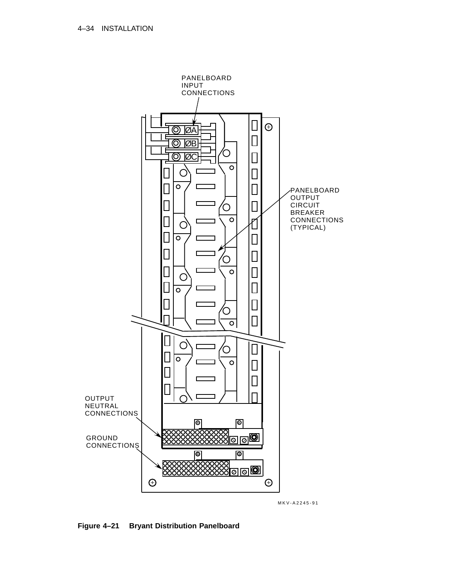

**Figure 4–21 Bryant Distribution Panelboard**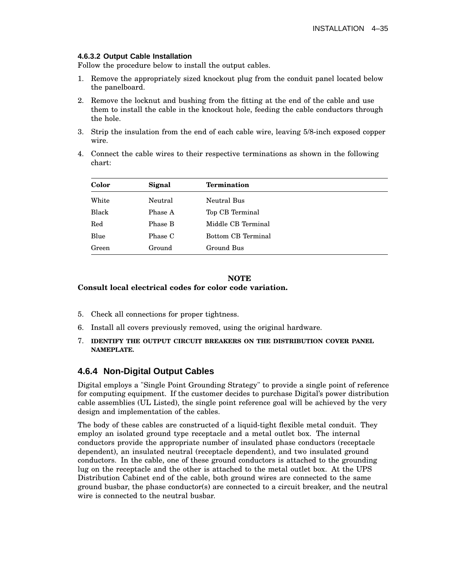#### **4.6.3.2 Output Cable Installation**

Follow the procedure below to install the output cables.

- 1. Remove the appropriately sized knockout plug from the conduit panel located below the panelboard.
- 2. Remove the locknut and bushing from the fitting at the end of the cable and use them to install the cable in the knockout hole, feeding the cable conductors through the hole.
- 3. Strip the insulation from the end of each cable wire, leaving 5/8-inch exposed copper wire.
- 4. Connect the cable wires to their respective terminations as shown in the following chart:

| Color | Signal  | <b>Termination</b>        |
|-------|---------|---------------------------|
| White | Neutral | Neutral Bus               |
| Black | Phase A | Top CB Terminal           |
| Red   | Phase B | Middle CB Terminal        |
| Blue  | Phase C | <b>Bottom CB Terminal</b> |
| Green | Ground  | Ground Bus                |

#### **NOTE Consult local electrical codes for color code variation.**

- 5. Check all connections for proper tightness.
- 6. Install all covers previously removed, using the original hardware.
- 7. **IDENTIFY THE OUTPUT CIRCUIT BREAKERS ON THE DISTRIBUTION COVER PANEL NAMEPLATE.**

## **4.6.4 Non-Digital Output Cables**

Digital employs a "Single Point Grounding Strategy" to provide a single point of reference for computing equipment. If the customer decides to purchase Digital's power distribution cable assemblies (UL Listed), the single point reference goal will be achieved by the very design and implementation of the cables.

The body of these cables are constructed of a liquid-tight flexible metal conduit. They employ an isolated ground type receptacle and a metal outlet box. The internal conductors provide the appropriate number of insulated phase conductors (receptacle dependent), an insulated neutral (receptacle dependent), and two insulated ground conductors. In the cable, one of these ground conductors is attached to the grounding lug on the receptacle and the other is attached to the metal outlet box. At the UPS Distribution Cabinet end of the cable, both ground wires are connected to the same ground busbar, the phase conductor(s) are connected to a circuit breaker, and the neutral wire is connected to the neutral busbar.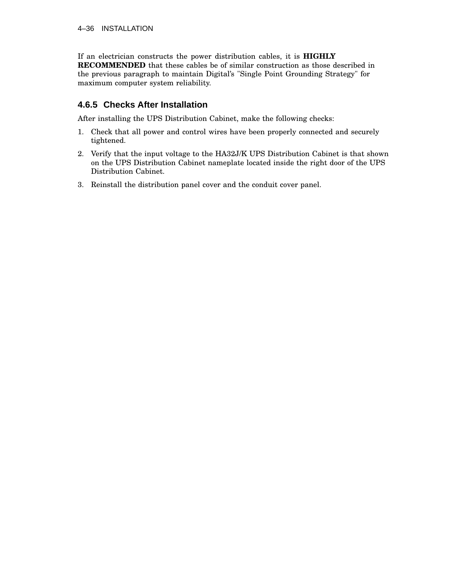If an electrician constructs the power distribution cables, it is **HIGHLY RECOMMENDED** that these cables be of similar construction as those described in the previous paragraph to maintain Digital's "Single Point Grounding Strategy" for maximum computer system reliability.

# **4.6.5 Checks After Installation**

After installing the UPS Distribution Cabinet, make the following checks:

- 1. Check that all power and control wires have been properly connected and securely tightened.
- 2. Verify that the input voltage to the HA32J/K UPS Distribution Cabinet is that shown on the UPS Distribution Cabinet nameplate located inside the right door of the UPS Distribution Cabinet.
- 3. Reinstall the distribution panel cover and the conduit cover panel.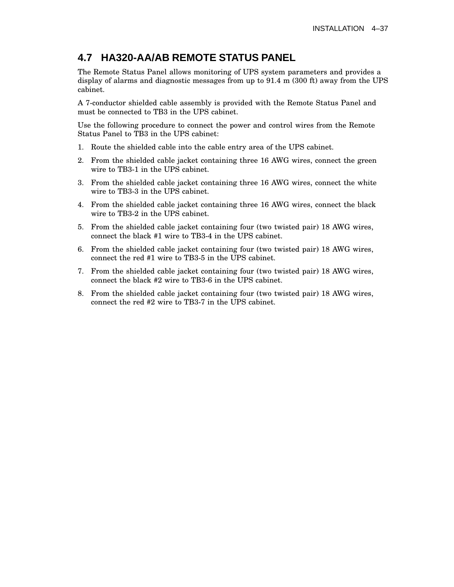# **4.7 HA320-AA/AB REMOTE STATUS PANEL**

The Remote Status Panel allows monitoring of UPS system parameters and provides a display of alarms and diagnostic messages from up to 91.4 m (300 ft) away from the UPS cabinet.

A 7-conductor shielded cable assembly is provided with the Remote Status Panel and must be connected to TB3 in the UPS cabinet.

Use the following procedure to connect the power and control wires from the Remote Status Panel to TB3 in the UPS cabinet:

- 1. Route the shielded cable into the cable entry area of the UPS cabinet.
- 2. From the shielded cable jacket containing three 16 AWG wires, connect the green wire to TB3-1 in the UPS cabinet.
- 3. From the shielded cable jacket containing three 16 AWG wires, connect the white wire to TB3-3 in the UPS cabinet.
- 4. From the shielded cable jacket containing three 16 AWG wires, connect the black wire to TB3-2 in the UPS cabinet.
- 5. From the shielded cable jacket containing four (two twisted pair) 18 AWG wires, connect the black #1 wire to TB3-4 in the UPS cabinet.
- 6. From the shielded cable jacket containing four (two twisted pair) 18 AWG wires, connect the red #1 wire to TB3-5 in the UPS cabinet.
- 7. From the shielded cable jacket containing four (two twisted pair) 18 AWG wires, connect the black #2 wire to TB3-6 in the UPS cabinet.
- 8. From the shielded cable jacket containing four (two twisted pair) 18 AWG wires, connect the red #2 wire to TB3-7 in the UPS cabinet.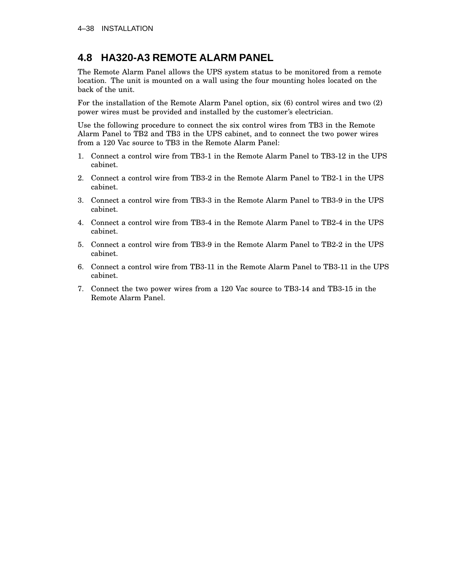# **4.8 HA320-A3 REMOTE ALARM PANEL**

The Remote Alarm Panel allows the UPS system status to be monitored from a remote location. The unit is mounted on a wall using the four mounting holes located on the back of the unit.

For the installation of the Remote Alarm Panel option, six (6) control wires and two (2) power wires must be provided and installed by the customer's electrician.

Use the following procedure to connect the six control wires from TB3 in the Remote Alarm Panel to TB2 and TB3 in the UPS cabinet, and to connect the two power wires from a 120 Vac source to TB3 in the Remote Alarm Panel:

- 1. Connect a control wire from TB3-1 in the Remote Alarm Panel to TB3-12 in the UPS cabinet.
- 2. Connect a control wire from TB3-2 in the Remote Alarm Panel to TB2-1 in the UPS cabinet.
- 3. Connect a control wire from TB3-3 in the Remote Alarm Panel to TB3-9 in the UPS cabinet.
- 4. Connect a control wire from TB3-4 in the Remote Alarm Panel to TB2-4 in the UPS cabinet.
- 5. Connect a control wire from TB3-9 in the Remote Alarm Panel to TB2-2 in the UPS cabinet.
- 6. Connect a control wire from TB3-11 in the Remote Alarm Panel to TB3-11 in the UPS cabinet.
- 7. Connect the two power wires from a 120 Vac source to TB3-14 and TB3-15 in the Remote Alarm Panel.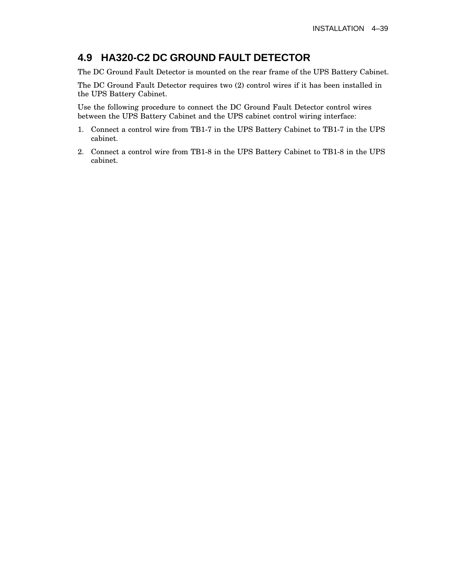# **4.9 HA320-C2 DC GROUND FAULT DETECTOR**

The DC Ground Fault Detector is mounted on the rear frame of the UPS Battery Cabinet.

The DC Ground Fault Detector requires two (2) control wires if it has been installed in the UPS Battery Cabinet.

Use the following procedure to connect the DC Ground Fault Detector control wires between the UPS Battery Cabinet and the UPS cabinet control wiring interface:

- 1. Connect a control wire from TB1-7 in the UPS Battery Cabinet to TB1-7 in the UPS cabinet.
- 2. Connect a control wire from TB1-8 in the UPS Battery Cabinet to TB1-8 in the UPS cabinet.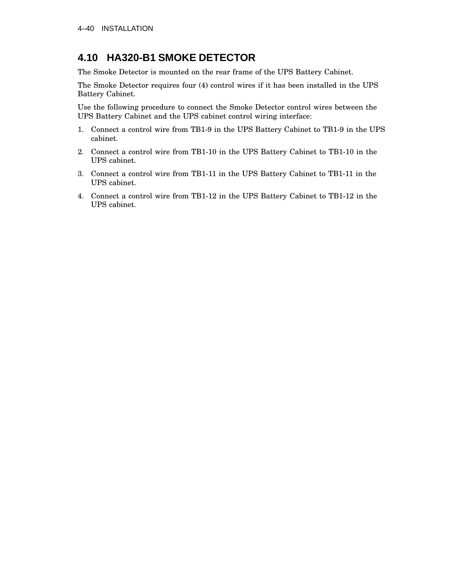# **4.10 HA320-B1 SMOKE DETECTOR**

The Smoke Detector is mounted on the rear frame of the UPS Battery Cabinet.

The Smoke Detector requires four (4) control wires if it has been installed in the UPS Battery Cabinet.

Use the following procedure to connect the Smoke Detector control wires between the UPS Battery Cabinet and the UPS cabinet control wiring interface:

- 1. Connect a control wire from TB1-9 in the UPS Battery Cabinet to TB1-9 in the UPS cabinet.
- 2. Connect a control wire from TB1-10 in the UPS Battery Cabinet to TB1-10 in the UPS cabinet.
- 3. Connect a control wire from TB1-11 in the UPS Battery Cabinet to TB1-11 in the UPS cabinet.
- 4. Connect a control wire from TB1-12 in the UPS Battery Cabinet to TB1-12 in the UPS cabinet.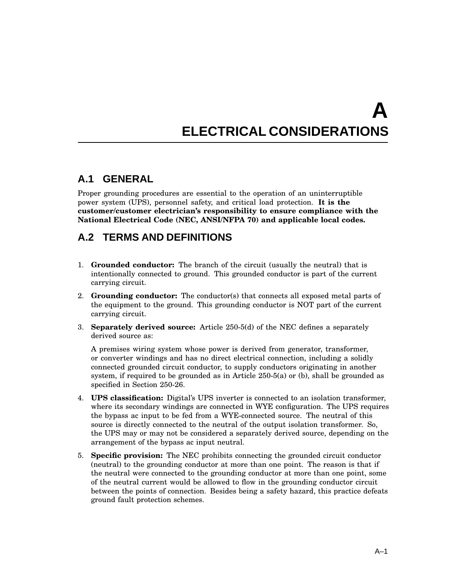# **A ELECTRICAL CONSIDERATIONS**

# **A.1 GENERAL**

Proper grounding procedures are essential to the operation of an uninterruptible power system (UPS), personnel safety, and critical load protection. **It is the customer/customer electrician's responsibility to ensure compliance with the National Electrical Code (NEC, ANSI/NFPA 70) and applicable local codes.**

# **A.2 TERMS AND DEFINITIONS**

- 1. **Grounded conductor:** The branch of the circuit (usually the neutral) that is intentionally connected to ground. This grounded conductor is part of the current carrying circuit.
- 2. **Grounding conductor:** The conductor(s) that connects all exposed metal parts of the equipment to the ground. This grounding conductor is NOT part of the current carrying circuit.
- 3. **Separately derived source:** Article 250-5(d) of the NEC defines a separately derived source as:

A premises wiring system whose power is derived from generator, transformer, or converter windings and has no direct electrical connection, including a solidly connected grounded circuit conductor, to supply conductors originating in another system, if required to be grounded as in Article 250-5(a) or (b), shall be grounded as specified in Section 250-26.

- 4. **UPS classification:** Digital's UPS inverter is connected to an isolation transformer, where its secondary windings are connected in WYE configuration. The UPS requires the bypass ac input to be fed from a WYE-connected source. The neutral of this source is directly connected to the neutral of the output isolation transformer. So, the UPS may or may not be considered a separately derived source, depending on the arrangement of the bypass ac input neutral.
- 5. **Specific provision:** The NEC prohibits connecting the grounded circuit conductor (neutral) to the grounding conductor at more than one point. The reason is that if the neutral were connected to the grounding conductor at more than one point, some of the neutral current would be allowed to flow in the grounding conductor circuit between the points of connection. Besides being a safety hazard, this practice defeats ground fault protection schemes.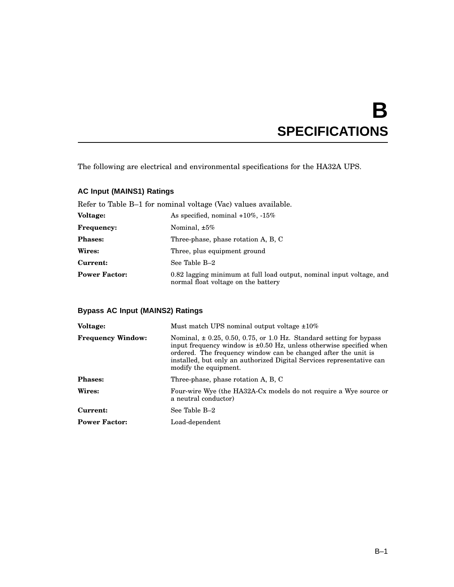# **B SPECIFICATIONS**

The following are electrical and environmental specifications for the HA32A UPS.

## **AC Input (MAINS1) Ratings**

Refer to Table B–1 for nominal voltage (Vac) values available.

| <b>Voltage:</b>      | As specified, nominal $+10\%$ , $-15\%$                                                                     |
|----------------------|-------------------------------------------------------------------------------------------------------------|
| <b>Frequency:</b>    | Nominal, $\pm 5\%$                                                                                          |
| <b>Phases:</b>       | Three-phase, phase rotation A, B, C                                                                         |
| Wires:               | Three, plus equipment ground                                                                                |
| Current:             | See Table B-2                                                                                               |
| <b>Power Factor:</b> | 0.82 lagging minimum at full load output, nominal input voltage, and<br>normal float voltage on the battery |

## **Bypass AC Input (MAINS2) Ratings**

| Must match UPS nominal output voltage $\pm 10\%$                                                                                                                                                                                                                                                                        |
|-------------------------------------------------------------------------------------------------------------------------------------------------------------------------------------------------------------------------------------------------------------------------------------------------------------------------|
| Nominal, $\pm$ 0.25, 0.50, 0.75, or 1.0 Hz. Standard setting for bypass<br>input frequency window is $\pm 0.50$ Hz, unless otherwise specified when<br>ordered. The frequency window can be changed after the unit is<br>installed, but only an authorized Digital Services representative can<br>modify the equipment. |
| Three-phase, phase rotation A, B, C                                                                                                                                                                                                                                                                                     |
| Four-wire Wye (the HA32A-Cx models do not require a Wye source or<br>a neutral conductor)                                                                                                                                                                                                                               |
| See Table B-2                                                                                                                                                                                                                                                                                                           |
| Load-dependent                                                                                                                                                                                                                                                                                                          |
|                                                                                                                                                                                                                                                                                                                         |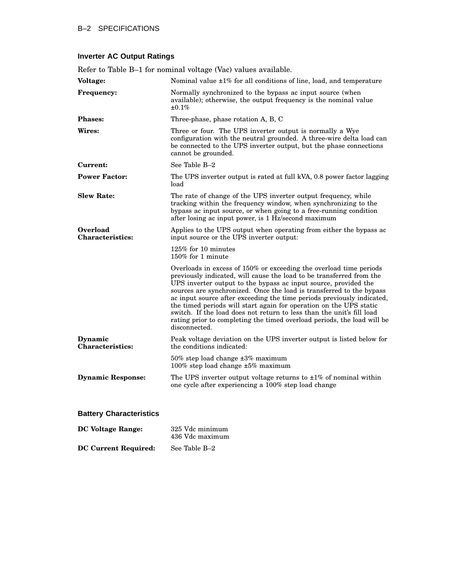| Refer to Table B-1 for nominal voltage (Vac) values available. |                                                                                                                                                                                                                                                                                                                                                                                                                                                                                                                                                                                                            |  |  |
|----------------------------------------------------------------|------------------------------------------------------------------------------------------------------------------------------------------------------------------------------------------------------------------------------------------------------------------------------------------------------------------------------------------------------------------------------------------------------------------------------------------------------------------------------------------------------------------------------------------------------------------------------------------------------------|--|--|
| Voltage:                                                       | Nominal value $\pm 1\%$ for all conditions of line, load, and temperature                                                                                                                                                                                                                                                                                                                                                                                                                                                                                                                                  |  |  |
| <b>Frequency:</b>                                              | Normally synchronized to the bypass ac input source (when<br>available); otherwise, the output frequency is the nominal value<br>$\pm 0.1\%$                                                                                                                                                                                                                                                                                                                                                                                                                                                               |  |  |
| <b>Phases:</b>                                                 | Three-phase, phase rotation A, B, C                                                                                                                                                                                                                                                                                                                                                                                                                                                                                                                                                                        |  |  |
| Wires:                                                         | Three or four. The UPS inverter output is normally a Wye<br>configuration with the neutral grounded. A three-wire delta load can<br>be connected to the UPS inverter output, but the phase connections<br>cannot be grounded.                                                                                                                                                                                                                                                                                                                                                                              |  |  |
| Current:                                                       | See Table B-2                                                                                                                                                                                                                                                                                                                                                                                                                                                                                                                                                                                              |  |  |
| <b>Power Factor:</b>                                           | The UPS inverter output is rated at full kVA, 0.8 power factor lagging<br>load                                                                                                                                                                                                                                                                                                                                                                                                                                                                                                                             |  |  |
| <b>Slew Rate:</b>                                              | The rate of change of the UPS inverter output frequency, while<br>tracking within the frequency window, when synchronizing to the<br>bypass ac input source, or when going to a free-running condition<br>after losing ac input power, is 1 Hz/second maximum                                                                                                                                                                                                                                                                                                                                              |  |  |
| <b>Overload</b><br><b>Characteristics:</b>                     | Applies to the UPS output when operating from either the bypass ac<br>input source or the UPS inverter output:                                                                                                                                                                                                                                                                                                                                                                                                                                                                                             |  |  |
|                                                                | $125\%$ for 10 minutes<br>$150\%$ for 1 minute                                                                                                                                                                                                                                                                                                                                                                                                                                                                                                                                                             |  |  |
|                                                                | Overloads in excess of 150% or exceeding the overload time periods<br>previously indicated, will cause the load to be transferred from the<br>UPS inverter output to the bypass ac input source, provided the<br>sources are synchronized. Once the load is transferred to the bypass<br>ac input source after exceeding the time periods previously indicated,<br>the timed periods will start again for operation on the UPS static<br>switch. If the load does not return to less than the unit's fill load<br>rating prior to completing the timed overload periods, the load will be<br>disconnected. |  |  |
| Dynamic<br><b>Characteristics:</b>                             | Peak voltage deviation on the UPS inverter output is listed below for<br>the conditions indicated:                                                                                                                                                                                                                                                                                                                                                                                                                                                                                                         |  |  |
|                                                                | $50\%$ step load change $\pm 3\%$ maximum<br>100% step load change $\pm 5\%$ maximum                                                                                                                                                                                                                                                                                                                                                                                                                                                                                                                       |  |  |
| <b>Dynamic Response:</b>                                       | The UPS inverter output voltage returns to $\pm 1\%$ of nominal within<br>one cycle after experiencing a 100% step load change                                                                                                                                                                                                                                                                                                                                                                                                                                                                             |  |  |
| <b>Battery Characteristics</b>                                 |                                                                                                                                                                                                                                                                                                                                                                                                                                                                                                                                                                                                            |  |  |

# **Inverter AC Output Ratings**

| DC Voltage Range:           | 325 Vdc minimum<br>436 Vdc maximum |
|-----------------------------|------------------------------------|
| <b>DC Current Required:</b> | See Table B-2                      |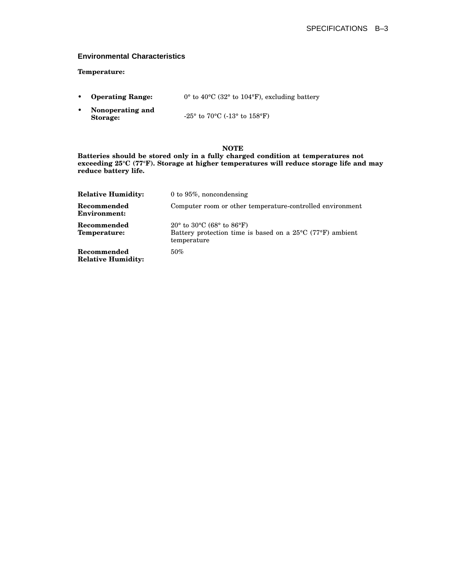#### **Environmental Characteristics**

#### **Temperature:**

- **Operating Range:** 0° to 40°C (32° to 104°F), excluding battery
- **Nonoperating and Storage:** -25° to 70°C (-13° to 158°F)

#### **NOTE**

**Batteries should be stored only in a fully charged condition at temperatures not exceeding 25°C (77°F). Storage at higher temperatures will reduce storage life and may reduce battery life.**

| <b>Relative Humidity:</b>                | 0 to $95\%$ , noncondensing                                                                                                                                      |
|------------------------------------------|------------------------------------------------------------------------------------------------------------------------------------------------------------------|
| Recommended<br><b>Environment:</b>       | Computer room or other temperature-controlled environment                                                                                                        |
| Recommended<br>Temperature:              | 20 $\degree$ to 30 $\degree$ C (68 $\degree$ to 86 $\degree$ F)<br>Battery protection time is based on a $25^{\circ}$ C (77 $^{\circ}$ F) ambient<br>temperature |
| Recommended<br><b>Relative Humidity:</b> | $50\%$                                                                                                                                                           |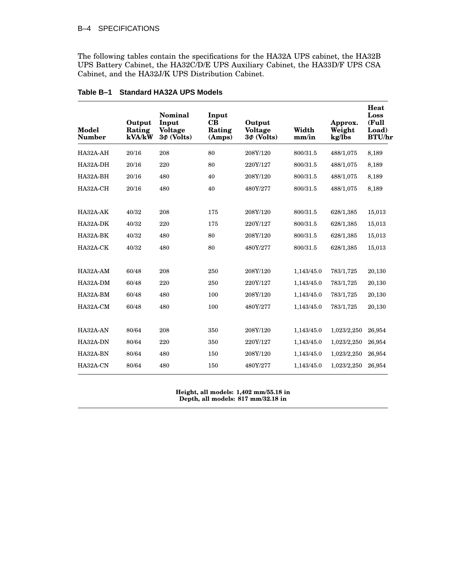#### B–4 SPECIFICATIONS

The following tables contain the specifications for the HA32A UPS cabinet, the HA32B UPS Battery Cabinet, the HA32C/D/E UPS Auxiliary Cabinet, the HA33D/F UPS CSA Cabinet, and the HA32J/K UPS Distribution Cabinet.

| Model<br><b>Number</b> | Output<br>Rating<br>kVA/kW | <b>Nominal</b><br>Input<br><b>Voltage</b><br>$3\Phi$ (Volts) | Input<br>$\bf CB$<br>Rating<br>(Amps) | Output<br><b>Voltage</b><br>$3\Phi$ (Volts) | Width<br>mm/in | Approx.<br>Weight<br>kg/lbs | Heat<br>Loss<br>(Full<br>Load)<br><b>BTU/hr</b> |
|------------------------|----------------------------|--------------------------------------------------------------|---------------------------------------|---------------------------------------------|----------------|-----------------------------|-------------------------------------------------|
| HA32A-AH               | 20/16                      | 208                                                          | 80                                    | 208Y/120                                    | 800/31.5       | 488/1,075                   | 8,189                                           |
| HA32A-DH               | 20/16                      | 220                                                          | 80                                    | 220Y/127                                    | 800/31.5       | 488/1,075                   | 8,189                                           |
| HA32A-BH               | 20/16                      | 480                                                          | 40                                    | 208Y/120                                    | 800/31.5       | 488/1,075                   | 8,189                                           |
| HA32A-CH               | 20/16                      | 480                                                          | 40                                    | 480Y/277                                    | 800/31.5       | 488/1,075                   | 8,189                                           |
|                        |                            |                                                              |                                       |                                             |                |                             |                                                 |
| HA32A-AK               | 40/32                      | 208                                                          | 175                                   | 208Y/120                                    | 800/31.5       | 628/1,385                   | 15,013                                          |
| HA32A-DK               | 40/32                      | 220                                                          | 175                                   | 220Y/127                                    | 800/31.5       | 628/1,385                   | 15,013                                          |
| HA32A-BK               | 40/32                      | 480                                                          | 80                                    | 208Y/120                                    | 800/31.5       | 628/1,385                   | 15,013                                          |
| HA32A-CK               | 40/32                      | 480                                                          | 80                                    | 480Y/277                                    | 800/31.5       | 628/1,385                   | 15,013                                          |
|                        |                            |                                                              |                                       |                                             |                |                             |                                                 |
| HA32A-AM               | 60/48                      | 208                                                          | 250                                   | 208Y/120                                    | 1,143/45.0     | 783/1,725                   | 20,130                                          |
| HA32A-DM               | 60/48                      | 220                                                          | 250                                   | 220Y/127                                    | 1,143/45.0     | 783/1,725                   | 20,130                                          |
| HA32A-BM               | 60/48                      | 480                                                          | 100                                   | 208Y/120                                    | 1,143/45.0     | 783/1,725                   | 20,130                                          |
| HA32A-CM               | 60/48                      | 480                                                          | 100                                   | 480Y/277                                    | 1,143/45.0     | 783/1,725                   | 20,130                                          |
|                        |                            |                                                              |                                       |                                             |                |                             |                                                 |
| HA32A-AN               | 80/64                      | 208                                                          | 350                                   | 208Y/120                                    | 1,143/45.0     | 1,023/2,250                 | 26,954                                          |
| HA32A-DN               | 80/64                      | 220                                                          | 350                                   | 220Y/127                                    | 1,143/45.0     | 1,023/2,250                 | 26,954                                          |
| HA32A-BN               | 80/64                      | 480                                                          | 150                                   | 208Y/120                                    | 1,143/45.0     | 1,023/2,250                 | 26,954                                          |
| HA32A-CN               | 80/64                      | 480                                                          | 150                                   | 480Y/277                                    | 1,143/45.0     | 1,023/2,250                 | 26,954                                          |
|                        |                            |                                                              |                                       |                                             |                |                             |                                                 |

#### **Table B–1 Standard HA32A UPS Models**

**Height, all models: 1,402 mm/55.18 in Depth, all models: 817 mm/32.18 in**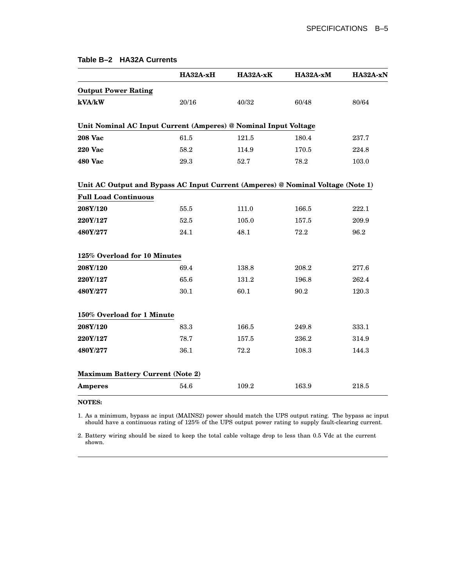| Table B-2 HA32A Currents |  |
|--------------------------|--|
|--------------------------|--|

|                                                                                 | HA32A-xH | HA32A-xK  | HA32A-xM | HA32A-xN |
|---------------------------------------------------------------------------------|----------|-----------|----------|----------|
| <b>Output Power Rating</b>                                                      |          |           |          |          |
| kVA/kW                                                                          | 20/16    | 40/32     | 60/48    | 80/64    |
| Unit Nominal AC Input Current (Amperes) @ Nominal Input Voltage                 |          |           |          |          |
| <b>208 Vac</b>                                                                  | 61.5     | $121.5\,$ | 180.4    | 237.7    |
| <b>220 Vac</b>                                                                  | 58.2     | 114.9     | 170.5    | 224.8    |
| 480 Vac                                                                         | 29.3     | 52.7      | 78.2     | 103.0    |
| Unit AC Output and Bypass AC Input Current (Amperes) @ Nominal Voltage (Note 1) |          |           |          |          |
| <b>Full Load Continuous</b>                                                     |          |           |          |          |
| 208Y/120                                                                        | 55.5     | 111.0     | 166.5    | 222.1    |
| 220Y/127                                                                        | 52.5     | 105.0     | 157.5    | 209.9    |
| 480Y/277                                                                        | 24.1     | 48.1      | 72.2     | 96.2     |
| 125% Overload for 10 Minutes                                                    |          |           |          |          |
| 208Y/120                                                                        | 69.4     | 138.8     | 208.2    | 277.6    |
| 220Y/127                                                                        | 65.6     | 131.2     | 196.8    | 262.4    |
| 480Y/277                                                                        | 30.1     | 60.1      | 90.2     | 120.3    |
| 150% Overload for 1 Minute                                                      |          |           |          |          |
| 208Y/120                                                                        | 83.3     | 166.5     | 249.8    | 333.1    |
| 220Y/127                                                                        | 78.7     | 157.5     | 236.2    | 314.9    |
| 480Y/277                                                                        | 36.1     | 72.2      | 108.3    | 144.3    |
| <b>Maximum Battery Current (Note 2)</b>                                         |          |           |          |          |
| <b>Amperes</b>                                                                  | 54.6     | 109.2     | 163.9    | 218.5    |

#### **NOTES:**

1. As a minimum, bypass ac input (MAINS2) power should match the UPS output rating. The bypass ac input should have a continuous rating of 125% of the UPS output power rating to supply fault-clearing current.

2. Battery wiring should be sized to keep the total cable voltage drop to less than 0.5 Vdc at the current shown.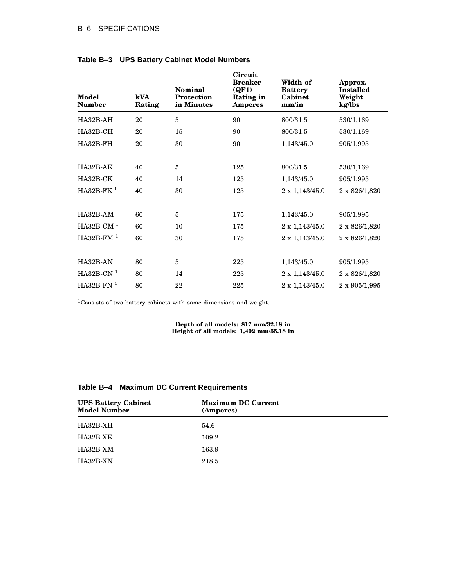#### B–6 SPECIFICATIONS

| Model<br><b>Number</b> | kVA<br>Rating | <b>Nominal</b><br>Protection<br>in Minutes | Circuit<br><b>Breaker</b><br>(QF1)<br>Rating in<br><b>Amperes</b> | Width of<br><b>Battery</b><br>Cabinet<br>mm/in | Approx.<br><b>Installed</b><br>Weight<br>kg/lbs |
|------------------------|---------------|--------------------------------------------|-------------------------------------------------------------------|------------------------------------------------|-------------------------------------------------|
| $HA32B-AH$             | 20            | $\overline{5}$                             | 90                                                                | 800/31.5                                       | 530/1,169                                       |
| $HA32B-CH$             | 20            | 15                                         | 90                                                                | 800/31.5                                       | 530/1,169                                       |
| HA32B-FH               | 20            | 30                                         | 90                                                                | 1,143/45.0                                     | 905/1,995                                       |
|                        |               |                                            |                                                                   |                                                |                                                 |
| $HA32B-AK$             | 40            | $\overline{5}$                             | 125                                                               | 800/31.5                                       | 530/1,169                                       |
| HA32B-CK               | 40            | 14                                         | 125                                                               | 1,143/45.0                                     | 905/1,995                                       |
| $HA32B-FK1$            | 40            | 30                                         | 125                                                               | $2 \times 1,143/45.0$                          | 2 x 826/1,820                                   |
|                        |               |                                            |                                                                   |                                                |                                                 |
| $HA32B-AM$             | 60            | 5                                          | 175                                                               | 1,143/45.0                                     | 905/1,995                                       |
| $HA32B-CM1$            | 60            | 10                                         | 175                                                               | $2 \ge 1,143/45.0$                             | 2 x 826/1,820                                   |
| HA32B-FM $1$           | 60            | 30                                         | 175                                                               | $2 \times 1,143/45.0$                          | 2 x 826/1,820                                   |
|                        |               |                                            |                                                                   |                                                |                                                 |
| HA32B-AN               | 80            | 5                                          | 225                                                               | 1,143/45.0                                     | 905/1,995                                       |
| $HA32B-CN1$            | 80            | 14                                         | 225                                                               | $2 \times 1,143/45.0$                          | 2 x 826/1,820                                   |
| $HA32B-FN1$            | 80            | 22                                         | 225                                                               | $2 \times 1,143/45.0$                          | $2 \times 905/1,995$                            |

#### **Table B–3 UPS Battery Cabinet Model Numbers**

<sup>1</sup>Consists of two battery cabinets with same dimensions and weight.

**Depth of all models: 817 mm/32.18 in Height of all models: 1,402 mm/55.18 in**

## **Table B–4 Maximum DC Current Requirements**

| <b>UPS Battery Cabinet</b><br><b>Model Number</b> | <b>Maximum DC Current</b><br>(Amperes) |  |
|---------------------------------------------------|----------------------------------------|--|
| HA32B-XH                                          | 54.6                                   |  |
| HA32B-XK                                          | 109.2                                  |  |
| HA32B-XM                                          | 163.9                                  |  |
| HA32B-XN                                          | 218.5                                  |  |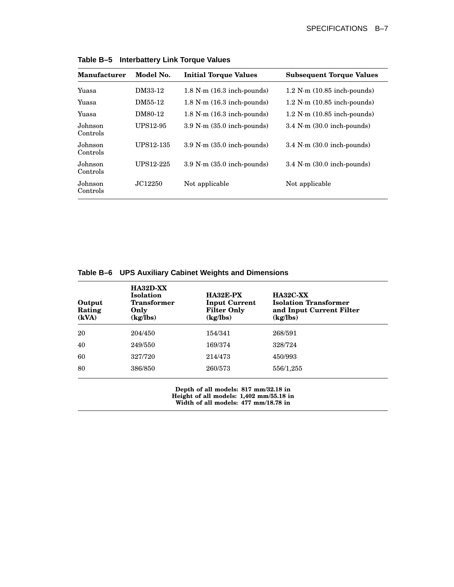| <b>Manufacturer</b> | Model No. | <b>Initial Torque Values</b>           | <b>Subsequent Torque Values</b>         |
|---------------------|-----------|----------------------------------------|-----------------------------------------|
| Yuasa               | DM33-12   | $1.8$ N $\cdot$ m $(16.3$ inch-pounds) | $1.2$ N $\cdot$ m $(10.85$ inch-pounds) |
| Yuasa               | DM55-12   | $1.8$ N $\cdot$ m $(16.3$ inch-pounds) | $1.2$ N $\cdot$ m $(10.85$ inch-pounds) |
| Yuasa               | DM80-12   | $1.8$ N $\cdot$ m $(16.3$ inch-pounds) | $1.2$ N $\cdot$ m $(10.85$ inch-pounds) |
| Johnson<br>Controls | UPS12-95  | $3.9$ N $\cdot$ m $(35.0$ inch-pounds) | $3.4$ N $\cdot$ m $(30.0$ inch-pounds)  |
| Johnson<br>Controls | UPS12-135 | $3.9$ N $\cdot$ m $(35.0$ inch-pounds) | $3.4$ N $\cdot$ m $(30.0$ inch-pounds)  |
| Johnson<br>Controls | UPS12-225 | $3.9$ N $\cdot$ m $(35.0$ inch-pounds) | $3.4$ N $\cdot$ m $(30.0$ inch-pounds)  |
| Johnson<br>Controls | JC12250   | Not applicable                         | Not applicable                          |

**Table B–5 Interbattery Link Torque Values**

| Table B-6 UPS Auxiliary Cabinet Weights and Dimensions |  |  |  |
|--------------------------------------------------------|--|--|--|
|--------------------------------------------------------|--|--|--|

| Output<br>Rating<br>(kVA) | $HA32D-XX$<br><b>Isolation</b><br><b>Transformer</b><br>Only<br>(kg/lbs) | HA32E-PX<br><b>Input Current</b><br><b>Filter Only</b><br>(kg/lbs) | <b>HA32C-XX</b><br><b>Isolation Transformer</b><br>and Input Current Filter<br>(kg/lbs) |
|---------------------------|--------------------------------------------------------------------------|--------------------------------------------------------------------|-----------------------------------------------------------------------------------------|
| 20                        | 204/450                                                                  | 154/341                                                            | 268/591                                                                                 |
| 40                        | 249/550                                                                  | 169/374                                                            | 328/724                                                                                 |
| 60                        | 327/720                                                                  | 214/473                                                            | 450/993                                                                                 |
| 80                        | 386/850                                                                  | 260/573                                                            | 556/1,255                                                                               |

**Depth of all models: 817 mm/32.18 in Height of all models: 1,402 mm/55.18 in Width of all models: 477 mm/18.78 in**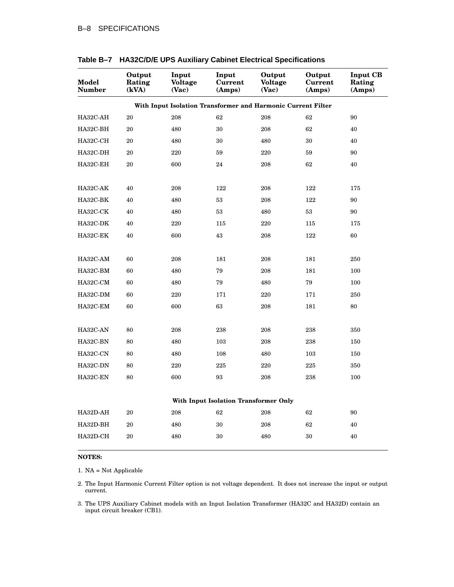| Model<br><b>Number</b>                                       | Output<br>Rating<br>(kVA) | Input<br><b>Voltage</b><br>(Vac) | Input<br><b>Current</b><br>(Amps)     | Output<br><b>Voltage</b><br>(Vac) | Output<br><b>Current</b><br>(Amps) | <b>Input CB</b><br>Rating<br>(Amps) |  |  |
|--------------------------------------------------------------|---------------------------|----------------------------------|---------------------------------------|-----------------------------------|------------------------------------|-------------------------------------|--|--|
| With Input Isolation Transformer and Harmonic Current Filter |                           |                                  |                                       |                                   |                                    |                                     |  |  |
| HA32C-AH                                                     | 20                        | 208                              | 62                                    | 208                               | 62                                 | 90                                  |  |  |
| HA32C-BH                                                     | 20                        | 480                              | 30                                    | 208                               | 62                                 | 40                                  |  |  |
| HA32C-CH                                                     | 20                        | 480                              | 30                                    | 480                               | 30                                 | 40                                  |  |  |
| HA32C-DH                                                     | 20                        | 220                              | 59                                    | 220                               | 59                                 | 90                                  |  |  |
| HA32C-EH                                                     | 20                        | 600                              | 24                                    | 208                               | 62                                 | 40                                  |  |  |
| HA32C-AK                                                     | 40                        | 208                              | 122                                   | 208                               | 122                                | 175                                 |  |  |
| HA32C-BK                                                     | 40                        | 480                              | 53                                    | 208                               | 122                                | 90                                  |  |  |
| HA32C-CK                                                     | 40                        | 480                              | 53                                    | 480                               | 53                                 | 90                                  |  |  |
| HA32C-DK                                                     | 40                        | 220                              | 115                                   | 220                               | 115                                | 175                                 |  |  |
| HA32C-EK                                                     | 40                        | 600                              | 43                                    | 208                               | 122                                | 60                                  |  |  |
| HA32C-AM                                                     | 60                        | 208                              | 181                                   | 208                               | 181                                | 250                                 |  |  |
| HA32C-BM                                                     | 60                        | 480                              | 79                                    | 208                               | 181                                | 100                                 |  |  |
| HA32C-CM                                                     | 60                        | 480                              | 79                                    | 480                               | 79                                 | 100                                 |  |  |
| HA32C-DM                                                     | 60                        | 220                              | 171                                   | 220                               | 171                                | 250                                 |  |  |
| HA32C-EM                                                     | 60                        | 600                              | 63                                    | 208                               | 181                                | 80                                  |  |  |
| HA32C-AN                                                     | 80                        | 208                              | 238                                   | 208                               | 238                                | 350                                 |  |  |
| HA32C-BN                                                     | 80                        | 480                              | 103                                   | 208                               | 238                                | 150                                 |  |  |
| HA32C-CN                                                     | 80                        | 480                              | 108                                   | 480                               | 103                                | 150                                 |  |  |
| HA32C-DN                                                     | 80                        | 220                              | 225                                   | 220                               | 225                                | 350                                 |  |  |
| HA32C-EN                                                     | 80                        | 600                              | 93                                    | 208                               | 238                                | 100                                 |  |  |
|                                                              |                           |                                  | With Input Isolation Transformer Only |                                   |                                    |                                     |  |  |
| HA32D-AH                                                     | 20                        | 208                              | 62                                    | 208                               | 62                                 | 90                                  |  |  |
| HA32D-BH                                                     | 20                        | 480                              | 30                                    | 208                               | 62                                 | 40                                  |  |  |
| HA32D-CH                                                     | 20                        | 480                              | 30                                    | 480                               | 30                                 | 40                                  |  |  |

**Table B–7 HA32C/D/E UPS Auxiliary Cabinet Electrical Specifications**

#### **NOTES:**

1. NA = Not Applicable

2. The Input Harmonic Current Filter option is not voltage dependent. It does not increase the input or output current.

3. The UPS Auxiliary Cabinet models with an Input Isolation Transformer (HA32C and HA32D) contain an input circuit breaker (CB1).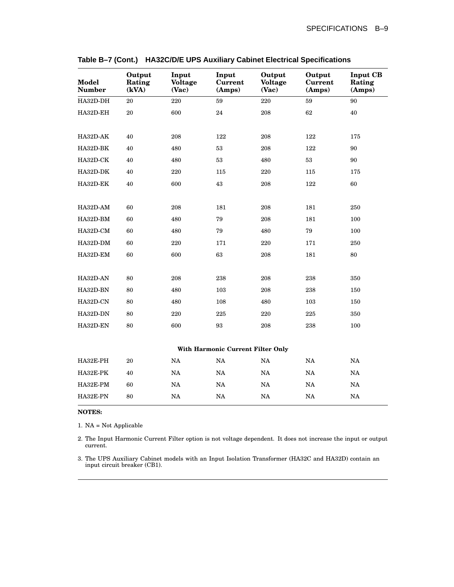| <b>Model</b><br><b>Number</b>     | Output<br>Rating<br>(kVA) | Input<br><b>Voltage</b><br>(Vac) | Input<br><b>Current</b><br>(Amps) | Output<br><b>Voltage</b><br>(Vac) | Output<br><b>Current</b><br>(Amps) | <b>Input CB</b><br>Rating<br>(Amps) |  |
|-----------------------------------|---------------------------|----------------------------------|-----------------------------------|-----------------------------------|------------------------------------|-------------------------------------|--|
| HA32D-DH                          | 20                        | 220                              | 59                                | 220                               | 59                                 | 90                                  |  |
| HA32D-EH                          | 20                        | 600                              | 24                                | 208                               | 62                                 | 40                                  |  |
|                                   |                           |                                  |                                   |                                   |                                    |                                     |  |
| HA32D-AK                          | 40                        | 208                              | 122                               | 208                               | 122                                | 175                                 |  |
| HA32D-BK                          | 40                        | 480                              | 53                                | 208                               | 122                                | 90                                  |  |
| HA32D-CK                          | 40                        | 480                              | 53                                | 480                               | 53                                 | 90                                  |  |
| HA32D-DK                          | 40                        | 220                              | 115                               | 220                               | 115                                | 175                                 |  |
| HA32D-EK                          | 40                        | 600                              | 43                                | 208                               | 122                                | 60                                  |  |
|                                   |                           |                                  |                                   |                                   |                                    |                                     |  |
| HA32D-AM                          | 60                        | 208                              | 181                               | 208                               | 181                                | 250                                 |  |
| HA32D-BM                          | 60                        | 480                              | 79                                | 208                               | 181                                | 100                                 |  |
| HA32D-CM                          | 60                        | 480                              | 79                                | 480                               | 79                                 | 100                                 |  |
| HA32D-DM                          | 60                        | 220                              | 171                               | 220                               | 171                                | 250                                 |  |
| HA32D-EM                          | 60                        | 600                              | 63                                | 208                               | 181                                | 80                                  |  |
|                                   |                           |                                  |                                   |                                   |                                    |                                     |  |
| HA32D-AN                          | 80                        | 208                              | 238                               | 208                               | 238                                | 350                                 |  |
| HA32D-BN                          | 80                        | 480                              | 103                               | 208                               | 238                                | 150                                 |  |
| HA32D-CN                          | 80                        | 480                              | 108                               | 480                               | 103                                | 150                                 |  |
| HA32D-DN                          | 80                        | 220                              | 225                               | 220                               | 225                                | 350                                 |  |
| HA32D-EN                          | 80                        | 600                              | 93                                | 208                               | 238                                | 100                                 |  |
|                                   |                           |                                  |                                   |                                   |                                    |                                     |  |
| With Harmonic Current Filter Only |                           |                                  |                                   |                                   |                                    |                                     |  |
| HA32E-PH                          | 20                        | NA                               | NA                                | NA                                | NA                                 | NA                                  |  |
| HA32E-PK                          | 40                        | NA                               | NA                                | NA                                | NA                                 | NA                                  |  |
| HA32E-PM                          | 60                        | $_{\rm NA}$                      | NA                                | $\rm NA$                          | $_{\rm NA}$                        | NA                                  |  |
| HA32E-PN                          | 80                        | NA                               | NA                                | $\rm NA$                          | NA                                 | NA                                  |  |

|  | Table B-7 (Cont.) HA32C/D/E UPS Auxiliary Cabinet Electrical Specifications |  |  |
|--|-----------------------------------------------------------------------------|--|--|
|--|-----------------------------------------------------------------------------|--|--|

#### **NOTES:**

1. NA = Not Applicable

2. The Input Harmonic Current Filter option is not voltage dependent. It does not increase the input or output current.

3. The UPS Auxiliary Cabinet models with an Input Isolation Transformer (HA32C and HA32D) contain an input circuit breaker (CB1).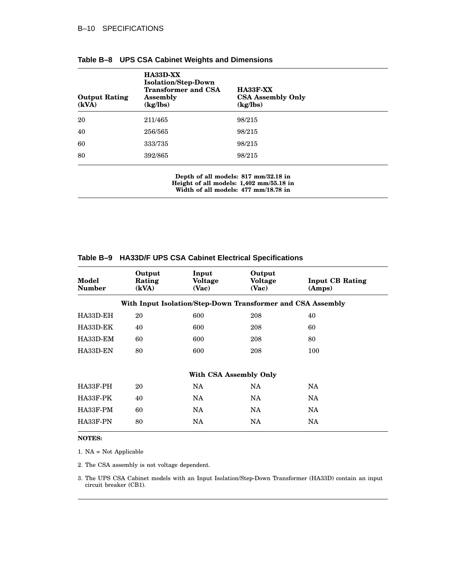| <b>Output Rating</b><br>(kVA) | <b>HA33D-XX</b><br><b>Isolation/Step-Down</b><br><b>Transformer and CSA</b><br><b>Assembly</b><br>(kg/lbs) | HA33F-XX<br><b>CSA Assembly Only</b><br>(kg/lbs) |  |
|-------------------------------|------------------------------------------------------------------------------------------------------------|--------------------------------------------------|--|
| 20                            | 211/465                                                                                                    | 98/215                                           |  |
| 40                            | 256/565                                                                                                    | 98/215                                           |  |
| 60                            | 333/735                                                                                                    | 98/215                                           |  |
| 80                            | 392/865                                                                                                    | 98/215                                           |  |

|  |  |  | Table B-8 UPS CSA Cabinet Weights and Dimensions |
|--|--|--|--------------------------------------------------|
|--|--|--|--------------------------------------------------|

**Depth of all models: 817 mm/32.18 in Height of all models: 1,402 mm/55.18 in Width of all models: 477 mm/18.78 in**

| Model<br><b>Number</b> | Output<br>Rating<br>(kVA) | Input<br><b>Voltage</b><br>(Vac)                            | Output<br><b>Voltage</b><br>(Vac) | <b>Input CB Rating</b><br>(Amps) |
|------------------------|---------------------------|-------------------------------------------------------------|-----------------------------------|----------------------------------|
|                        |                           | With Input Isolation/Step-Down Transformer and CSA Assembly |                                   |                                  |
| HA33D-EH               | 20                        | 600                                                         | 208                               | 40                               |
| HA33D-EK               | 40                        | 600                                                         | 208                               | 60                               |
| HA33D-EM               | 60                        | 600                                                         | 208                               | 80                               |
| HA33D-EN               | 80                        | 600                                                         | 208                               | 100                              |
|                        |                           | With CSA Assembly Only                                      |                                   |                                  |
| HA33F-PH               | 20                        | <b>NA</b>                                                   | <b>NA</b>                         | <b>NA</b>                        |
| HA33F-PK               | 40                        | <b>NA</b>                                                   | <b>NA</b>                         | <b>NA</b>                        |
| HA33F-PM               | 60                        | NA.                                                         | NA.                               | NA.                              |
| HA33F-PN               | 80                        | NA                                                          | <b>NA</b>                         | <b>NA</b>                        |
|                        |                           |                                                             |                                   |                                  |

#### **Table B–9 HA33D/F UPS CSA Cabinet Electrical Specifications**

#### **NOTES:**

1. NA = Not Applicable

2. The CSA assembly is not voltage dependent.

3. The UPS CSA Cabinet models with an Input Isolation/Step-Down Transformer (HA33D) contain an input circuit breaker (CB1).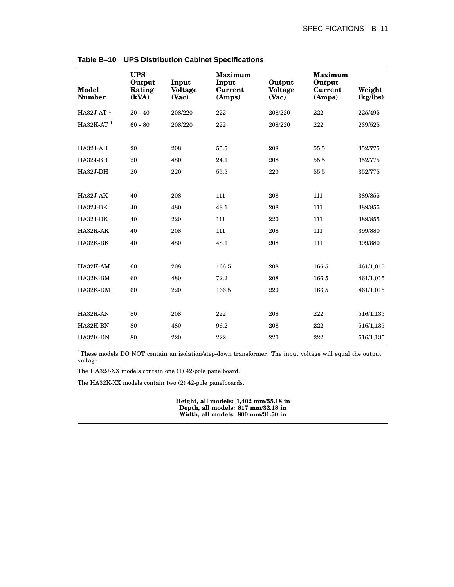| <b>Model</b><br><b>Number</b> | <b>UPS</b><br>Output<br>Rating<br>(kVA) | Input<br><b>Voltage</b><br>(Vac) | <b>Maximum</b><br>Input<br>Current<br>(Amps) | Output<br><b>Voltage</b><br>(Vac) | <b>Maximum</b><br>Output<br>Current<br>(Amps) | Weight<br>(kg/lbs) |
|-------------------------------|-----------------------------------------|----------------------------------|----------------------------------------------|-----------------------------------|-----------------------------------------------|--------------------|
| HA32J-AT $1$                  | $20 - 40$                               | 208/220                          | 222                                          | 208/220                           | 222                                           | 225/495            |
| HA32K-AT $1$                  | $60 - 80$                               | 208/220                          | 222                                          | 208/220                           | 222                                           | 239/525            |
| HA32J-AH                      | 20                                      | 208                              | 55.5                                         | 208                               | 55.5                                          | 352/775            |
| HA32J-BH                      | 20                                      | 480                              | 24.1                                         | 208                               | 55.5                                          | 352/775            |
| HA32J-DH                      | 20                                      | 220                              | 55.5                                         | 220                               | 55.5                                          | 352/775            |
|                               |                                         |                                  |                                              |                                   |                                               |                    |
| $HA32J-AK$                    | 40                                      | 208                              | 111                                          | 208                               | 111                                           | 389/855            |
| <b>HA32J-BK</b>               | 40                                      | 480                              | 48.1                                         | 208                               | 111                                           | 389/855            |
| <b>HA32J-DK</b>               | 40                                      | 220                              | 111                                          | 220                               | 111                                           | 389/855            |
| HA32K-AK                      | 40                                      | 208                              | 111                                          | 208                               | 111                                           | 399/880            |
| HA32K-BK                      | 40                                      | 480                              | 48.1                                         | 208                               | 111                                           | 399/880            |
|                               |                                         |                                  |                                              |                                   |                                               |                    |
| HA32K-AM                      | 60                                      | 208                              | 166.5                                        | 208                               | 166.5                                         | 461/1,015          |
| HA32K-BM                      | 60                                      | 480                              | 72.2                                         | 208                               | 166.5                                         | 461/1,015          |
| HA32K-DM                      | 60                                      | 220                              | 166.5                                        | 220                               | 166.5                                         | 461/1,015          |
| HA32K-AN                      | 80                                      | 208                              | 222                                          | 208                               | 222                                           | 516/1,135          |
| HA32K-BN                      | 80                                      | 480                              | 96.2                                         | 208                               | 222                                           | 516/1,135          |
| HA32K-DN                      | 80                                      | 220                              | 222                                          | 220                               | 222                                           | 516/1,135          |

**Table B–10 UPS Distribution Cabinet Specifications**

<sup>1</sup>These models DO NOT contain an isolation/step-down transformer. The input voltage will equal the output voltage.

The HA32J-XX models contain one (1) 42-pole panelboard.

The HA32K-XX models contain two (2) 42-pole panelboards.

**Height, all models: 1,402 mm/55.18 in Depth, all models: 817 mm/32.18 in Width, all models: 800 mm/31.50 in**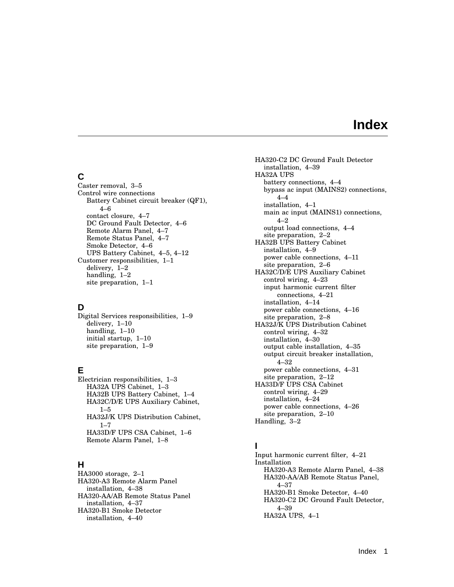# **Index**

## **C**

Caster removal, 3–5 Control wire connections Battery Cabinet circuit breaker (QF1), 4–6 contact closure, 4–7 DC Ground Fault Detector, 4–6 Remote Alarm Panel, 4–7 Remote Status Panel, 4–7 Smoke Detector, 4–6 UPS Battery Cabinet, 4–5, 4–12 Customer responsibilities, 1–1 delivery, 1–2 handling, 1–2 site preparation, 1–1

## **D**

Digital Services responsibilities, 1–9 delivery, 1–10 handling, 1–10 initial startup, 1–10 site preparation, 1–9

# **E**

Electrician responsibilities, 1–3 HA32A UPS Cabinet, 1–3 HA32B UPS Battery Cabinet, 1–4 HA32C/D/E UPS Auxiliary Cabinet,  $1 - 5$ HA32J/K UPS Distribution Cabinet,  $1 - 7$ HA33D/F UPS CSA Cabinet, 1–6 Remote Alarm Panel, 1–8

# **H**

HA3000 storage, 2–1 HA320-A3 Remote Alarm Panel installation, 4–38 HA320-AA/AB Remote Status Panel installation, 4–37 HA320-B1 Smoke Detector installation, 4–40

HA320-C2 DC Ground Fault Detector installation, 4–39 HA32A UPS battery connections, 4–4 bypass ac input (MAINS2) connections, 4–4 installation, 4–1 main ac input (MAINS1) connections, 4–2 output load connections, 4–4 site preparation, 2–2 HA32B UPS Battery Cabinet installation, 4–9 power cable connections, 4–11 site preparation, 2–6 HA32C/D/E UPS Auxiliary Cabinet control wiring, 4–23 input harmonic current filter connections, 4–21 installation, 4–14 power cable connections, 4–16 site preparation, 2–8 HA32J/K UPS Distribution Cabinet control wiring, 4–32 installation, 4–30 output cable installation, 4–35 output circuit breaker installation, 4–32 power cable connections, 4–31 site preparation, 2–12 HA33D/F UPS CSA Cabinet control wiring, 4–29 installation, 4–24 power cable connections, 4–26 site preparation, 2–10 Handling, 3–2

# **I**

Input harmonic current filter, 4–21 Installation HA320-A3 Remote Alarm Panel, 4–38 HA320-AA/AB Remote Status Panel, 4–37 HA320-B1 Smoke Detector, 4–40 HA320-C2 DC Ground Fault Detector, 4–39 HA32A UPS, 4–1